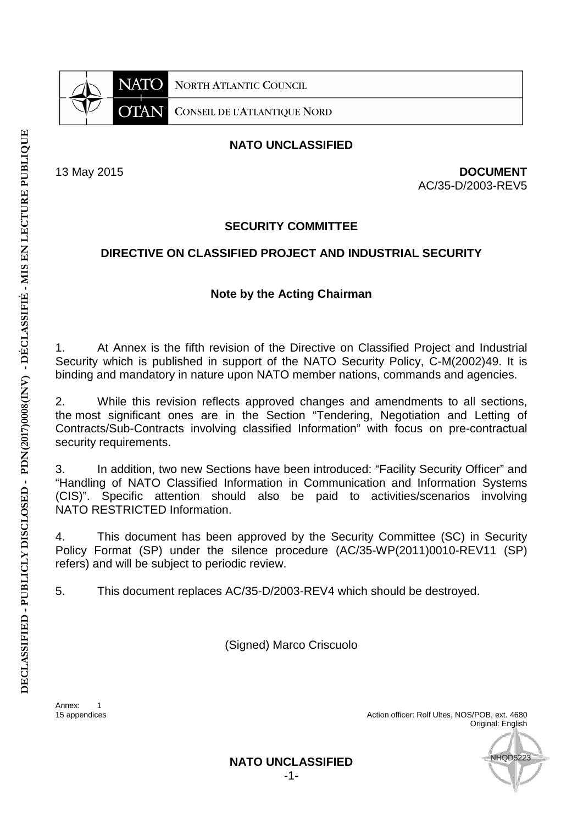

13 May 2015 **DOCUMENT** AC/35-D/2003-REV5

## **SECURITY COMMITTEE**

## **DIRECTIVE ON CLASSIFIED PROJECT AND INDUSTRIAL SECURITY**

## **Note by the Acting Chairman**

1. At Annex is the fifth revision of the Directive on Classified Project and Industrial Security which is published in support of the NATO Security Policy, C-M(2002)49. It is binding and mandatory in nature upon NATO member nations, commands and agencies.

2. While this revision reflects approved changes and amendments to all sections, the most significant ones are in the Section "Tendering, Negotiation and Letting of Contracts/Sub-Contracts involving classified Information" with focus on pre-contractual security requirements.

3. In addition, two new Sections have been introduced: "Facility Security Officer" and "Handling of NATO Classified Information in Communication and Information Systems (CIS)". Specific attention should also be paid to activities/scenarios involving NATO RESTRICTED Information.

4. This document has been approved by the Security Committee (SC) in Security Policy Format (SP) under the silence procedure (AC/35-WP(2011)0010-REV11 (SP) refers) and will be subject to periodic review.

5. This document replaces AC/35-D/2003-REV4 which should be destroyed.

(Signed) Marco Criscuolo

Annex: 1<br>15 appendices

Action officer: Rolf Ultes, NOS/POB, ext. 4680 Original: English

**HOD5223**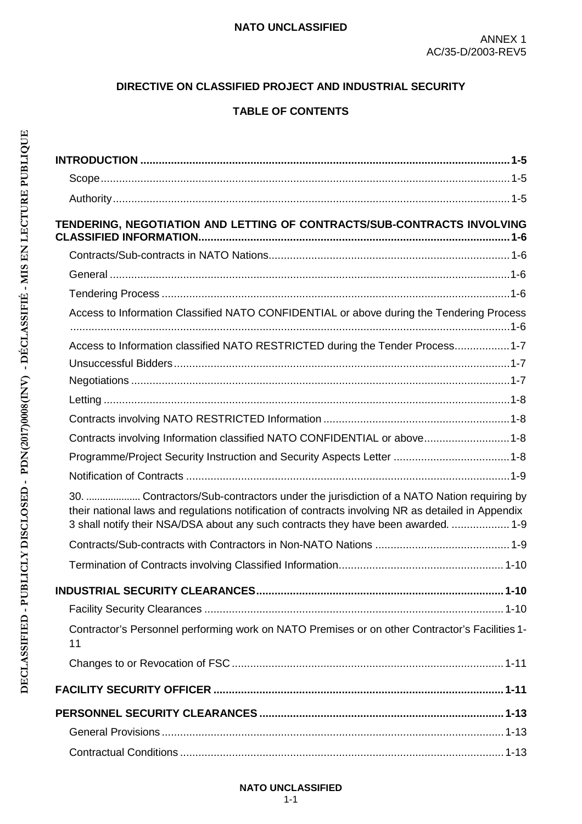# **DIRECTIVE ON CLASSIFIED PROJECT AND INDUSTRIAL SECURITY**

# **TABLE OF CONTENTS**

| TENDERING, NEGOTIATION AND LETTING OF CONTRACTS/SUB-CONTRACTS INVOLVING                                                                                                                                                                                                           |  |
|-----------------------------------------------------------------------------------------------------------------------------------------------------------------------------------------------------------------------------------------------------------------------------------|--|
|                                                                                                                                                                                                                                                                                   |  |
|                                                                                                                                                                                                                                                                                   |  |
|                                                                                                                                                                                                                                                                                   |  |
|                                                                                                                                                                                                                                                                                   |  |
| Access to Information Classified NATO CONFIDENTIAL or above during the Tendering Process                                                                                                                                                                                          |  |
| Access to Information classified NATO RESTRICTED during the Tender Process 1-7                                                                                                                                                                                                    |  |
|                                                                                                                                                                                                                                                                                   |  |
|                                                                                                                                                                                                                                                                                   |  |
|                                                                                                                                                                                                                                                                                   |  |
|                                                                                                                                                                                                                                                                                   |  |
| Contracts involving Information classified NATO CONFIDENTIAL or above1-8                                                                                                                                                                                                          |  |
|                                                                                                                                                                                                                                                                                   |  |
|                                                                                                                                                                                                                                                                                   |  |
| 30.  Contractors/Sub-contractors under the jurisdiction of a NATO Nation requiring by<br>their national laws and regulations notification of contracts involving NR as detailed in Appendix<br>3 shall notify their NSA/DSA about any such contracts they have been awarded.  1-9 |  |
|                                                                                                                                                                                                                                                                                   |  |
|                                                                                                                                                                                                                                                                                   |  |
|                                                                                                                                                                                                                                                                                   |  |
|                                                                                                                                                                                                                                                                                   |  |
| Contractor's Personnel performing work on NATO Premises or on other Contractor's Facilities 1-<br>11                                                                                                                                                                              |  |
|                                                                                                                                                                                                                                                                                   |  |
|                                                                                                                                                                                                                                                                                   |  |
|                                                                                                                                                                                                                                                                                   |  |
|                                                                                                                                                                                                                                                                                   |  |
|                                                                                                                                                                                                                                                                                   |  |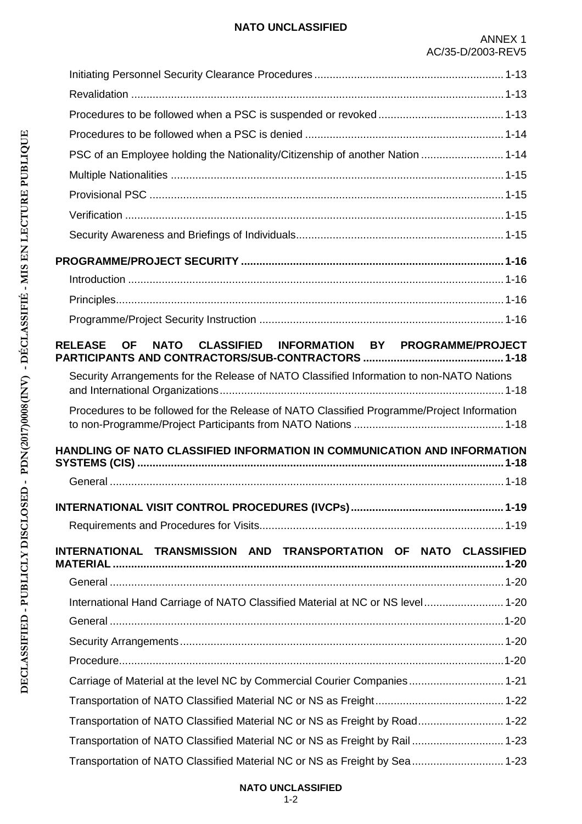| PSC of an Employee holding the Nationality/Citizenship of another Nation  1-14             |  |
|--------------------------------------------------------------------------------------------|--|
|                                                                                            |  |
|                                                                                            |  |
|                                                                                            |  |
|                                                                                            |  |
|                                                                                            |  |
|                                                                                            |  |
|                                                                                            |  |
|                                                                                            |  |
| NATO CLASSIFIED INFORMATION BY PROGRAMME/PROJECT<br><b>RELEASE OF</b>                      |  |
|                                                                                            |  |
| Security Arrangements for the Release of NATO Classified Information to non-NATO Nations   |  |
| Procedures to be followed for the Release of NATO Classified Programme/Project Information |  |
| HANDLING OF NATO CLASSIFIED INFORMATION IN COMMUNICATION AND INFORMATION                   |  |
|                                                                                            |  |
|                                                                                            |  |
|                                                                                            |  |
|                                                                                            |  |
| INTERNATIONAL TRANSMISSION AND TRANSPORTATION OF NATO CLASSIFIED                           |  |
|                                                                                            |  |
| International Hand Carriage of NATO Classified Material at NC or NS level 1-20             |  |
|                                                                                            |  |
|                                                                                            |  |
|                                                                                            |  |
| Carriage of Material at the level NC by Commercial Courier Companies 1-21                  |  |
|                                                                                            |  |
| Transportation of NATO Classified Material NC or NS as Freight by Road 1-22                |  |
| Transportation of NATO Classified Material NC or NS as Freight by Rail 1-23                |  |
| Transportation of NATO Classified Material NC or NS as Freight by Sea  1-23                |  |

# **NATO UNCLASSIFIED**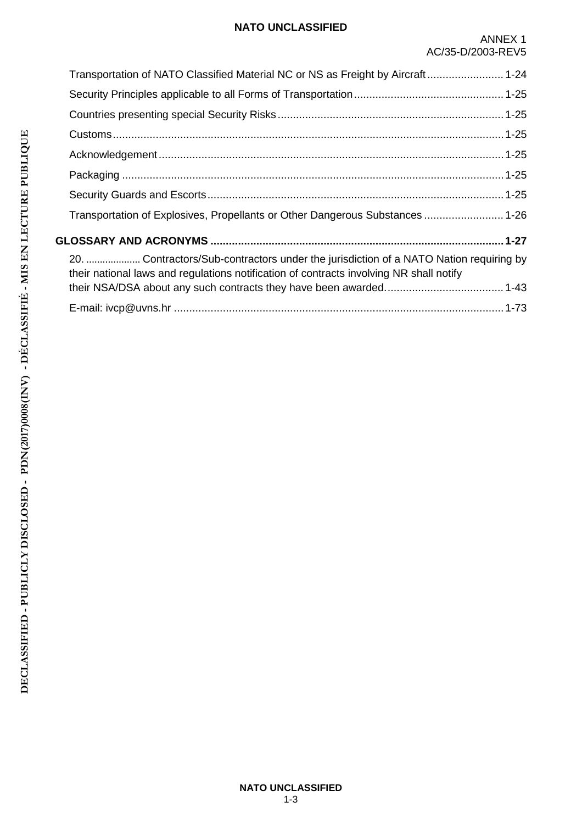| Transportation of NATO Classified Material NC or NS as Freight by Aircraft 1-24                                                                                                  |  |
|----------------------------------------------------------------------------------------------------------------------------------------------------------------------------------|--|
|                                                                                                                                                                                  |  |
|                                                                                                                                                                                  |  |
|                                                                                                                                                                                  |  |
|                                                                                                                                                                                  |  |
|                                                                                                                                                                                  |  |
|                                                                                                                                                                                  |  |
| Transportation of Explosives, Propellants or Other Dangerous Substances  1-26                                                                                                    |  |
|                                                                                                                                                                                  |  |
| 20.  Contractors/Sub-contractors under the jurisdiction of a NATO Nation requiring by<br>their national laws and regulations notification of contracts involving NR shall notify |  |
|                                                                                                                                                                                  |  |
|                                                                                                                                                                                  |  |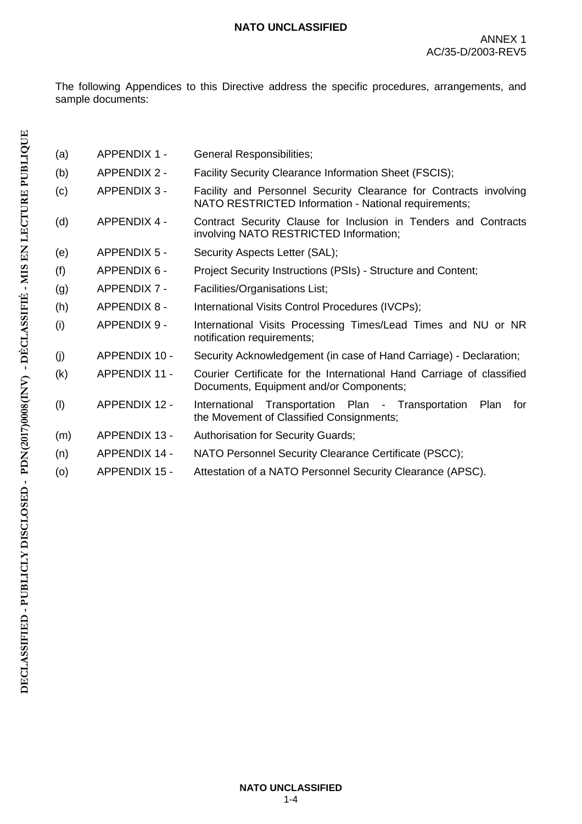The following Appendices to this Directive address the specific procedures, arrangements, and sample documents:

| (a) | <b>APPENDIX 1 -</b>  | General Responsibilities;                                                                                                 |
|-----|----------------------|---------------------------------------------------------------------------------------------------------------------------|
| (b) | <b>APPENDIX 2 -</b>  | Facility Security Clearance Information Sheet (FSCIS);                                                                    |
| (c) | <b>APPENDIX 3 -</b>  | Facility and Personnel Security Clearance for Contracts involving<br>NATO RESTRICTED Information - National requirements; |
| (d) | <b>APPENDIX 4 -</b>  | Contract Security Clause for Inclusion in Tenders and Contracts<br>involving NATO RESTRICTED Information;                 |
| (e) | <b>APPENDIX 5 -</b>  | Security Aspects Letter (SAL);                                                                                            |
| (f) | <b>APPENDIX 6 -</b>  | Project Security Instructions (PSIs) - Structure and Content;                                                             |
| (g) | <b>APPENDIX 7 -</b>  | Facilities/Organisations List;                                                                                            |
| (h) | <b>APPENDIX 8 -</b>  | International Visits Control Procedures (IVCPs);                                                                          |
| (i) | APPENDIX 9 -         | International Visits Processing Times/Lead Times and NU or NR<br>notification requirements;                               |
| (i) | APPENDIX 10 -        | Security Acknowledgement (in case of Hand Carriage) - Declaration;                                                        |
| (k) | <b>APPENDIX 11 -</b> | Courier Certificate for the International Hand Carriage of classified<br>Documents, Equipment and/or Components;          |
| (1) | <b>APPENDIX 12 -</b> | International Transportation Plan - Transportation<br>Plan<br>for<br>the Movement of Classified Consignments;             |
| (m) | <b>APPENDIX 13 -</b> | <b>Authorisation for Security Guards;</b>                                                                                 |
| (n) | <b>APPENDIX 14 -</b> | NATO Personnel Security Clearance Certificate (PSCC);                                                                     |
| (o) | <b>APPENDIX 15 -</b> | Attestation of a NATO Personnel Security Clearance (APSC).                                                                |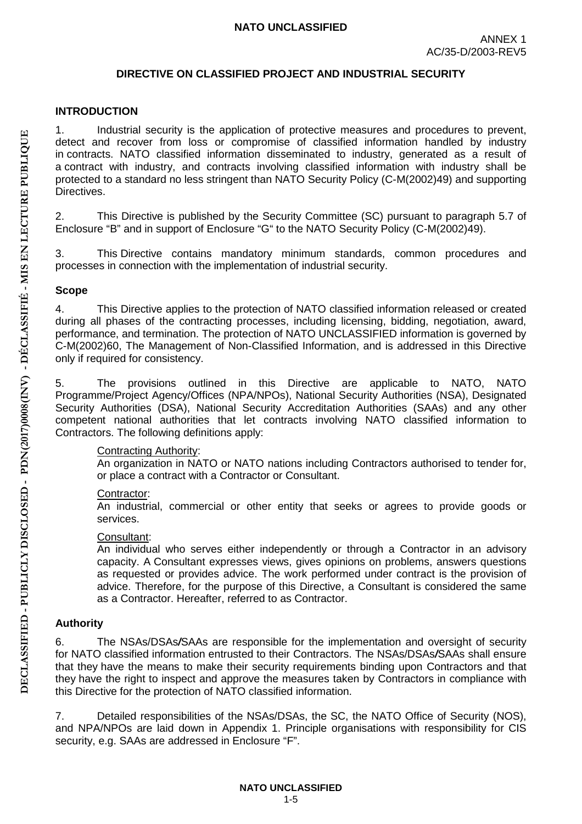### **DIRECTIVE ON CLASSIFIED PROJECT AND INDUSTRIAL SECURITY**

### <span id="page-5-0"></span>**INTRODUCTION**

1. Industrial security is the application of protective measures and procedures to prevent, detect and recover from loss or compromise of classified information handled by industry in contracts. NATO classified information disseminated to industry, generated as a result of a contract with industry, and contracts involving classified information with industry shall be protected to a standard no less stringent than NATO Security Policy (C-M(2002)49) and supporting Directives.

2. This Directive is published by the Security Committee (SC) pursuant to paragraph 5.7 of Enclosure "B" and in support of Enclosure "G" to the NATO Security Policy (C-M(2002)49).

3. This Directive contains mandatory minimum standards, common procedures and processes in connection with the implementation of industrial security.

### <span id="page-5-1"></span>**Scope**

4. This Directive applies to the protection of NATO classified information released or created during all phases of the contracting processes, including licensing, bidding, negotiation, award, performance, and termination. The protection of NATO UNCLASSIFIED information is governed by C-M(2002)60, The Management of Non-Classified Information, and is addressed in this Directive only if required for consistency.

5. The provisions outlined in this Directive are applicable to NATO, NATO Programme/Project Agency/Offices (NPA/NPOs), National Security Authorities (NSA), Designated Security Authorities (DSA), National Security Accreditation Authorities (SAAs) and any other competent national authorities that let contracts involving NATO classified information to Contractors. The following definitions apply:

## Contracting Authority:

An organization in NATO or NATO nations including Contractors authorised to tender for, or place a contract with a Contractor or Consultant.

## Contractor:

An industrial, commercial or other entity that seeks or agrees to provide goods or services.

### Consultant:

An individual who serves either independently or through a Contractor in an advisory capacity. A Consultant expresses views, gives opinions on problems, answers questions as requested or provides advice. The work performed under contract is the provision of advice. Therefore, for the purpose of this Directive, a Consultant is considered the same as a Contractor. Hereafter, referred to as Contractor.

## <span id="page-5-2"></span>**Authority**

6. The NSAs/DSAs*/*SAAs are responsible for the implementation and oversight of security for NATO classified information entrusted to their Contractors. The NSAs/DSAs*/*SAAs shall ensure that they have the means to make their security requirements binding upon Contractors and that they have the right to inspect and approve the measures taken by Contractors in compliance with this Directive for the protection of NATO classified information.

7. Detailed responsibilities of the NSAs/DSAs, the SC, the NATO Office of Security (NOS), and NPA/NPOs are laid down in Appendix 1. Principle organisations with responsibility for CIS security, e.g. SAAs are addressed in Enclosure "F".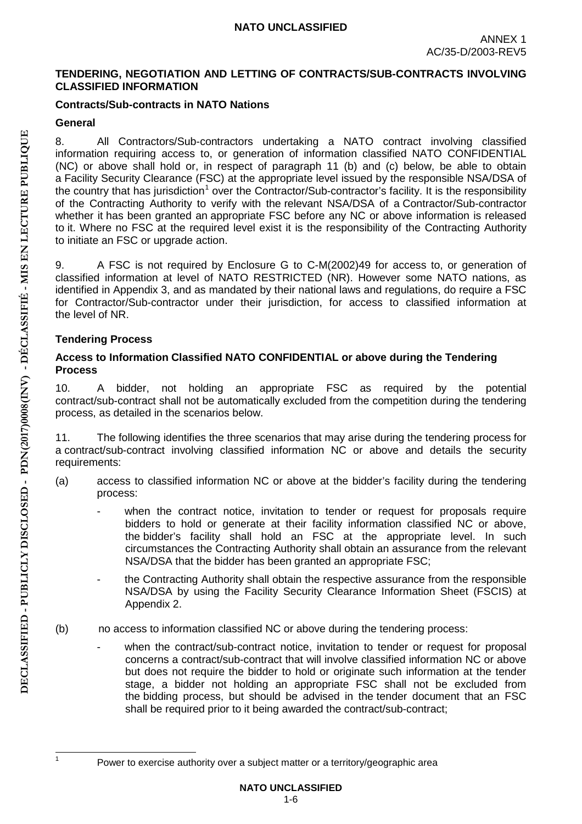### <span id="page-6-0"></span>**TENDERING, NEGOTIATION AND LETTING OF CONTRACTS/SUB-CONTRACTS INVOLVING CLASSIFIED INFORMATION**

## <span id="page-6-1"></span>**Contracts/Sub-contracts in NATO Nations**

## <span id="page-6-2"></span>**General**

8. All Contractors/Sub-contractors undertaking a NATO contract involving classified information requiring access to, or generation of information classified NATO CONFIDENTIAL (NC) or above shall hold or, in respect of paragraph 11 (b) and (c) below, be able to obtain a Facility Security Clearance (FSC) at the appropriate level issued by the responsible NSA/DSA of the country that has jurisdiction<sup>1</sup> over the Contractor/Sub-contractor's facility. It is the responsibility of the Contracting Authority to verify with the relevant NSA/DSA of a Contractor/Sub-contractor whether it has been granted an appropriate FSC before any NC or above information is released to it. Where no FSC at the required level exist it is the responsibility of the Contracting Authority to initiate an FSC or upgrade action.

9. A FSC is not required by Enclosure G to C-M(2002)49 for access to, or generation of classified information at level of NATO RESTRICTED (NR). However some NATO nations, as identified in Appendix 3, and as mandated by their national laws and regulations, do require a FSC for Contractor/Sub-contractor under their jurisdiction, for access to classified information at the level of NR.

## <span id="page-6-3"></span>**Tendering Process**

### <span id="page-6-4"></span>**Access to Information Classified NATO CONFIDENTIAL or above during the Tendering Process**

10. A bidder, not holding an appropriate FSC as required by the potential contract/sub-contract shall not be automatically excluded from the competition during the tendering process, as detailed in the scenarios below.

11. The following identifies the three scenarios that may arise during the tendering process for a contract/sub-contract involving classified information NC or above and details the security requirements:

- (a) access to classified information NC or above at the bidder's facility during the tendering process:
	- when the contract notice, invitation to tender or request for proposals require bidders to hold or generate at their facility information classified NC or above, the bidder's facility shall hold an FSC at the appropriate level. In such circumstances the Contracting Authority shall obtain an assurance from the relevant NSA/DSA that the bidder has been granted an appropriate FSC;
	- the Contracting Authority shall obtain the respective assurance from the responsible NSA/DSA by using the Facility Security Clearance Information Sheet (FSCIS) at Appendix 2.
- (b) no access to information classified NC or above during the tendering process:
	- when the contract/sub-contract notice, invitation to tender or request for proposal concerns a contract/sub-contract that will involve classified information NC or above but does not require the bidder to hold or originate such information at the tender stage, a bidder not holding an appropriate FSC shall not be excluded from the bidding process, but should be advised in the tender document that an FSC shall be required prior to it being awarded the contract/sub-contract;

<sup>&</sup>lt;sup>1</sup> Power to exercise authority over a subject matter or a territory/geographic area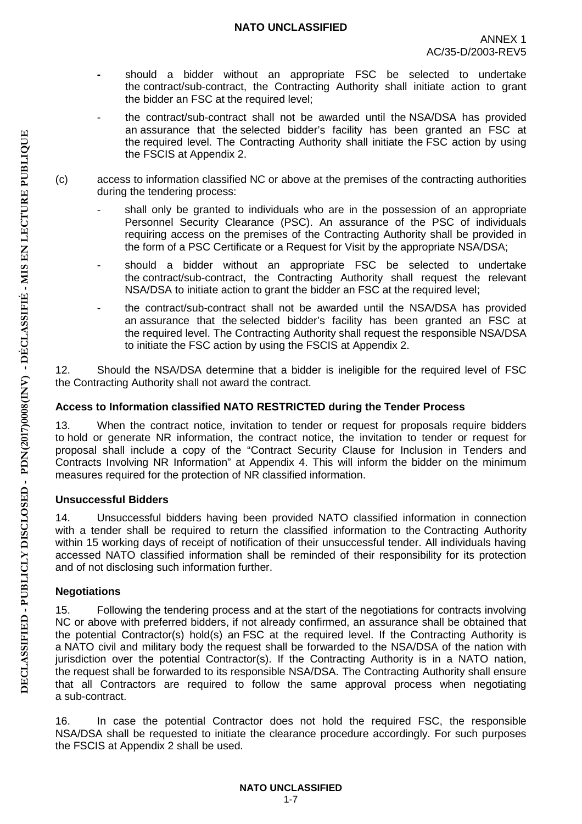- *-* should a bidder without an appropriate FSC be selected to undertake the contract/sub-contract, the Contracting Authority shall initiate action to grant the bidder an FSC at the required level;
- the contract/sub-contract shall not be awarded until the NSA/DSA has provided an assurance that the selected bidder's facility has been granted an FSC at the required level. The Contracting Authority shall initiate the FSC action by using the FSCIS at Appendix 2.
- (c) access to information classified NC or above at the premises of the contracting authorities during the tendering process:
	- shall only be granted to individuals who are in the possession of an appropriate Personnel Security Clearance (PSC). An assurance of the PSC of individuals requiring access on the premises of the Contracting Authority shall be provided in the form of a PSC Certificate or a Request for Visit by the appropriate NSA/DSA;
	- should a bidder without an appropriate FSC be selected to undertake the contract/sub-contract, the Contracting Authority shall request the relevant NSA/DSA to initiate action to grant the bidder an FSC at the required level;
	- the contract/sub-contract shall not be awarded until the NSA/DSA has provided an assurance that the selected bidder's facility has been granted an FSC at the required level. The Contracting Authority shall request the responsible NSA/DSA to initiate the FSC action by using the FSCIS at Appendix 2.

12. Should the NSA/DSA determine that a bidder is ineligible for the required level of FSC the Contracting Authority shall not award the contract.

## <span id="page-7-0"></span>**Access to Information classified NATO RESTRICTED during the Tender Process**

13. When the contract notice, invitation to tender or request for proposals require bidders to hold or generate NR information, the contract notice, the invitation to tender or request for proposal shall include a copy of the "Contract Security Clause for Inclusion in Tenders and Contracts Involving NR Information" at Appendix 4. This will inform the bidder on the minimum measures required for the protection of NR classified information.

## <span id="page-7-1"></span>**Unsuccessful Bidders**

14. Unsuccessful bidders having been provided NATO classified information in connection with a tender shall be required to return the classified information to the Contracting Authority within 15 working days of receipt of notification of their unsuccessful tender. All individuals having accessed NATO classified information shall be reminded of their responsibility for its protection and of not disclosing such information further.

# <span id="page-7-2"></span>**Negotiations**

15. Following the tendering process and at the start of the negotiations for contracts involving NC or above with preferred bidders, if not already confirmed, an assurance shall be obtained that the potential Contractor(s) hold(s) an FSC at the required level. If the Contracting Authority is a NATO civil and military body the request shall be forwarded to the NSA/DSA of the nation with jurisdiction over the potential Contractor(s). If the Contracting Authority is in a NATO nation, the request shall be forwarded to its responsible NSA/DSA. The Contracting Authority shall ensure that all Contractors are required to follow the same approval process when negotiating a sub-contract.

16. In case the potential Contractor does not hold the required FSC, the responsible NSA/DSA shall be requested to initiate the clearance procedure accordingly. For such purposes the FSCIS at Appendix 2 shall be used.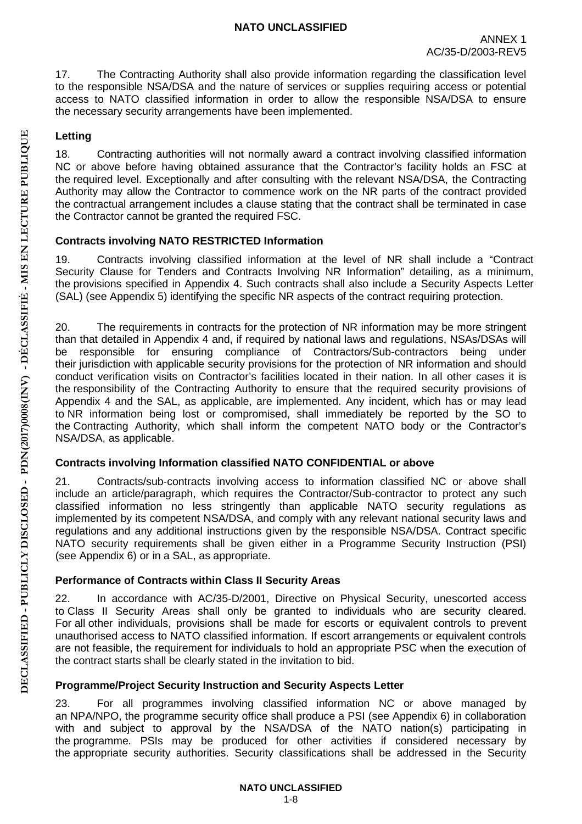17. The Contracting Authority shall also provide information regarding the classification level to the responsible NSA/DSA and the nature of services or supplies requiring access or potential access to NATO classified information in order to allow the responsible NSA/DSA to ensure the necessary security arrangements have been implemented.

## <span id="page-8-0"></span>**Letting**

18. Contracting authorities will not normally award a contract involving classified information NC or above before having obtained assurance that the Contractor's facility holds an FSC at the required level. Exceptionally and after consulting with the relevant NSA/DSA, the Contracting Authority may allow the Contractor to commence work on the NR parts of the contract provided the contractual arrangement includes a clause stating that the contract shall be terminated in case the Contractor cannot be granted the required FSC.

## <span id="page-8-1"></span>**Contracts involving NATO RESTRICTED Information**

19. Contracts involving classified information at the level of NR shall include a "Contract Security Clause for Tenders and Contracts Involving NR Information" detailing, as a minimum, the provisions specified in Appendix 4. Such contracts shall also include a Security Aspects Letter (SAL) (see Appendix 5) identifying the specific NR aspects of the contract requiring protection.

20. The requirements in contracts for the protection of NR information may be more stringent than that detailed in Appendix 4 and, if required by national laws and regulations, NSAs/DSAs will be responsible for ensuring compliance of Contractors/Sub-contractors being under their jurisdiction with applicable security provisions for the protection of NR information and should conduct verification visits on Contractor's facilities located in their nation. In all other cases it is the responsibility of the Contracting Authority to ensure that the required security provisions of Appendix 4 and the SAL, as applicable, are implemented. Any incident, which has or may lead to NR information being lost or compromised, shall immediately be reported by the SO to the Contracting Authority, which shall inform the competent NATO body or the Contractor's NSA/DSA, as applicable.

## <span id="page-8-2"></span>**Contracts involving Information classified NATO CONFIDENTIAL or above**

21. Contracts/sub-contracts involving access to information classified NC or above shall include an article/paragraph, which requires the Contractor/Sub-contractor to protect any such classified information no less stringently than applicable NATO security regulations as implemented by its competent NSA/DSA, and comply with any relevant national security laws and regulations and any additional instructions given by the responsible NSA/DSA. Contract specific NATO security requirements shall be given either in a Programme Security Instruction (PSI) (see Appendix 6) or in a SAL, as appropriate.

# **Performance of Contracts within Class II Security Areas**

22. In accordance with AC/35-D/2001, Directive on Physical Security, unescorted access to Class II Security Areas shall only be granted to individuals who are security cleared. For all other individuals, provisions shall be made for escorts or equivalent controls to prevent unauthorised access to NATO classified information. If escort arrangements or equivalent controls are not feasible, the requirement for individuals to hold an appropriate PSC when the execution of the contract starts shall be clearly stated in the invitation to bid.

# <span id="page-8-3"></span>**Programme/Project Security Instruction and Security Aspects Letter**

23. For all programmes involving classified information NC or above managed by an NPA/NPO, the programme security office shall produce a PSI (see Appendix 6) in collaboration with and subject to approval by the NSA/DSA of the NATO nation(s) participating in the programme. PSIs may be produced for other activities if considered necessary by the appropriate security authorities. Security classifications shall be addressed in the Security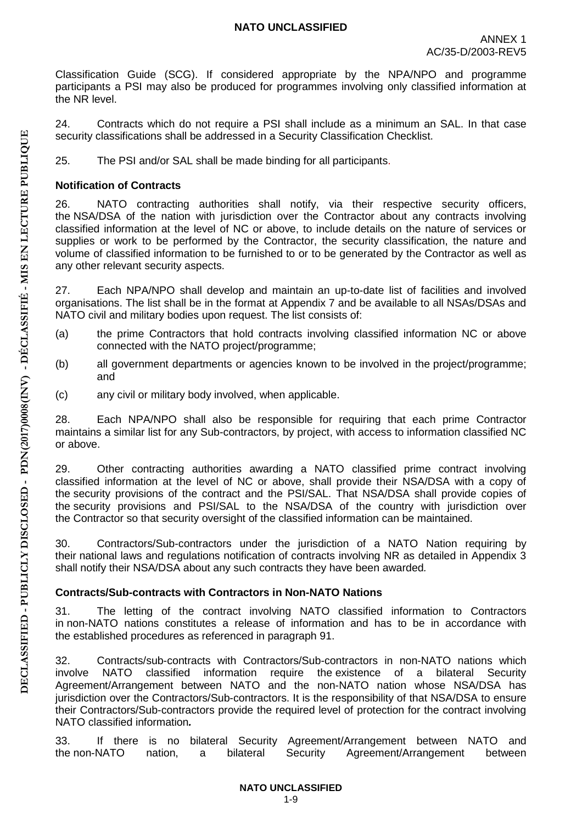Classification Guide (SCG). If considered appropriate by the NPA/NPO and programme participants a PSI may also be produced for programmes involving only classified information at the NR level.

24. Contracts which do not require a PSI shall include as a minimum an SAL. In that case security classifications shall be addressed in a Security Classification Checklist.

25. The PSI and/or SAL shall be made binding for all participants.

## <span id="page-9-0"></span>**Notification of Contracts**

26. NATO contracting authorities shall notify, via their respective security officers, the NSA/DSA of the nation with jurisdiction over the Contractor about any contracts involving classified information at the level of NC or above, to include details on the nature of services or supplies or work to be performed by the Contractor, the security classification, the nature and volume of classified information to be furnished to or to be generated by the Contractor as well as any other relevant security aspects.

27. Each NPA/NPO shall develop and maintain an up-to-date list of facilities and involved organisations. The list shall be in the format at Appendix 7 and be available to all NSAs/DSAs and NATO civil and military bodies upon request. The list consists of:

- (a) the prime Contractors that hold contracts involving classified information NC or above connected with the NATO project/programme;
- (b) all government departments or agencies known to be involved in the project/programme; and
- (c) any civil or military body involved, when applicable.

28. Each NPA/NPO shall also be responsible for requiring that each prime Contractor maintains a similar list for any Sub-contractors, by project, with access to information classified NC or above.

29. Other contracting authorities awarding a NATO classified prime contract involving classified information at the level of NC or above, shall provide their NSA/DSA with a copy of the security provisions of the contract and the PSI/SAL. That NSA/DSA shall provide copies of the security provisions and PSI/SAL to the NSA/DSA of the country with jurisdiction over the Contractor so that security oversight of the classified information can be maintained.

<span id="page-9-1"></span>30. Contractors/Sub-contractors under the jurisdiction of a NATO Nation requiring by their national laws and regulations notification of contracts involving NR as detailed in Appendix 3 shall notify their NSA/DSA about any such contracts they have been awarded*.*

# <span id="page-9-2"></span>**Contracts/Sub-contracts with Contractors in Non-NATO Nations**

31. The letting of the contract involving NATO classified information to Contractors in non-NATO nations constitutes a release of information and has to be in accordance with the established procedures as referenced in paragraph 91.

32. Contracts/sub-contracts with Contractors/Sub-contractors in non-NATO nations which involve NATO classified information require the existence of a bilateral Security Agreement/Arrangement between NATO and the non-NATO nation whose NSA/DSA has jurisdiction over the Contractors/Sub-contractors. It is the responsibility of that NSA/DSA to ensure their Contractors/Sub-contractors provide the required level of protection for the contract involving NATO classified information*.* 

33. If there is no bilateral Security Agreement/Arrangement between NATO and the non-NATO nation, a bilateral Security Agreement/Arrangement between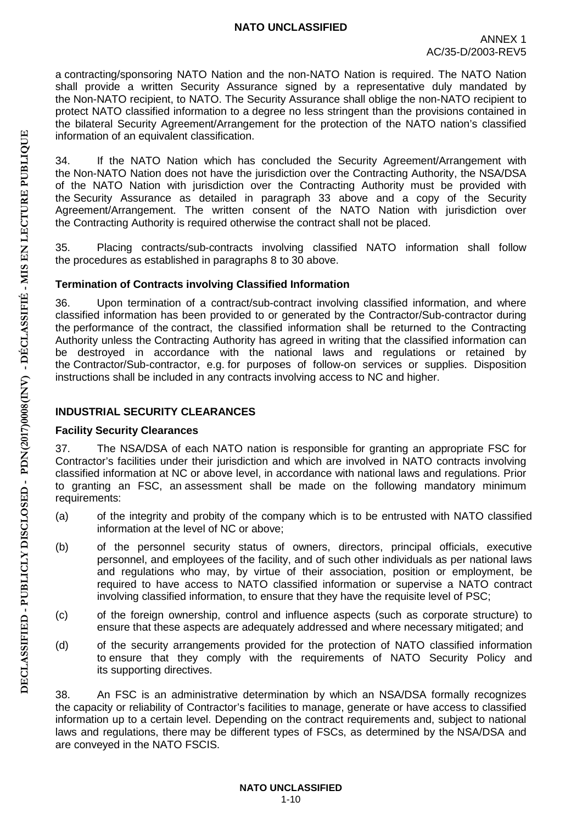a contracting/sponsoring NATO Nation and the non-NATO Nation is required. The NATO Nation shall provide a written Security Assurance signed by a representative duly mandated by the Non-NATO recipient, to NATO. The Security Assurance shall oblige the non-NATO recipient to protect NATO classified information to a degree no less stringent than the provisions contained in the bilateral Security Agreement/Arrangement for the protection of the NATO nation's classified information of an equivalent classification.

34. If the NATO Nation which has concluded the Security Agreement/Arrangement with the Non-NATO Nation does not have the jurisdiction over the Contracting Authority, the NSA/DSA of the NATO Nation with jurisdiction over the Contracting Authority must be provided with the Security Assurance as detailed in paragraph 33 above and a copy of the Security Agreement/Arrangement. The written consent of the NATO Nation with jurisdiction over the Contracting Authority is required otherwise the contract shall not be placed.

35. Placing contracts/sub-contracts involving classified NATO information shall follow the procedures as established in paragraphs 8 to 30 above.

## <span id="page-10-0"></span>**Termination of Contracts involving Classified Information**

36. Upon termination of a contract/sub-contract involving classified information, and where classified information has been provided to or generated by the Contractor/Sub-contractor during the performance of the contract, the classified information shall be returned to the Contracting Authority unless the Contracting Authority has agreed in writing that the classified information can be destroyed in accordance with the national laws and regulations or retained by the Contractor/Sub-contractor, e.g. for purposes of follow-on services or supplies. Disposition instructions shall be included in any contracts involving access to NC and higher.

# <span id="page-10-1"></span>**INDUSTRIAL SECURITY CLEARANCES**

# <span id="page-10-2"></span>**Facility Security Clearances**

37. The NSA/DSA of each NATO nation is responsible for granting an appropriate FSC for Contractor's facilities under their jurisdiction and which are involved in NATO contracts involving classified information at NC or above level, in accordance with national laws and regulations. Prior to granting an FSC, an assessment shall be made on the following mandatory minimum requirements:

- (a) of the integrity and probity of the company which is to be entrusted with NATO classified information at the level of NC or above;
- (b) of the personnel security status of owners, directors, principal officials, executive personnel, and employees of the facility, and of such other individuals as per national laws and regulations who may, by virtue of their association, position or employment, be required to have access to NATO classified information or supervise a NATO contract involving classified information, to ensure that they have the requisite level of PSC;
- (c) of the foreign ownership, control and influence aspects (such as corporate structure) to ensure that these aspects are adequately addressed and where necessary mitigated; and
- (d) of the security arrangements provided for the protection of NATO classified information to ensure that they comply with the requirements of NATO Security Policy and its supporting directives.

38. An FSC is an administrative determination by which an NSA/DSA formally recognizes the capacity or reliability of Contractor's facilities to manage, generate or have access to classified information up to a certain level. Depending on the contract requirements and, subject to national laws and regulations, there may be different types of FSCs, as determined by the NSA/DSA and are conveyed in the NATO FSCIS.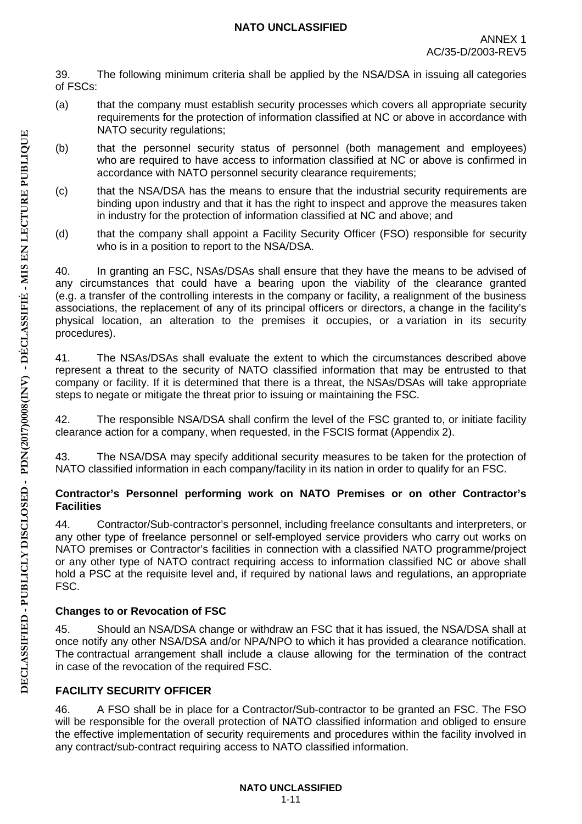39. The following minimum criteria shall be applied by the NSA/DSA in issuing all categories of FSCs:

- (a) that the company must establish security processes which covers all appropriate security requirements for the protection of information classified at NC or above in accordance with NATO security regulations;
- (b) that the personnel security status of personnel (both management and employees) who are required to have access to information classified at NC or above is confirmed in accordance with NATO personnel security clearance requirements;
- (c) that the NSA/DSA has the means to ensure that the industrial security requirements are binding upon industry and that it has the right to inspect and approve the measures taken in industry for the protection of information classified at NC and above; and
- (d) that the company shall appoint a Facility Security Officer (FSO) responsible for security who is in a position to report to the NSA/DSA.

40. In granting an FSC, NSAs/DSAs shall ensure that they have the means to be advised of any circumstances that could have a bearing upon the viability of the clearance granted (e.g. a transfer of the controlling interests in the company or facility, a realignment of the business associations, the replacement of any of its principal officers or directors, a change in the facility's physical location, an alteration to the premises it occupies, or a variation in its security procedures).

41. The NSAs/DSAs shall evaluate the extent to which the circumstances described above represent a threat to the security of NATO classified information that may be entrusted to that company or facility. If it is determined that there is a threat, the NSAs/DSAs will take appropriate steps to negate or mitigate the threat prior to issuing or maintaining the FSC.

42. The responsible NSA/DSA shall confirm the level of the FSC granted to, or initiate facility clearance action for a company, when requested, in the FSCIS format (Appendix 2).

43. The NSA/DSA may specify additional security measures to be taken for the protection of NATO classified information in each company/facility in its nation in order to qualify for an FSC.

### <span id="page-11-0"></span>**Contractor's Personnel performing work on NATO Premises or on other Contractor's Facilities**

44. Contractor/Sub-contractor's personnel, including freelance consultants and interpreters, or any other type of freelance personnel or self-employed service providers who carry out works on NATO premises or Contractor's facilities in connection with a classified NATO programme/project or any other type of NATO contract requiring access to information classified NC or above shall hold a PSC at the requisite level and, if required by national laws and regulations, an appropriate FSC.

# <span id="page-11-1"></span>**Changes to or Revocation of FSC**

45. Should an NSA/DSA change or withdraw an FSC that it has issued, the NSA/DSA shall at once notify any other NSA/DSA and/or NPA/NPO to which it has provided a clearance notification. The contractual arrangement shall include a clause allowing for the termination of the contract in case of the revocation of the required FSC.

# <span id="page-11-2"></span>**FACILITY SECURITY OFFICER**

46. A FSO shall be in place for a Contractor/Sub-contractor to be granted an FSC. The FSO will be responsible for the overall protection of NATO classified information and obliged to ensure the effective implementation of security requirements and procedures within the facility involved in any contract/sub-contract requiring access to NATO classified information.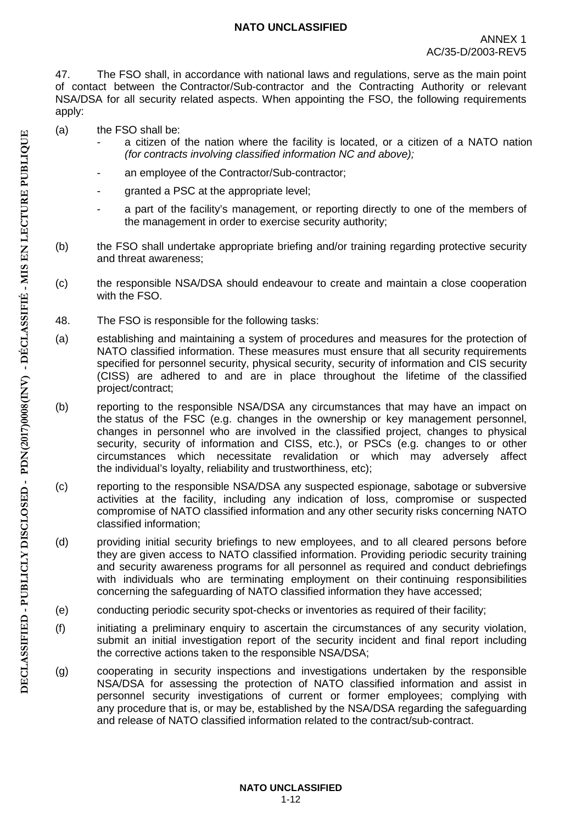47. The FSO shall, in accordance with national laws and regulations, serve as the main point of contact between the Contractor/Sub-contractor and the Contracting Authority or relevant NSA/DSA for all security related aspects. When appointing the FSO, the following requirements apply:

- (a) the FSO shall be:
	- a citizen of the nation where the facility is located, or a citizen of a NATO nation *(for contracts involving classified information NC and above);*
	- an employee of the Contractor/Sub-contractor;
	- granted a PSC at the appropriate level;
	- a part of the facility's management, or reporting directly to one of the members of the management in order to exercise security authority;
- (b) the FSO shall undertake appropriate briefing and/or training regarding protective security and threat awareness;
- (c) the responsible NSA/DSA should endeavour to create and maintain a close cooperation with the FSO.
- 48. The FSO is responsible for the following tasks:
- (a) establishing and maintaining a system of procedures and measures for the protection of NATO classified information. These measures must ensure that all security requirements specified for personnel security, physical security, security of information and CIS security (CISS) are adhered to and are in place throughout the lifetime of the classified project/contract;
- (b) reporting to the responsible NSA/DSA any circumstances that may have an impact on the status of the FSC (e.g. changes in the ownership or key management personnel, changes in personnel who are involved in the classified project, changes to physical security, security of information and CISS, etc.), or PSCs (e.g. changes to or other circumstances which necessitate revalidation or which may adversely affect the individual's loyalty, reliability and trustworthiness, etc);
- (c) reporting to the responsible NSA/DSA any suspected espionage, sabotage or subversive activities at the facility, including any indication of loss, compromise or suspected compromise of NATO classified information and any other security risks concerning NATO classified information;
- (d) providing initial security briefings to new employees, and to all cleared persons before they are given access to NATO classified information. Providing periodic security training and security awareness programs for all personnel as required and conduct debriefings with individuals who are terminating employment on their continuing responsibilities concerning the safeguarding of NATO classified information they have accessed;
- (e) conducting periodic security spot-checks or inventories as required of their facility;
- (f) initiating a preliminary enquiry to ascertain the circumstances of any security violation, submit an initial investigation report of the security incident and final report including the corrective actions taken to the responsible NSA/DSA;
- (g) cooperating in security inspections and investigations undertaken by the responsible NSA/DSA for assessing the protection of NATO classified information and assist in personnel security investigations of current or former employees; complying with any procedure that is, or may be, established by the NSA/DSA regarding the safeguarding and release of NATO classified information related to the contract/sub-contract.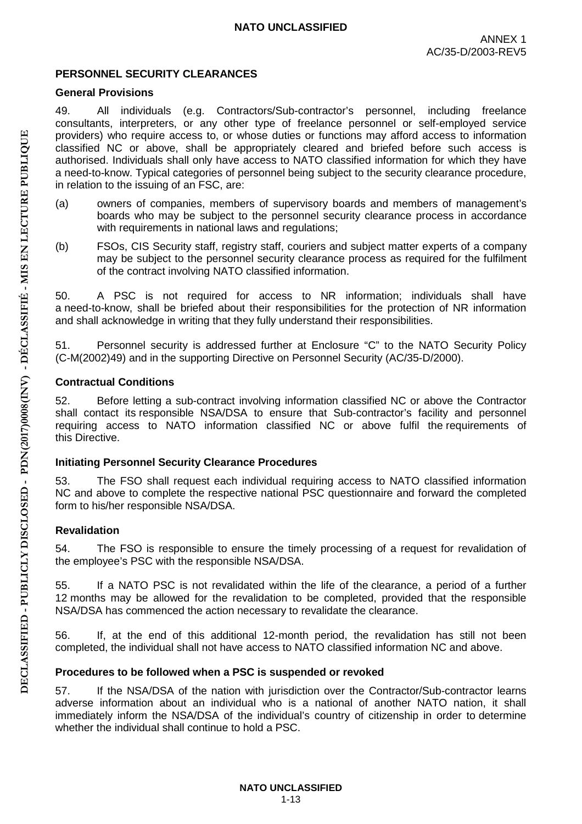## <span id="page-13-0"></span>**PERSONNEL SECURITY CLEARANCES**

## <span id="page-13-1"></span>**General Provisions**

49. All individuals (e.g. Contractors/Sub-contractor's personnel, including freelance consultants, interpreters, or any other type of freelance personnel or self-employed service providers) who require access to, or whose duties or functions may afford access to information classified NC or above, shall be appropriately cleared and briefed before such access is authorised. Individuals shall only have access to NATO classified information for which they have a need-to-know. Typical categories of personnel being subject to the security clearance procedure, in relation to the issuing of an FSC, are:

- (a) owners of companies, members of supervisory boards and members of management's boards who may be subject to the personnel security clearance process in accordance with requirements in national laws and regulations;
- (b) FSOs, CIS Security staff, registry staff, couriers and subject matter experts of a company may be subject to the personnel security clearance process as required for the fulfilment of the contract involving NATO classified information.

50. A PSC is not required for access to NR information; individuals shall have a need-to-know, shall be briefed about their responsibilities for the protection of NR information and shall acknowledge in writing that they fully understand their responsibilities.

51. Personnel security is addressed further at Enclosure "C" to the NATO Security Policy (C-M(2002)49) and in the supporting Directive on Personnel Security (AC/35-D/2000).

### <span id="page-13-2"></span>**Contractual Conditions**

52. Before letting a sub-contract involving information classified NC or above the Contractor shall contact its responsible NSA/DSA to ensure that Sub-contractor's facility and personnel requiring access to NATO information classified NC or above fulfil the requirements of this Directive.

## <span id="page-13-3"></span>**Initiating Personnel Security Clearance Procedures**

53. The FSO shall request each individual requiring access to NATO classified information NC and above to complete the respective national PSC questionnaire and forward the completed form to his/her responsible NSA/DSA.

## <span id="page-13-4"></span>**Revalidation**

54. The FSO is responsible to ensure the timely processing of a request for revalidation of the employee's PSC with the responsible NSA/DSA.

55. If a NATO PSC is not revalidated within the life of the clearance, a period of a further 12 months may be allowed for the revalidation to be completed, provided that the responsible NSA/DSA has commenced the action necessary to revalidate the clearance.

56. If, at the end of this additional 12-month period, the revalidation has still not been completed, the individual shall not have access to NATO classified information NC and above.

## <span id="page-13-5"></span>**Procedures to be followed when a PSC is suspended or revoked**

57. If the NSA/DSA of the nation with jurisdiction over the Contractor/Sub-contractor learns adverse information about an individual who is a national of another NATO nation, it shall immediately inform the NSA/DSA of the individual's country of citizenship in order to determine whether the individual shall continue to hold a PSC.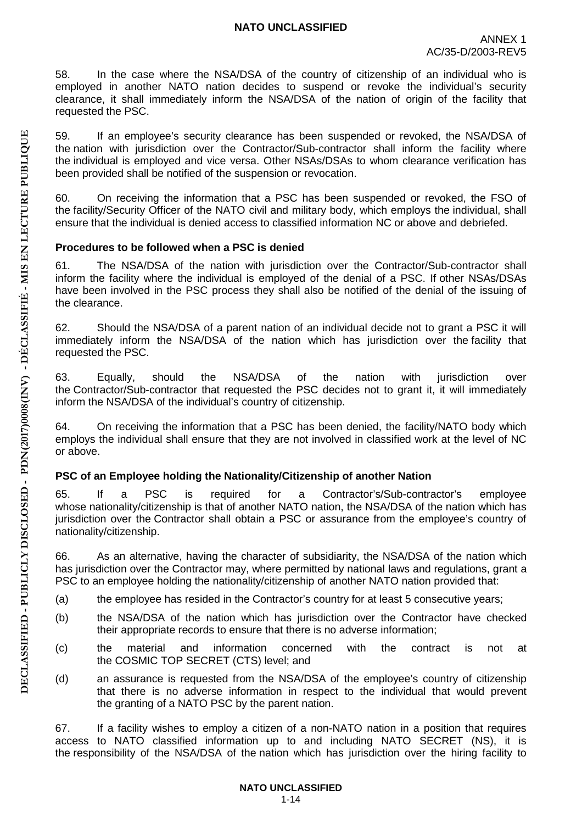58. In the case where the NSA/DSA of the country of citizenship of an individual who is employed in another NATO nation decides to suspend or revoke the individual's security clearance, it shall immediately inform the NSA/DSA of the nation of origin of the facility that requested the PSC.

59. If an employee's security clearance has been suspended or revoked, the NSA/DSA of the nation with jurisdiction over the Contractor/Sub-contractor shall inform the facility where the individual is employed and vice versa. Other NSAs/DSAs to whom clearance verification has been provided shall be notified of the suspension or revocation.

60. On receiving the information that a PSC has been suspended or revoked, the FSO of the facility/Security Officer of the NATO civil and military body, which employs the individual, shall ensure that the individual is denied access to classified information NC or above and debriefed.

### <span id="page-14-0"></span>**Procedures to be followed when a PSC is denied**

61. The NSA/DSA of the nation with jurisdiction over the Contractor/Sub-contractor shall inform the facility where the individual is employed of the denial of a PSC. If other NSAs/DSAs have been involved in the PSC process they shall also be notified of the denial of the issuing of the clearance.

62. Should the NSA/DSA of a parent nation of an individual decide not to grant a PSC it will immediately inform the NSA/DSA of the nation which has jurisdiction over the facility that requested the PSC.

63. Equally, should the NSA/DSA of the nation with jurisdiction over the Contractor/Sub-contractor that requested the PSC decides not to grant it, it will immediately inform the NSA/DSA of the individual's country of citizenship.

64. On receiving the information that a PSC has been denied, the facility/NATO body which employs the individual shall ensure that they are not involved in classified work at the level of NC or above.

## <span id="page-14-1"></span>**PSC of an Employee holding the Nationality/Citizenship of another Nation**

65. If a PSC is required for a Contractor's/Sub-contractor's employee whose nationality/citizenship is that of another NATO nation, the NSA/DSA of the nation which has jurisdiction over the Contractor shall obtain a PSC or assurance from the employee's country of nationality/citizenship.

66. As an alternative, having the character of subsidiarity, the NSA/DSA of the nation which has jurisdiction over the Contractor may, where permitted by national laws and regulations, grant a PSC to an employee holding the nationality/citizenship of another NATO nation provided that:

- (a) the employee has resided in the Contractor's country for at least 5 consecutive years;
- (b) the NSA/DSA of the nation which has jurisdiction over the Contractor have checked their appropriate records to ensure that there is no adverse information;
- (c) the material and information concerned with the contract is not at the COSMIC TOP SECRET (CTS) level; and
- (d) an assurance is requested from the NSA/DSA of the employee's country of citizenship that there is no adverse information in respect to the individual that would prevent the granting of a NATO PSC by the parent nation.

67. If a facility wishes to employ a citizen of a non-NATO nation in a position that requires access to NATO classified information up to and including NATO SECRET (NS), it is the responsibility of the NSA/DSA of the nation which has jurisdiction over the hiring facility to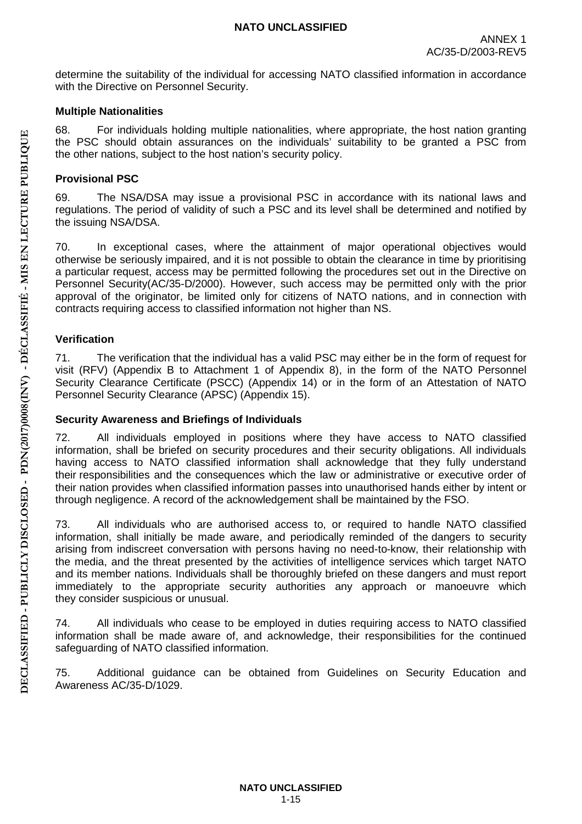determine the suitability of the individual for accessing NATO classified information in accordance with the Directive on Personnel Security.

### <span id="page-15-0"></span>**Multiple Nationalities**

68. For individuals holding multiple nationalities, where appropriate, the host nation granting the PSC should obtain assurances on the individuals' suitability to be granted a PSC from the other nations, subject to the host nation's security policy.

## <span id="page-15-1"></span>**Provisional PSC**

69. The NSA/DSA may issue a provisional PSC in accordance with its national laws and regulations. The period of validity of such a PSC and its level shall be determined and notified by the issuing NSA/DSA.

70. In exceptional cases, where the attainment of major operational objectives would otherwise be seriously impaired, and it is not possible to obtain the clearance in time by prioritising a particular request, access may be permitted following the procedures set out in the Directive on Personnel Security(AC/35-D/2000). However, such access may be permitted only with the prior approval of the originator, be limited only for citizens of NATO nations, and in connection with contracts requiring access to classified information not higher than NS.

## <span id="page-15-2"></span>**Verification**

71. The verification that the individual has a valid PSC may either be in the form of request for visit (RFV) (Appendix B to Attachment 1 of Appendix 8), in the form of the NATO Personnel Security Clearance Certificate (PSCC) (Appendix 14) or in the form of an Attestation of NATO Personnel Security Clearance (APSC) (Appendix 15).

## <span id="page-15-3"></span>**Security Awareness and Briefings of Individuals**

72. All individuals employed in positions where they have access to NATO classified information, shall be briefed on security procedures and their security obligations. All individuals having access to NATO classified information shall acknowledge that they fully understand their responsibilities and the consequences which the law or administrative or executive order of their nation provides when classified information passes into unauthorised hands either by intent or through negligence. A record of the acknowledgement shall be maintained by the FSO.

73. All individuals who are authorised access to, or required to handle NATO classified information, shall initially be made aware, and periodically reminded of the dangers to security arising from indiscreet conversation with persons having no need-to-know, their relationship with the media, and the threat presented by the activities of intelligence services which target NATO and its member nations. Individuals shall be thoroughly briefed on these dangers and must report immediately to the appropriate security authorities any approach or manoeuvre which they consider suspicious or unusual.

74. All individuals who cease to be employed in duties requiring access to NATO classified information shall be made aware of, and acknowledge, their responsibilities for the continued safeguarding of NATO classified information.

75. Additional guidance can be obtained from Guidelines on Security Education and Awareness AC/35-D/1029.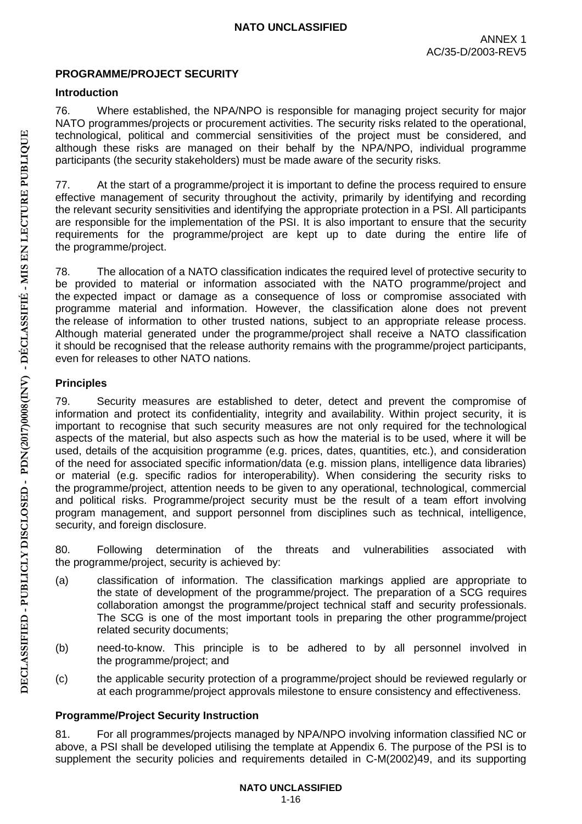## <span id="page-16-0"></span>**PROGRAMME/PROJECT SECURITY**

## <span id="page-16-1"></span>**Introduction**

76. Where established, the NPA/NPO is responsible for managing project security for major NATO programmes/projects or procurement activities. The security risks related to the operational, technological, political and commercial sensitivities of the project must be considered, and although these risks are managed on their behalf by the NPA/NPO, individual programme participants (the security stakeholders) must be made aware of the security risks.

77. At the start of a programme/project it is important to define the process required to ensure effective management of security throughout the activity, primarily by identifying and recording the relevant security sensitivities and identifying the appropriate protection in a PSI. All participants are responsible for the implementation of the PSI. It is also important to ensure that the security requirements for the programme/project are kept up to date during the entire life of the programme/project.

78. The allocation of a NATO classification indicates the required level of protective security to be provided to material or information associated with the NATO programme/project and the expected impact or damage as a consequence of loss or compromise associated with programme material and information. However, the classification alone does not prevent the release of information to other trusted nations, subject to an appropriate release process. Although material generated under the programme/project shall receive a NATO classification it should be recognised that the release authority remains with the programme/project participants, even for releases to other NATO nations.

## <span id="page-16-2"></span>**Principles**

79. Security measures are established to deter, detect and prevent the compromise of information and protect its confidentiality, integrity and availability. Within project security, it is important to recognise that such security measures are not only required for the technological aspects of the material, but also aspects such as how the material is to be used, where it will be used, details of the acquisition programme (e.g. prices, dates, quantities, etc.), and consideration of the need for associated specific information/data (e.g. mission plans, intelligence data libraries) or material (e.g. specific radios for interoperability). When considering the security risks to the programme/project, attention needs to be given to any operational, technological, commercial and political risks. Programme/project security must be the result of a team effort involving program management, and support personnel from disciplines such as technical, intelligence, security, and foreign disclosure.

80. Following determination of the threats and vulnerabilities associated with the programme/project, security is achieved by:

- (a) classification of information. The classification markings applied are appropriate to the state of development of the programme/project. The preparation of a SCG requires collaboration amongst the programme/project technical staff and security professionals. The SCG is one of the most important tools in preparing the other programme/project related security documents;
- (b) need-to-know. This principle is to be adhered to by all personnel involved in the programme/project; and
- (c) the applicable security protection of a programme/project should be reviewed regularly or at each programme/project approvals milestone to ensure consistency and effectiveness.

# <span id="page-16-3"></span>**Programme/Project Security Instruction**

81. For all programmes/projects managed by NPA/NPO involving information classified NC or above, a PSI shall be developed utilising the template at Appendix 6. The purpose of the PSI is to supplement the security policies and requirements detailed in C-M(2002)49, and its supporting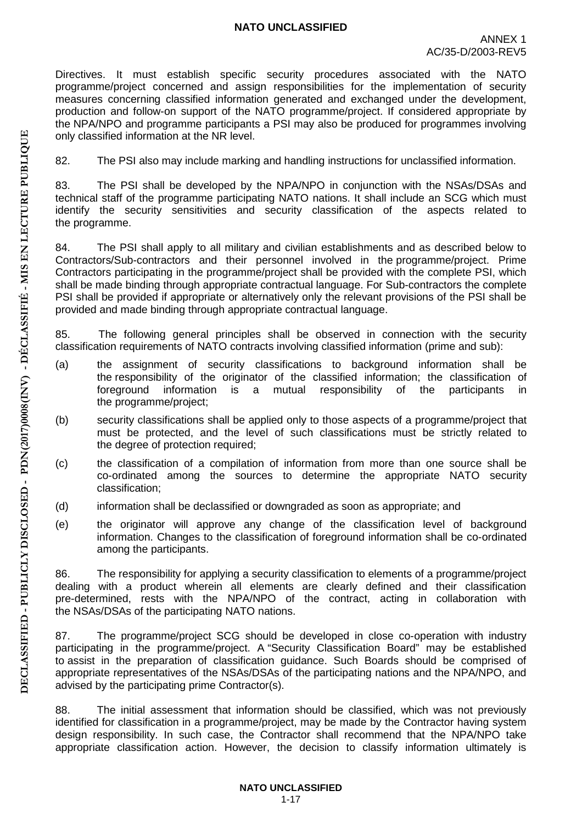Directives. It must establish specific security procedures associated with the NATO programme/project concerned and assign responsibilities for the implementation of security measures concerning classified information generated and exchanged under the development, production and follow-on support of the NATO programme/project. If considered appropriate by the NPA/NPO and programme participants a PSI may also be produced for programmes involving only classified information at the NR level.

82. The PSI also may include marking and handling instructions for unclassified information.

83. The PSI shall be developed by the NPA/NPO in conjunction with the NSAs/DSAs and technical staff of the programme participating NATO nations. It shall include an SCG which must identify the security sensitivities and security classification of the aspects related to the programme.

84. The PSI shall apply to all military and civilian establishments and as described below to Contractors/Sub-contractors and their personnel involved in the programme/project. Prime Contractors participating in the programme/project shall be provided with the complete PSI, which shall be made binding through appropriate contractual language. For Sub-contractors the complete PSI shall be provided if appropriate or alternatively only the relevant provisions of the PSI shall be provided and made binding through appropriate contractual language.

85. The following general principles shall be observed in connection with the security classification requirements of NATO contracts involving classified information (prime and sub):

- (a) the assignment of security classifications to background information shall be the responsibility of the originator of the classified information; the classification of foreground information is a mutual responsibility of the participants in the programme/project;
- (b) security classifications shall be applied only to those aspects of a programme/project that must be protected, and the level of such classifications must be strictly related to the degree of protection required;
- (c) the classification of a compilation of information from more than one source shall be co-ordinated among the sources to determine the appropriate NATO security classification;
- (d) information shall be declassified or downgraded as soon as appropriate; and
- (e) the originator will approve any change of the classification level of background information. Changes to the classification of foreground information shall be co-ordinated among the participants.

86. The responsibility for applying a security classification to elements of a programme/project dealing with a product wherein all elements are clearly defined and their classification pre-determined, rests with the NPA/NPO of the contract, acting in collaboration with the NSAs/DSAs of the participating NATO nations.

87. The programme/project SCG should be developed in close co-operation with industry participating in the programme/project. A "Security Classification Board" may be established to assist in the preparation of classification guidance. Such Boards should be comprised of appropriate representatives of the NSAs/DSAs of the participating nations and the NPA/NPO, and advised by the participating prime Contractor(s).

88. The initial assessment that information should be classified, which was not previously identified for classification in a programme/project, may be made by the Contractor having system design responsibility. In such case, the Contractor shall recommend that the NPA/NPO take appropriate classification action. However, the decision to classify information ultimately is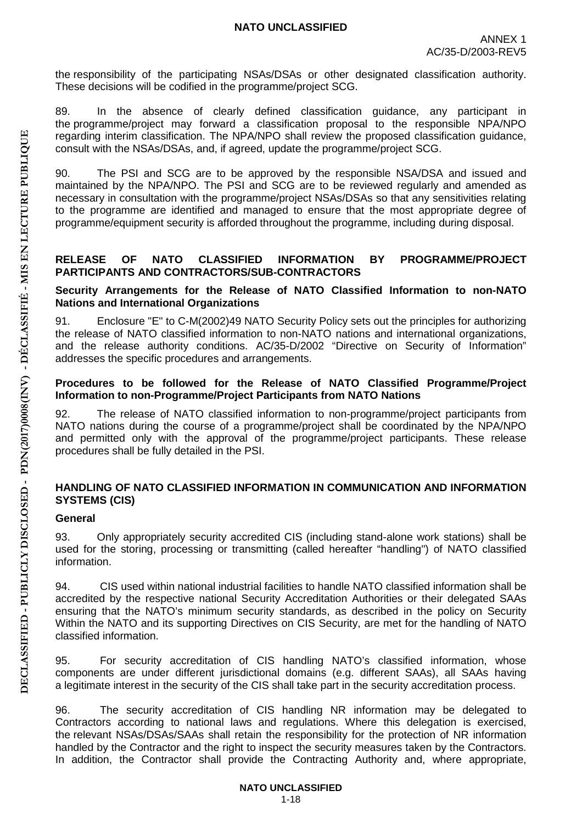the responsibility of the participating NSAs/DSAs or other designated classification authority. These decisions will be codified in the programme/project SCG.

89. In the absence of clearly defined classification guidance, any participant in the programme/project may forward a classification proposal to the responsible NPA/NPO regarding interim classification. The NPA/NPO shall review the proposed classification guidance, consult with the NSAs/DSAs, and, if agreed, update the programme/project SCG.

90. The PSI and SCG are to be approved by the responsible NSA/DSA and issued and maintained by the NPA/NPO. The PSI and SCG are to be reviewed regularly and amended as necessary in consultation with the programme/project NSAs/DSAs so that any sensitivities relating to the programme are identified and managed to ensure that the most appropriate degree of programme/equipment security is afforded throughout the programme, including during disposal.

### <span id="page-18-0"></span>**RELEASE OF NATO CLASSIFIED INFORMATION BY PROGRAMME/PROJECT PARTICIPANTS AND CONTRACTORS/SUB-CONTRACTORS**

#### <span id="page-18-1"></span>**Security Arrangements for the Release of NATO Classified Information to non-NATO Nations and International Organizations**

91. Enclosure "E" to C-M(2002)49 NATO Security Policy sets out the principles for authorizing the release of NATO classified information to non-NATO nations and international organizations, and the release authority conditions. AC/35-D/2002 "Directive on Security of Information" addresses the specific procedures and arrangements.

#### <span id="page-18-2"></span>**Procedures to be followed for the Release of NATO Classified Programme/Project Information to non-Programme/Project Participants from NATO Nations**

92. The release of NATO classified information to non-programme/project participants from NATO nations during the course of a programme/project shall be coordinated by the NPA/NPO and permitted only with the approval of the programme/project participants. These release procedures shall be fully detailed in the PSI.

### <span id="page-18-3"></span>**HANDLING OF NATO CLASSIFIED INFORMATION IN COMMUNICATION AND INFORMATION SYSTEMS (CIS)**

### <span id="page-18-4"></span>**General**

93. Only appropriately security accredited CIS (including stand-alone work stations) shall be used for the storing, processing or transmitting (called hereafter "handling") of NATO classified information.

94. CIS used within national industrial facilities to handle NATO classified information shall be accredited by the respective national Security Accreditation Authorities or their delegated SAAs ensuring that the NATO's minimum security standards, as described in the policy on Security Within the NATO and its supporting Directives on CIS Security, are met for the handling of NATO classified information.

95. For security accreditation of CIS handling NATO's classified information, whose components are under different jurisdictional domains (e.g. different SAAs), all SAAs having a legitimate interest in the security of the CIS shall take part in the security accreditation process.

96. The security accreditation of CIS handling NR information may be delegated to Contractors according to national laws and regulations. Where this delegation is exercised, the relevant NSAs/DSAs/SAAs shall retain the responsibility for the protection of NR information handled by the Contractor and the right to inspect the security measures taken by the Contractors. In addition, the Contractor shall provide the Contracting Authority and, where appropriate,

1-18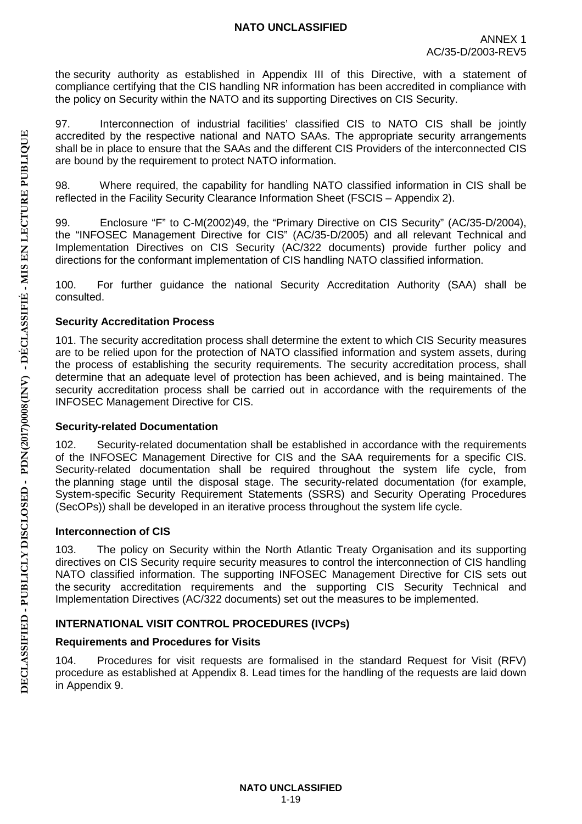the security authority as established in Appendix III of this Directive, with a statement of compliance certifying that the CIS handling NR information has been accredited in compliance with the policy on Security within the NATO and its supporting Directives on CIS Security.

97. Interconnection of industrial facilities' classified CIS to NATO CIS shall be jointly accredited by the respective national and NATO SAAs. The appropriate security arrangements shall be in place to ensure that the SAAs and the different CIS Providers of the interconnected CIS are bound by the requirement to protect NATO information.

98. Where required, the capability for handling NATO classified information in CIS shall be reflected in the Facility Security Clearance Information Sheet (FSCIS – Appendix 2).

99. Enclosure "F" to C-M(2002)49, the "Primary Directive on CIS Security" (AC/35-D/2004), the "INFOSEC Management Directive for CIS" (AC/35-D/2005) and all relevant Technical and Implementation Directives on CIS Security (AC/322 documents) provide further policy and directions for the conformant implementation of CIS handling NATO classified information.

100. For further guidance the national Security Accreditation Authority (SAA) shall be consulted.

### **Security Accreditation Process**

101. The security accreditation process shall determine the extent to which CIS Security measures are to be relied upon for the protection of NATO classified information and system assets, during the process of establishing the security requirements. The security accreditation process, shall determine that an adequate level of protection has been achieved, and is being maintained. The security accreditation process shall be carried out in accordance with the requirements of the INFOSEC Management Directive for CIS.

### **Security-related Documentation**

102. Security-related documentation shall be established in accordance with the requirements of the INFOSEC Management Directive for CIS and the SAA requirements for a specific CIS. Security-related documentation shall be required throughout the system life cycle, from the planning stage until the disposal stage. The security-related documentation (for example, System-specific Security Requirement Statements (SSRS) and Security Operating Procedures (SecOPs)) shall be developed in an iterative process throughout the system life cycle.

### **Interconnection of CIS**

103. The policy on Security within the North Atlantic Treaty Organisation and its supporting directives on CIS Security require security measures to control the interconnection of CIS handling NATO classified information. The supporting INFOSEC Management Directive for CIS sets out the security accreditation requirements and the supporting CIS Security Technical and Implementation Directives (AC/322 documents) set out the measures to be implemented.

## <span id="page-19-0"></span>**INTERNATIONAL VISIT CONTROL PROCEDURES (IVCPs)**

## <span id="page-19-1"></span>**Requirements and Procedures for Visits**

104. Procedures for visit requests are formalised in the standard Request for Visit (RFV) procedure as established at Appendix 8. Lead times for the handling of the requests are laid down in Appendix 9.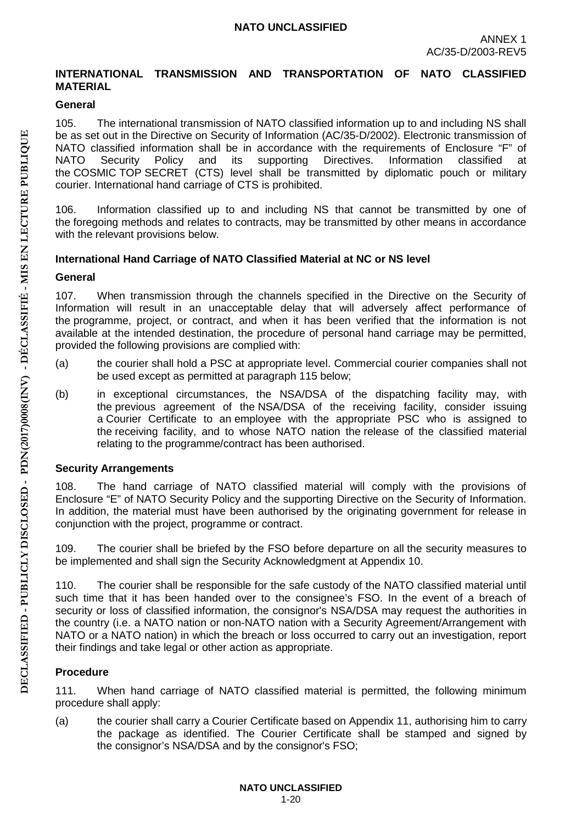### <span id="page-20-0"></span>**INTERNATIONAL TRANSMISSION AND TRANSPORTATION OF NATO CLASSIFIED MATERIAL**

## <span id="page-20-1"></span>**General**

105. The international transmission of NATO classified information up to and including NS shall be as set out in the Directive on Security of Information (AC/35-D/2002). Electronic transmission of NATO classified information shall be in accordance with the requirements of Enclosure "F" of NATO Security Policy and its supporting Directives. Information classified at Policy and its supporting Directives. Information classified at the COSMIC TOP SECRET (CTS) level shall be transmitted by diplomatic pouch or military courier. International hand carriage of CTS is prohibited.

106. Information classified up to and including NS that cannot be transmitted by one of the foregoing methods and relates to contracts, may be transmitted by other means in accordance with the relevant provisions below.

### <span id="page-20-2"></span>**International Hand Carriage of NATO Classified Material at NC or NS level**

#### <span id="page-20-3"></span>**General**

107. When transmission through the channels specified in the Directive on the Security of Information will result in an unacceptable delay that will adversely affect performance of the programme, project, or contract, and when it has been verified that the information is not available at the intended destination, the procedure of personal hand carriage may be permitted, provided the following provisions are complied with:

- (a) the courier shall hold a PSC at appropriate level. Commercial courier companies shall not be used except as permitted at paragraph 115 below;
- (b) in exceptional circumstances, the NSA/DSA of the dispatching facility may, with the previous agreement of the NSA/DSA of the receiving facility, consider issuing a Courier Certificate to an employee with the appropriate PSC who is assigned to the receiving facility, and to whose NATO nation the release of the classified material relating to the programme/contract has been authorised.

### <span id="page-20-4"></span>**Security Arrangements**

108. The hand carriage of NATO classified material will comply with the provisions of Enclosure "E" of NATO Security Policy and the supporting Directive on the Security of Information. In addition, the material must have been authorised by the originating government for release in conjunction with the project, programme or contract.

109. The courier shall be briefed by the FSO before departure on all the security measures to be implemented and shall sign the Security Acknowledgment at Appendix 10.

110. The courier shall be responsible for the safe custody of the NATO classified material until such time that it has been handed over to the consignee's FSO. In the event of a breach of security or loss of classified information, the consignor's NSA/DSA may request the authorities in the country (i.e. a NATO nation or non-NATO nation with a Security Agreement/Arrangement with NATO or a NATO nation) in which the breach or loss occurred to carry out an investigation, report their findings and take legal or other action as appropriate.

## <span id="page-20-5"></span>**Procedure**

111. When hand carriage of NATO classified material is permitted, the following minimum procedure shall apply:

(a) the courier shall carry a Courier Certificate based on Appendix 11, authorising him to carry the package as identified. The Courier Certificate shall be stamped and signed by the consignor's NSA/DSA and by the consignor's FSO;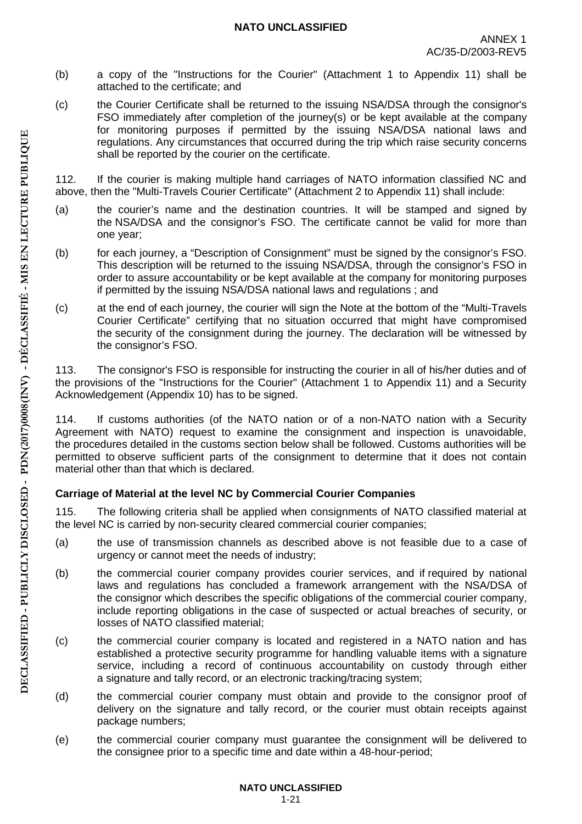- (b) a copy of the "Instructions for the Courier" (Attachment 1 to Appendix 11) shall be attached to the certificate; and
- (c) the Courier Certificate shall be returned to the issuing NSA/DSA through the consignor's FSO immediately after completion of the journey(s) or be kept available at the company for monitoring purposes if permitted by the issuing NSA/DSA national laws and regulations. Any circumstances that occurred during the trip which raise security concerns shall be reported by the courier on the certificate.

112. If the courier is making multiple hand carriages of NATO information classified NC and above, then the "Multi-Travels Courier Certificate" (Attachment 2 to Appendix 11) shall include:

- (a) the courier's name and the destination countries. It will be stamped and signed by the NSA/DSA and the consignor's FSO. The certificate cannot be valid for more than one year;
- (b) for each journey, a "Description of Consignment" must be signed by the consignor's FSO. This description will be returned to the issuing NSA/DSA, through the consignor's FSO in order to assure accountability or be kept available at the company for monitoring purposes if permitted by the issuing NSA/DSA national laws and regulations ; and
- (c) at the end of each journey, the courier will sign the Note at the bottom of the "Multi-Travels Courier Certificate" certifying that no situation occurred that might have compromised the security of the consignment during the journey. The declaration will be witnessed by the consignor's FSO.

113. The consignor's FSO is responsible for instructing the courier in all of his/her duties and of the provisions of the "Instructions for the Courier" (Attachment 1 to Appendix 11) and a Security Acknowledgement (Appendix 10) has to be signed.

114. If customs authorities (of the NATO nation or of a non-NATO nation with a Security Agreement with NATO) request to examine the consignment and inspection is unavoidable, the procedures detailed in the customs section below shall be followed. Customs authorities will be permitted to observe sufficient parts of the consignment to determine that it does not contain material other than that which is declared.

# <span id="page-21-0"></span>**Carriage of Material at the level NC by Commercial Courier Companies**

115. The following criteria shall be applied when consignments of NATO classified material at the level NC is carried by non-security cleared commercial courier companies;

- (a) the use of transmission channels as described above is not feasible due to a case of urgency or cannot meet the needs of industry;
- (b) the commercial courier company provides courier services, and if required by national laws and regulations has concluded a framework arrangement with the NSA/DSA of the consignor which describes the specific obligations of the commercial courier company, include reporting obligations in the case of suspected or actual breaches of security, or losses of NATO classified material;
- (c) the commercial courier company is located and registered in a NATO nation and has established a protective security programme for handling valuable items with a signature service, including a record of continuous accountability on custody through either a signature and tally record, or an electronic tracking/tracing system;
- (d) the commercial courier company must obtain and provide to the consignor proof of delivery on the signature and tally record, or the courier must obtain receipts against package numbers;
- (e) the commercial courier company must guarantee the consignment will be delivered to the consignee prior to a specific time and date within a 48-hour-period;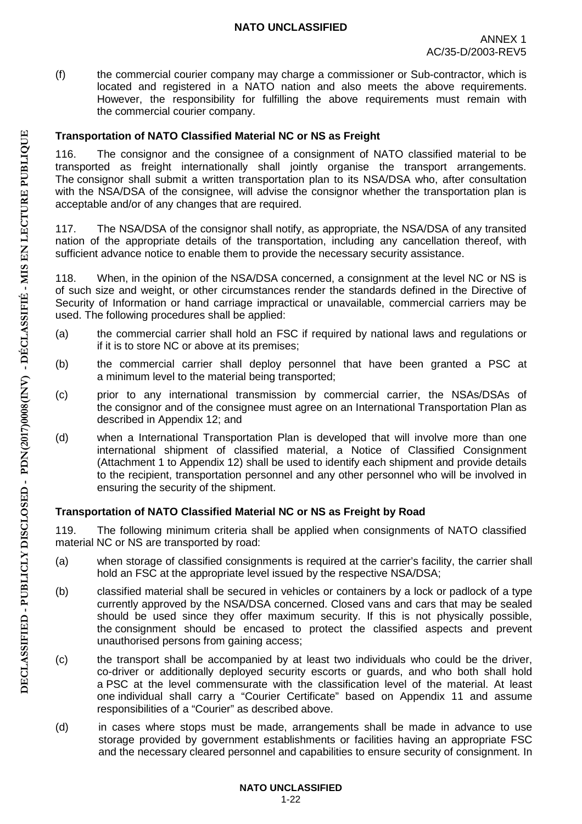(f) the commercial courier company may charge a commissioner or Sub-contractor, which is located and registered in a NATO nation and also meets the above requirements. However, the responsibility for fulfilling the above requirements must remain with the commercial courier company.

## <span id="page-22-0"></span>**Transportation of NATO Classified Material NC or NS as Freight**

116. The consignor and the consignee of a consignment of NATO classified material to be transported as freight internationally shall jointly organise the transport arrangements. The consignor shall submit a written transportation plan to its NSA/DSA who, after consultation with the NSA/DSA of the consignee, will advise the consignor whether the transportation plan is acceptable and/or of any changes that are required.

117. The NSA/DSA of the consignor shall notify, as appropriate, the NSA/DSA of any transited nation of the appropriate details of the transportation, including any cancellation thereof, with sufficient advance notice to enable them to provide the necessary security assistance.

118. When, in the opinion of the NSA/DSA concerned, a consignment at the level NC or NS is of such size and weight, or other circumstances render the standards defined in the Directive of Security of Information or hand carriage impractical or unavailable, commercial carriers may be used. The following procedures shall be applied:

- (a) the commercial carrier shall hold an FSC if required by national laws and regulations or if it is to store NC or above at its premises;
- (b) the commercial carrier shall deploy personnel that have been granted a PSC at a minimum level to the material being transported;
- (c) prior to any international transmission by commercial carrier, the NSAs/DSAs of the consignor and of the consignee must agree on an International Transportation Plan as described in Appendix 12; and
- (d) when a International Transportation Plan is developed that will involve more than one international shipment of classified material, a Notice of Classified Consignment (Attachment 1 to Appendix 12) shall be used to identify each shipment and provide details to the recipient, transportation personnel and any other personnel who will be involved in ensuring the security of the shipment.

### <span id="page-22-1"></span>**Transportation of NATO Classified Material NC or NS as Freight by Road**

119. The following minimum criteria shall be applied when consignments of NATO classified material NC or NS are transported by road:

- (a) when storage of classified consignments is required at the carrier's facility, the carrier shall hold an FSC at the appropriate level issued by the respective NSA/DSA;
- (b) classified material shall be secured in vehicles or containers by a lock or padlock of a type currently approved by the NSA/DSA concerned. Closed vans and cars that may be sealed should be used since they offer maximum security. If this is not physically possible, the consignment should be encased to protect the classified aspects and prevent unauthorised persons from gaining access;
- (c) the transport shall be accompanied by at least two individuals who could be the driver, co-driver or additionally deployed security escorts or guards, and who both shall hold a PSC at the level commensurate with the classification level of the material. At least one individual shall carry a "Courier Certificate" based on Appendix 11 and assume responsibilities of a "Courier" as described above.
- (d) in cases where stops must be made, arrangements shall be made in advance to use storage provided by government establishments or facilities having an appropriate FSC and the necessary cleared personnel and capabilities to ensure security of consignment. In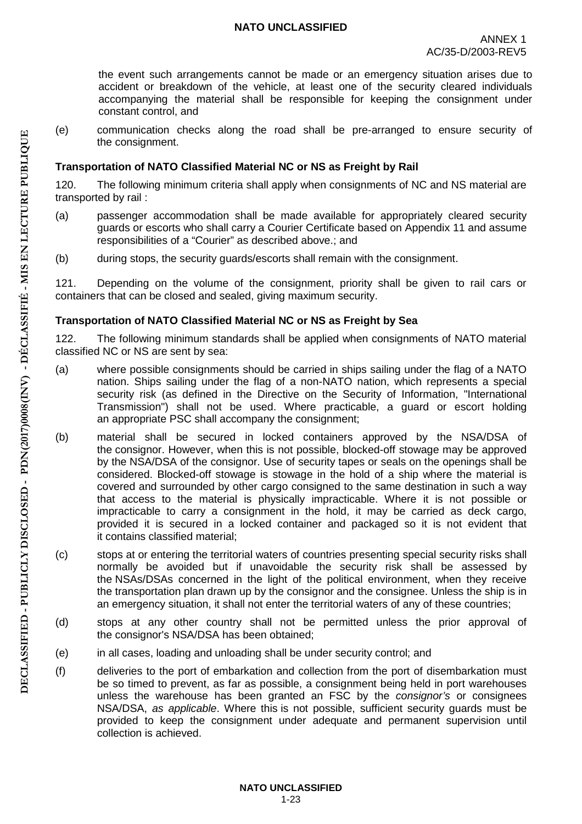the event such arrangements cannot be made or an emergency situation arises due to accident or breakdown of the vehicle, at least one of the security cleared individuals accompanying the material shall be responsible for keeping the consignment under constant control, and

(e) communication checks along the road shall be pre-arranged to ensure security of the consignment.

## <span id="page-23-0"></span>**Transportation of NATO Classified Material NC or NS as Freight by Rail**

120. The following minimum criteria shall apply when consignments of NC and NS material are transported by rail :

- (a) passenger accommodation shall be made available for appropriately cleared security guards or escorts who shall carry a Courier Certificate based on Appendix 11 and assume responsibilities of a "Courier" as described above.; and
- (b) during stops, the security guards/escorts shall remain with the consignment.

121. Depending on the volume of the consignment, priority shall be given to rail cars or containers that can be closed and sealed, giving maximum security.

## <span id="page-23-1"></span>**Transportation of NATO Classified Material NC or NS as Freight by Sea**

122. The following minimum standards shall be applied when consignments of NATO material classified NC or NS are sent by sea:

- (a) where possible consignments should be carried in ships sailing under the flag of a NATO nation. Ships sailing under the flag of a non-NATO nation, which represents a special security risk (as defined in the Directive on the Security of Information, "International Transmission") shall not be used. Where practicable, a guard or escort holding an appropriate PSC shall accompany the consignment;
- (b) material shall be secured in locked containers approved by the NSA/DSA of the consignor. However, when this is not possible, blocked-off stowage may be approved by the NSA/DSA of the consignor. Use of security tapes or seals on the openings shall be considered. Blocked-off stowage is stowage in the hold of a ship where the material is covered and surrounded by other cargo consigned to the same destination in such a way that access to the material is physically impracticable. Where it is not possible or impracticable to carry a consignment in the hold, it may be carried as deck cargo, provided it is secured in a locked container and packaged so it is not evident that it contains classified material;
- (c) stops at or entering the territorial waters of countries presenting special security risks shall normally be avoided but if unavoidable the security risk shall be assessed by the NSAs/DSAs concerned in the light of the political environment, when they receive the transportation plan drawn up by the consignor and the consignee. Unless the ship is in an emergency situation, it shall not enter the territorial waters of any of these countries;
- (d) stops at any other country shall not be permitted unless the prior approval of the consignor's NSA/DSA has been obtained;
- (e) in all cases, loading and unloading shall be under security control; and
- (f) deliveries to the port of embarkation and collection from the port of disembarkation must be so timed to prevent, as far as possible, a consignment being held in port warehouses unless the warehouse has been granted an FSC by the *consignor's* or consignees NSA/DSA, *as applicable*. Where this is not possible, sufficient security guards must be provided to keep the consignment under adequate and permanent supervision until collection is achieved.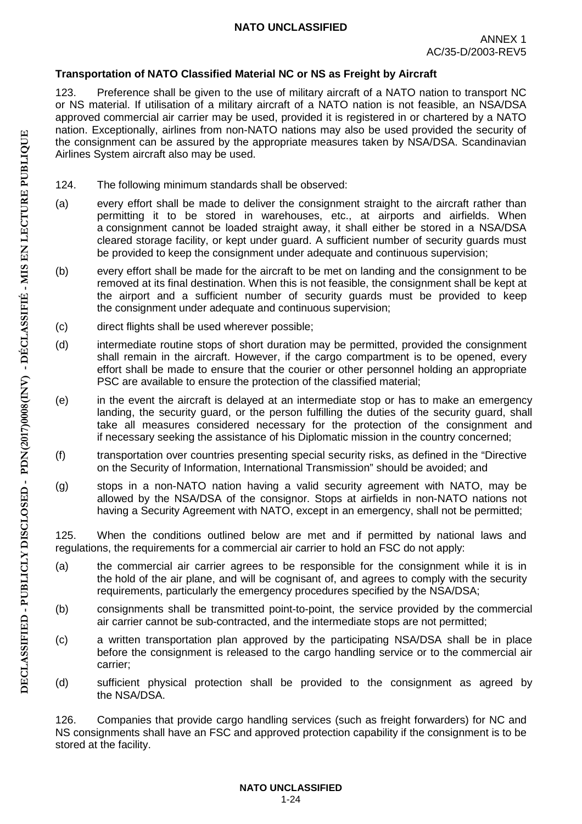## <span id="page-24-0"></span>**Transportation of NATO Classified Material NC or NS as Freight by Aircraft**

123. Preference shall be given to the use of military aircraft of a NATO nation to transport NC or NS material. If utilisation of a military aircraft of a NATO nation is not feasible, an NSA/DSA approved commercial air carrier may be used, provided it is registered in or chartered by a NATO nation. Exceptionally, airlines from non-NATO nations may also be used provided the security of the consignment can be assured by the appropriate measures taken by NSA/DSA. Scandinavian Airlines System aircraft also may be used.

- 124. The following minimum standards shall be observed:
- (a) every effort shall be made to deliver the consignment straight to the aircraft rather than permitting it to be stored in warehouses, etc., at airports and airfields. When a consignment cannot be loaded straight away, it shall either be stored in a NSA/DSA cleared storage facility, or kept under guard. A sufficient number of security guards must be provided to keep the consignment under adequate and continuous supervision;
- (b) every effort shall be made for the aircraft to be met on landing and the consignment to be removed at its final destination. When this is not feasible, the consignment shall be kept at the airport and a sufficient number of security guards must be provided to keep the consignment under adequate and continuous supervision;
- (c) direct flights shall be used wherever possible;
- (d) intermediate routine stops of short duration may be permitted, provided the consignment shall remain in the aircraft. However, if the cargo compartment is to be opened, every effort shall be made to ensure that the courier or other personnel holding an appropriate PSC are available to ensure the protection of the classified material;
- (e) in the event the aircraft is delayed at an intermediate stop or has to make an emergency landing, the security guard, or the person fulfilling the duties of the security guard, shall take all measures considered necessary for the protection of the consignment and if necessary seeking the assistance of his Diplomatic mission in the country concerned;
- (f) transportation over countries presenting special security risks, as defined in the "Directive on the Security of Information, International Transmission" should be avoided; and
- (g) stops in a non-NATO nation having a valid security agreement with NATO, may be allowed by the NSA/DSA of the consignor. Stops at airfields in non-NATO nations not having a Security Agreement with NATO, except in an emergency, shall not be permitted;

125. When the conditions outlined below are met and if permitted by national laws and regulations, the requirements for a commercial air carrier to hold an FSC do not apply:

- (a) the commercial air carrier agrees to be responsible for the consignment while it is in the hold of the air plane, and will be cognisant of, and agrees to comply with the security requirements, particularly the emergency procedures specified by the NSA/DSA;
- (b) consignments shall be transmitted point-to-point, the service provided by the commercial air carrier cannot be sub-contracted, and the intermediate stops are not permitted;
- (c) a written transportation plan approved by the participating NSA/DSA shall be in place before the consignment is released to the cargo handling service or to the commercial air carrier;
- (d) sufficient physical protection shall be provided to the consignment as agreed by the NSA/DSA.

126. Companies that provide cargo handling services (such as freight forwarders) for NC and NS consignments shall have an FSC and approved protection capability if the consignment is to be stored at the facility.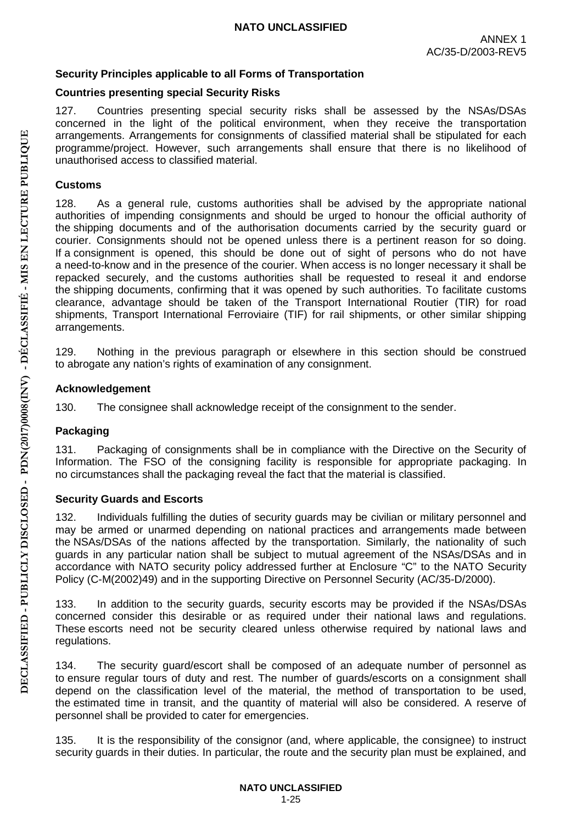## <span id="page-25-0"></span>**Security Principles applicable to all Forms of Transportation**

## <span id="page-25-1"></span>**Countries presenting special Security Risks**

127. Countries presenting special security risks shall be assessed by the NSAs/DSAs concerned in the light of the political environment, when they receive the transportation arrangements. Arrangements for consignments of classified material shall be stipulated for each programme/project. However, such arrangements shall ensure that there is no likelihood of unauthorised access to classified material.

## <span id="page-25-2"></span>**Customs**

128. As a general rule, customs authorities shall be advised by the appropriate national authorities of impending consignments and should be urged to honour the official authority of the shipping documents and of the authorisation documents carried by the security guard or courier. Consignments should not be opened unless there is a pertinent reason for so doing. If a consignment is opened, this should be done out of sight of persons who do not have a need-to-know and in the presence of the courier. When access is no longer necessary it shall be repacked securely, and the customs authorities shall be requested to reseal it and endorse the shipping documents, confirming that it was opened by such authorities. To facilitate customs clearance, advantage should be taken of the Transport International Routier (TIR) for road shipments, Transport International Ferroviaire (TIF) for rail shipments, or other similar shipping arrangements.

129. Nothing in the previous paragraph or elsewhere in this section should be construed to abrogate any nation's rights of examination of any consignment.

### <span id="page-25-3"></span>**Acknowledgement**

130. The consignee shall acknowledge receipt of the consignment to the sender.

## <span id="page-25-4"></span>**Packaging**

131. Packaging of consignments shall be in compliance with the Directive on the Security of Information. The FSO of the consigning facility is responsible for appropriate packaging. In no circumstances shall the packaging reveal the fact that the material is classified.

### <span id="page-25-5"></span>**Security Guards and Escorts**

132. Individuals fulfilling the duties of security guards may be civilian or military personnel and may be armed or unarmed depending on national practices and arrangements made between the NSAs/DSAs of the nations affected by the transportation. Similarly, the nationality of such guards in any particular nation shall be subject to mutual agreement of the NSAs/DSAs and in accordance with NATO security policy addressed further at Enclosure "C" to the NATO Security Policy (C-M(2002)49) and in the supporting Directive on Personnel Security (AC/35-D/2000).

133. In addition to the security guards, security escorts may be provided if the NSAs/DSAs concerned consider this desirable or as required under their national laws and regulations. These escorts need not be security cleared unless otherwise required by national laws and regulations.

134. The security guard/escort shall be composed of an adequate number of personnel as to ensure regular tours of duty and rest. The number of guards/escorts on a consignment shall depend on the classification level of the material, the method of transportation to be used, the estimated time in transit, and the quantity of material will also be considered. A reserve of personnel shall be provided to cater for emergencies.

135. It is the responsibility of the consignor (and, where applicable, the consignee) to instruct security guards in their duties. In particular, the route and the security plan must be explained, and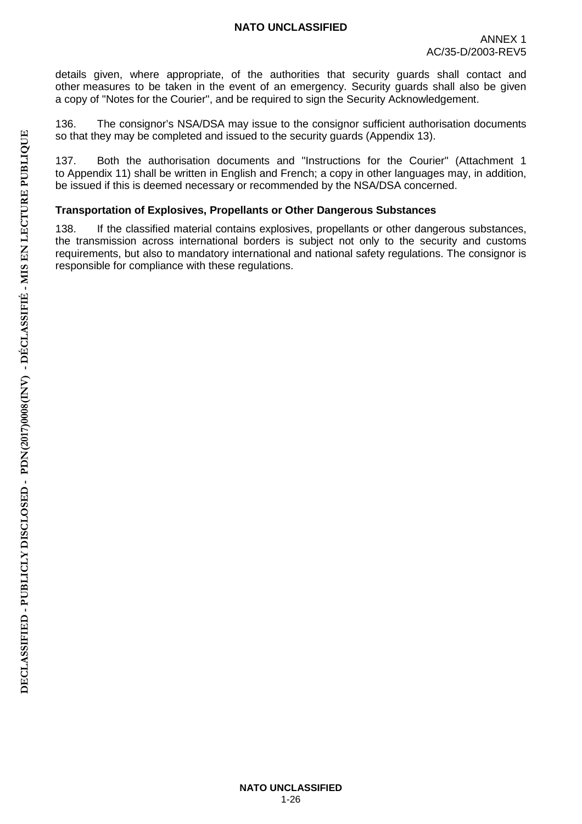details given, where appropriate, of the authorities that security guards shall contact and other measures to be taken in the event of an emergency. Security guards shall also be given a copy of "Notes for the Courier", and be required to sign the Security Acknowledgement.

136. The consignor's NSA/DSA may issue to the consignor sufficient authorisation documents so that they may be completed and issued to the security guards (Appendix 13).

137. Both the authorisation documents and "Instructions for the Courier" (Attachment 1 to Appendix 11) shall be written in English and French; a copy in other languages may, in addition, be issued if this is deemed necessary or recommended by the NSA/DSA concerned.

### <span id="page-26-0"></span>**Transportation of Explosives, Propellants or Other Dangerous Substances**

138. If the classified material contains explosives, propellants or other dangerous substances, the transmission across international borders is subject not only to the security and customs requirements, but also to mandatory international and national safety regulations. The consignor is responsible for compliance with these regulations.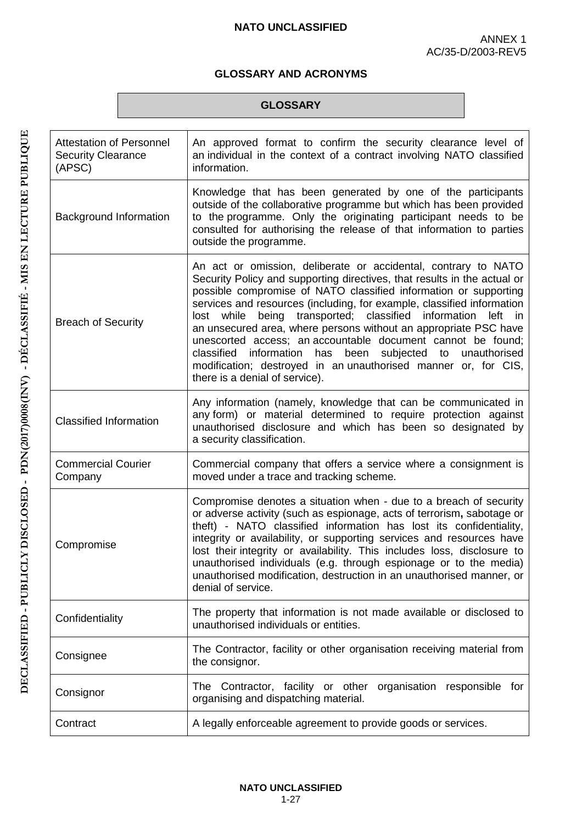## **GLOSSARY AND ACRONYMS**

#### **GLOSSARY**

<span id="page-27-0"></span>

| <b>Attestation of Personnel</b><br><b>Security Clearance</b><br>(APSC) | An approved format to confirm the security clearance level of<br>an individual in the context of a contract involving NATO classified<br>information.                                                                                                                                                                                                                                                                                                                                                                                                                                                                                                                                    |
|------------------------------------------------------------------------|------------------------------------------------------------------------------------------------------------------------------------------------------------------------------------------------------------------------------------------------------------------------------------------------------------------------------------------------------------------------------------------------------------------------------------------------------------------------------------------------------------------------------------------------------------------------------------------------------------------------------------------------------------------------------------------|
| Background Information                                                 | Knowledge that has been generated by one of the participants<br>outside of the collaborative programme but which has been provided<br>to the programme. Only the originating participant needs to be<br>consulted for authorising the release of that information to parties<br>outside the programme.                                                                                                                                                                                                                                                                                                                                                                                   |
| <b>Breach of Security</b>                                              | An act or omission, deliberate or accidental, contrary to NATO<br>Security Policy and supporting directives, that results in the actual or<br>possible compromise of NATO classified information or supporting<br>services and resources (including, for example, classified information<br>transported; classified<br>while<br>being<br>information<br>lost<br>left<br><i>in</i><br>an unsecured area, where persons without an appropriate PSC have<br>unescorted access; an accountable document cannot be found;<br>classified information has been<br>subjected to unauthorised<br>modification; destroyed in an unauthorised manner or, for CIS,<br>there is a denial of service). |
| <b>Classified Information</b>                                          | Any information (namely, knowledge that can be communicated in<br>any form) or material determined to require protection against<br>unauthorised disclosure and which has been so designated by<br>a security classification.                                                                                                                                                                                                                                                                                                                                                                                                                                                            |
| <b>Commercial Courier</b><br>Company                                   | Commercial company that offers a service where a consignment is<br>moved under a trace and tracking scheme.                                                                                                                                                                                                                                                                                                                                                                                                                                                                                                                                                                              |
| Compromise                                                             | Compromise denotes a situation when - due to a breach of security<br>or adverse activity (such as espionage, acts of terrorism, sabotage or<br>theft) - NATO classified information has lost its confidentiality,<br>integrity or availability, or supporting services and resources have<br>lost their integrity or availability. This includes loss, disclosure to<br>unauthorised individuals (e.g. through espionage or to the media)<br>unauthorised modification, destruction in an unauthorised manner, or<br>denial of service.                                                                                                                                                  |
| Confidentiality                                                        | The property that information is not made available or disclosed to<br>unauthorised individuals or entities.                                                                                                                                                                                                                                                                                                                                                                                                                                                                                                                                                                             |
| Consignee                                                              | The Contractor, facility or other organisation receiving material from<br>the consignor.                                                                                                                                                                                                                                                                                                                                                                                                                                                                                                                                                                                                 |
| Consignor                                                              | The Contractor, facility or other organisation responsible for<br>organising and dispatching material.                                                                                                                                                                                                                                                                                                                                                                                                                                                                                                                                                                                   |
| Contract                                                               | A legally enforceable agreement to provide goods or services.                                                                                                                                                                                                                                                                                                                                                                                                                                                                                                                                                                                                                            |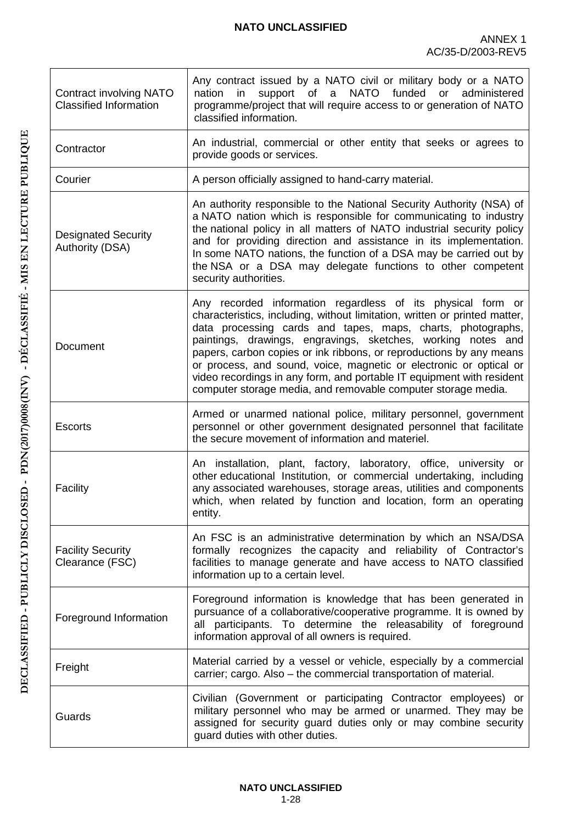| <b>Contract involving NATO</b><br><b>Classified Information</b> | Any contract issued by a NATO civil or military body or a NATO<br><b>NATO</b><br>funded<br>nation<br>support<br>of<br>or<br>administered<br>in<br>$\mathsf{a}$<br>programme/project that will require access to or generation of NATO<br>classified information.                                                                                                                                                                                                                                                                                                |
|-----------------------------------------------------------------|-----------------------------------------------------------------------------------------------------------------------------------------------------------------------------------------------------------------------------------------------------------------------------------------------------------------------------------------------------------------------------------------------------------------------------------------------------------------------------------------------------------------------------------------------------------------|
| Contractor                                                      | An industrial, commercial or other entity that seeks or agrees to<br>provide goods or services.                                                                                                                                                                                                                                                                                                                                                                                                                                                                 |
| Courier                                                         | A person officially assigned to hand-carry material.                                                                                                                                                                                                                                                                                                                                                                                                                                                                                                            |
| <b>Designated Security</b><br><b>Authority (DSA)</b>            | An authority responsible to the National Security Authority (NSA) of<br>a NATO nation which is responsible for communicating to industry<br>the national policy in all matters of NATO industrial security policy<br>and for providing direction and assistance in its implementation.<br>In some NATO nations, the function of a DSA may be carried out by<br>the NSA or a DSA may delegate functions to other competent<br>security authorities.                                                                                                              |
| Document                                                        | Any recorded information regardless of its physical form or<br>characteristics, including, without limitation, written or printed matter,<br>data processing cards and tapes, maps, charts, photographs,<br>paintings, drawings, engravings, sketches, working notes and<br>papers, carbon copies or ink ribbons, or reproductions by any means<br>or process, and sound, voice, magnetic or electronic or optical or<br>video recordings in any form, and portable IT equipment with resident<br>computer storage media, and removable computer storage media. |
| <b>Escorts</b>                                                  | Armed or unarmed national police, military personnel, government<br>personnel or other government designated personnel that facilitate<br>the secure movement of information and materiel.                                                                                                                                                                                                                                                                                                                                                                      |
| Facility                                                        | An installation, plant, factory, laboratory, office, university or<br>other educational Institution, or commercial undertaking, including<br>any associated warehouses, storage areas, utilities and components<br>which, when related by function and location, form an operating<br>entity.                                                                                                                                                                                                                                                                   |
| <b>Facility Security</b><br>Clearance (FSC)                     | An FSC is an administrative determination by which an NSA/DSA<br>formally recognizes the capacity and reliability of Contractor's<br>facilities to manage generate and have access to NATO classified<br>information up to a certain level.                                                                                                                                                                                                                                                                                                                     |
| Foreground Information                                          | Foreground information is knowledge that has been generated in<br>pursuance of a collaborative/cooperative programme. It is owned by<br>all participants. To determine the releasability of foreground<br>information approval of all owners is required.                                                                                                                                                                                                                                                                                                       |
| Freight                                                         | Material carried by a vessel or vehicle, especially by a commercial<br>carrier; cargo. Also - the commercial transportation of material.                                                                                                                                                                                                                                                                                                                                                                                                                        |
| Guards                                                          | Civilian (Government or participating Contractor employees) or<br>military personnel who may be armed or unarmed. They may be<br>assigned for security guard duties only or may combine security<br>guard duties with other duties.                                                                                                                                                                                                                                                                                                                             |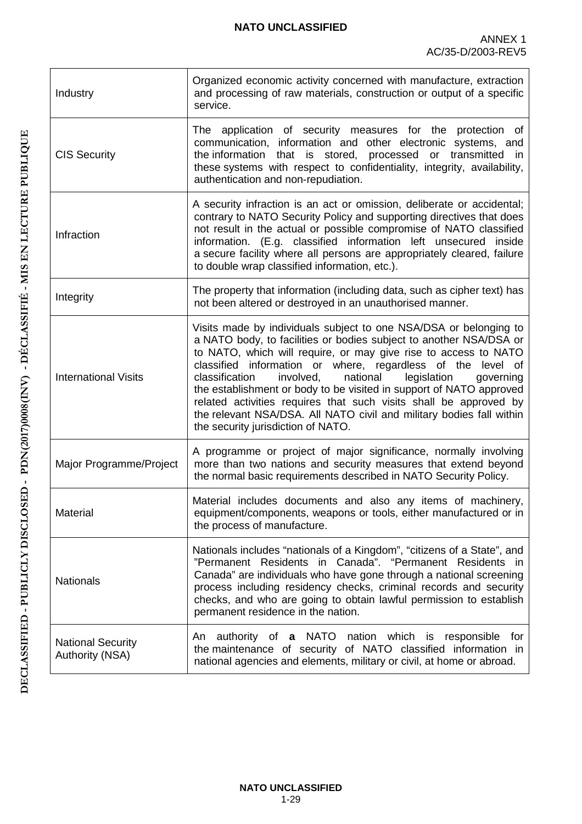| Industry                                           | Organized economic activity concerned with manufacture, extraction<br>and processing of raw materials, construction or output of a specific<br>service.                                                                                                                                                                                                                                                                                                                                                                                                                                                    |
|----------------------------------------------------|------------------------------------------------------------------------------------------------------------------------------------------------------------------------------------------------------------------------------------------------------------------------------------------------------------------------------------------------------------------------------------------------------------------------------------------------------------------------------------------------------------------------------------------------------------------------------------------------------------|
| <b>CIS Security</b>                                | The application of security measures for the protection of<br>communication, information and other electronic systems, and<br>the information that is stored, processed or transmitted in<br>these systems with respect to confidentiality, integrity, availability,<br>authentication and non-repudiation.                                                                                                                                                                                                                                                                                                |
| Infraction                                         | A security infraction is an act or omission, deliberate or accidental;<br>contrary to NATO Security Policy and supporting directives that does<br>not result in the actual or possible compromise of NATO classified<br>information. (E.g. classified information left unsecured inside<br>a secure facility where all persons are appropriately cleared, failure<br>to double wrap classified information, etc.).                                                                                                                                                                                         |
| Integrity                                          | The property that information (including data, such as cipher text) has<br>not been altered or destroyed in an unauthorised manner.                                                                                                                                                                                                                                                                                                                                                                                                                                                                        |
| <b>International Visits</b>                        | Visits made by individuals subject to one NSA/DSA or belonging to<br>a NATO body, to facilities or bodies subject to another NSA/DSA or<br>to NATO, which will require, or may give rise to access to NATO<br>classified information or where, regardless of the level of<br>national<br>classification<br>involved,<br>legislation<br>governing<br>the establishment or body to be visited in support of NATO approved<br>related activities requires that such visits shall be approved by<br>the relevant NSA/DSA. All NATO civil and military bodies fall within<br>the security jurisdiction of NATO. |
| Major Programme/Project                            | A programme or project of major significance, normally involving<br>more than two nations and security measures that extend beyond<br>the normal basic requirements described in NATO Security Policy.                                                                                                                                                                                                                                                                                                                                                                                                     |
| Material                                           | Material includes documents and also any items of machinery,<br>equipment/components, weapons or tools, either manufactured or in<br>the process of manufacture.                                                                                                                                                                                                                                                                                                                                                                                                                                           |
| <b>Nationals</b>                                   | Nationals includes "nationals of a Kingdom", "citizens of a State", and<br>"Permanent Residents in Canada". "Permanent Residents in<br>Canada" are individuals who have gone through a national screening<br>process including residency checks, criminal records and security<br>checks, and who are going to obtain lawful permission to establish<br>permanent residence in the nation.                                                                                                                                                                                                                 |
| <b>National Security</b><br><b>Authority (NSA)</b> | authority of a NATO nation which is responsible<br>An<br>for<br>the maintenance of security of NATO classified information in<br>national agencies and elements, military or civil, at home or abroad.                                                                                                                                                                                                                                                                                                                                                                                                     |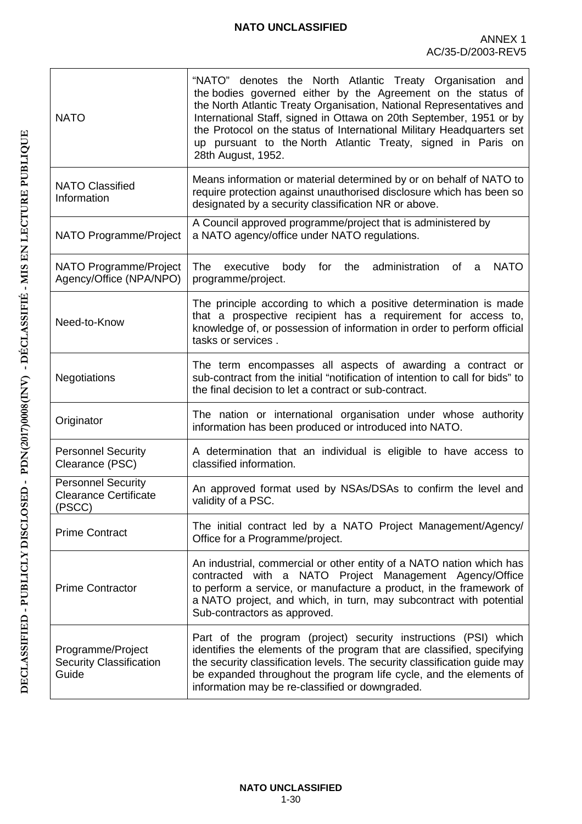| <b>NATO</b>                                                         | "NATO" denotes the North Atlantic Treaty Organisation and<br>the bodies governed either by the Agreement on the status of<br>the North Atlantic Treaty Organisation, National Representatives and<br>International Staff, signed in Ottawa on 20th September, 1951 or by<br>the Protocol on the status of International Military Headquarters set<br>up pursuant to the North Atlantic Treaty, signed in Paris on<br>28th August, 1952. |
|---------------------------------------------------------------------|-----------------------------------------------------------------------------------------------------------------------------------------------------------------------------------------------------------------------------------------------------------------------------------------------------------------------------------------------------------------------------------------------------------------------------------------|
| <b>NATO Classified</b><br>Information                               | Means information or material determined by or on behalf of NATO to<br>require protection against unauthorised disclosure which has been so<br>designated by a security classification NR or above.                                                                                                                                                                                                                                     |
| NATO Programme/Project                                              | A Council approved programme/project that is administered by<br>a NATO agency/office under NATO regulations.                                                                                                                                                                                                                                                                                                                            |
| NATO Programme/Project<br>Agency/Office (NPA/NPO)                   | <b>NATO</b><br>The<br>executive<br>body for the administration of<br>a<br>programme/project.                                                                                                                                                                                                                                                                                                                                            |
| Need-to-Know                                                        | The principle according to which a positive determination is made<br>that a prospective recipient has a requirement for access to,<br>knowledge of, or possession of information in order to perform official<br>tasks or services.                                                                                                                                                                                                     |
| Negotiations                                                        | The term encompasses all aspects of awarding a contract or<br>sub-contract from the initial "notification of intention to call for bids" to<br>the final decision to let a contract or sub-contract.                                                                                                                                                                                                                                    |
| Originator                                                          | The nation or international organisation under whose authority<br>information has been produced or introduced into NATO.                                                                                                                                                                                                                                                                                                                |
| <b>Personnel Security</b><br>Clearance (PSC)                        | A determination that an individual is eligible to have access to<br>classified information.                                                                                                                                                                                                                                                                                                                                             |
| <b>Personnel Security</b><br><b>Clearance Certificate</b><br>(PSCC) | An approved format used by NSAs/DSAs to confirm the level and<br>validity of a PSC.                                                                                                                                                                                                                                                                                                                                                     |
| <b>Prime Contract</b>                                               | The initial contract led by a NATO Project Management/Agency/<br>Office for a Programme/project.                                                                                                                                                                                                                                                                                                                                        |
| <b>Prime Contractor</b>                                             | An industrial, commercial or other entity of a NATO nation which has<br>contracted with a NATO Project Management Agency/Office<br>to perform a service, or manufacture a product, in the framework of<br>a NATO project, and which, in turn, may subcontract with potential<br>Sub-contractors as approved.                                                                                                                            |
| Programme/Project<br><b>Security Classification</b><br>Guide        | Part of the program (project) security instructions (PSI) which<br>identifies the elements of the program that are classified, specifying<br>the security classification levels. The security classification guide may<br>be expanded throughout the program life cycle, and the elements of<br>information may be re-classified or downgraded.                                                                                         |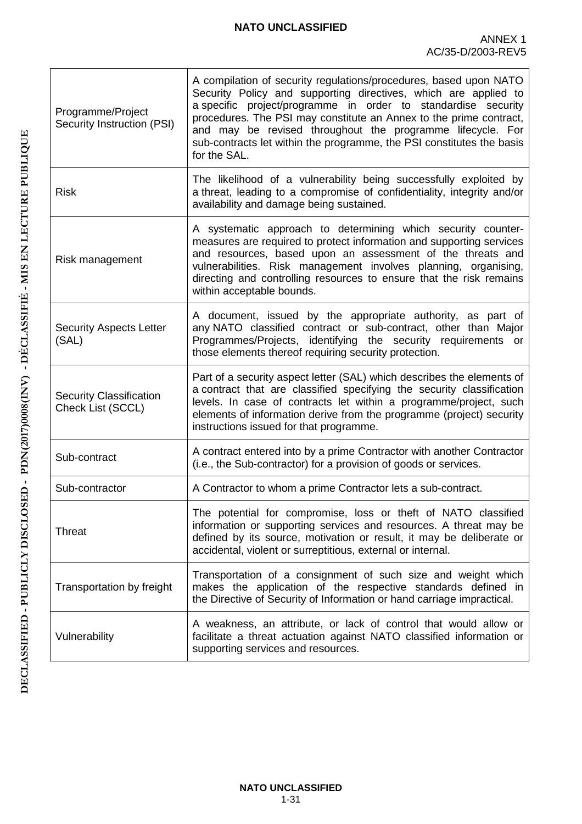| Programme/Project<br><b>Security Instruction (PSI)</b> | A compilation of security regulations/procedures, based upon NATO<br>Security Policy and supporting directives, which are applied to<br>a specific project/programme in order to standardise security<br>procedures. The PSI may constitute an Annex to the prime contract,<br>and may be revised throughout the programme lifecycle. For<br>sub-contracts let within the programme, the PSI constitutes the basis<br>for the SAL. |
|--------------------------------------------------------|------------------------------------------------------------------------------------------------------------------------------------------------------------------------------------------------------------------------------------------------------------------------------------------------------------------------------------------------------------------------------------------------------------------------------------|
| <b>Risk</b>                                            | The likelihood of a vulnerability being successfully exploited by<br>a threat, leading to a compromise of confidentiality, integrity and/or<br>availability and damage being sustained.                                                                                                                                                                                                                                            |
| Risk management                                        | A systematic approach to determining which security counter-<br>measures are required to protect information and supporting services<br>and resources, based upon an assessment of the threats and<br>vulnerabilities. Risk management involves planning, organising,<br>directing and controlling resources to ensure that the risk remains<br>within acceptable bounds.                                                          |
| <b>Security Aspects Letter</b><br>(SAL)                | A document, issued by the appropriate authority, as part of<br>any NATO classified contract or sub-contract, other than Major<br>Programmes/Projects, identifying the security requirements or<br>those elements thereof requiring security protection.                                                                                                                                                                            |
| <b>Security Classification</b><br>Check List (SCCL)    | Part of a security aspect letter (SAL) which describes the elements of<br>a contract that are classified specifying the security classification<br>levels. In case of contracts let within a programme/project, such<br>elements of information derive from the programme (project) security<br>instructions issued for that programme.                                                                                            |
| Sub-contract                                           | A contract entered into by a prime Contractor with another Contractor<br>(i.e., the Sub-contractor) for a provision of goods or services.                                                                                                                                                                                                                                                                                          |
| Sub-contractor                                         | A Contractor to whom a prime Contractor lets a sub-contract.                                                                                                                                                                                                                                                                                                                                                                       |
| Threat                                                 | The potential for compromise, loss or theft of NATO classified<br>information or supporting services and resources. A threat may be<br>defined by its source, motivation or result, it may be deliberate or<br>accidental, violent or surreptitious, external or internal.                                                                                                                                                         |
| Transportation by freight                              | Transportation of a consignment of such size and weight which<br>makes the application of the respective standards defined in<br>the Directive of Security of Information or hand carriage impractical.                                                                                                                                                                                                                            |
| Vulnerability                                          | A weakness, an attribute, or lack of control that would allow or<br>facilitate a threat actuation against NATO classified information or<br>supporting services and resources.                                                                                                                                                                                                                                                     |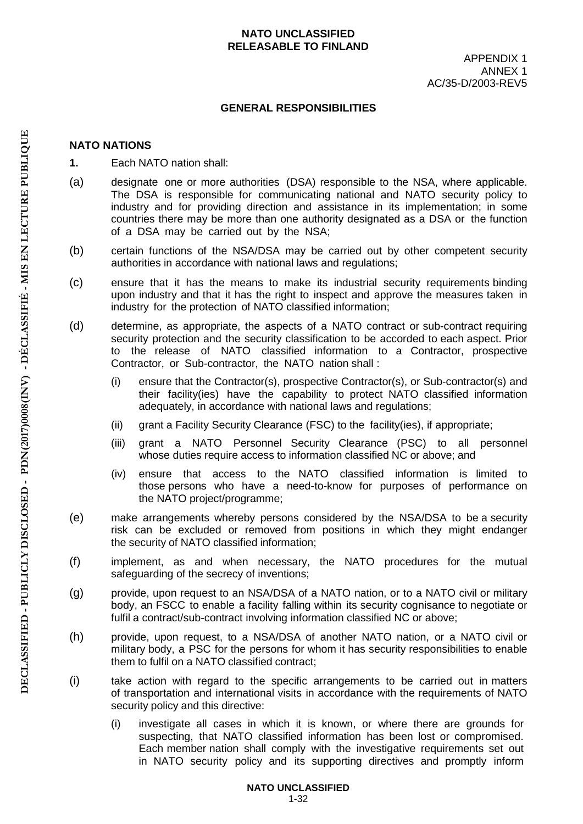#### **NATO UNCLASSIFIED RELEASABLE TO FINLAND**

#### **GENERAL RESPONSIBILITIES**

### **NATO NATIONS**

- **1.** Each NATO nation shall:
- (a) designate one or more authorities (DSA) responsible to the NSA, where applicable. The DSA is responsible for communicating national and NATO security policy to industry and for providing direction and assistance in its implementation; in some countries there may be more than one authority designated as a DSA or the function of a DSA may be carried out by the NSA;
- (b) certain functions of the NSA/DSA may be carried out by other competent security authorities in accordance with national laws and regulations;
- (c) ensure that it has the means to make its industrial security requirements binding upon industry and that it has the right to inspect and approve the measures taken in industry for the protection of NATO classified information;
- (d) determine, as appropriate, the aspects of a NATO contract or sub-contract requiring security protection and the security classification to be accorded to each aspect. Prior to the release of NATO classified information to a Contractor, prospective Contractor, or Sub-contractor, the NATO nation shall :
	- (i) ensure that the Contractor(s), prospective Contractor(s), or Sub-contractor(s) and their facility(ies) have the capability to protect NATO classified information adequately, in accordance with national laws and regulations;
	- (ii) grant a Facility Security Clearance (FSC) to the facility(ies), if appropriate;
	- (iii) grant a NATO Personnel Security Clearance (PSC) to all personnel whose duties require access to information classified NC or above; and
	- (iv) ensure that access to the NATO classified information is limited to those persons who have a need-to-know for purposes of performance on the NATO project/programme;
- (e) make arrangements whereby persons considered by the NSA/DSA to be a security risk can be excluded or removed from positions in which they might endanger the security of NATO classified information;
- (f) implement, as and when necessary, the NATO procedures for the mutual safeguarding of the secrecy of inventions;
- (g) provide, upon request to an NSA/DSA of a NATO nation, or to a NATO civil or military body, an FSCC to enable a facility falling within its security cognisance to negotiate or fulfil a contract/sub-contract involving information classified NC or above;
- (h) provide, upon request, to a NSA/DSA of another NATO nation, or a NATO civil or military body, a PSC for the persons for whom it has security responsibilities to enable them to fulfil on a NATO classified contract;
- (i) take action with regard to the specific arrangements to be carried out in matters of transportation and international visits in accordance with the requirements of NATO security policy and this directive:
	- (i) investigate all cases in which it is known, or where there are grounds for suspecting, that NATO classified information has been lost or compromised. Each member nation shall comply with the investigative requirements set out in NATO security policy and its supporting directives and promptly inform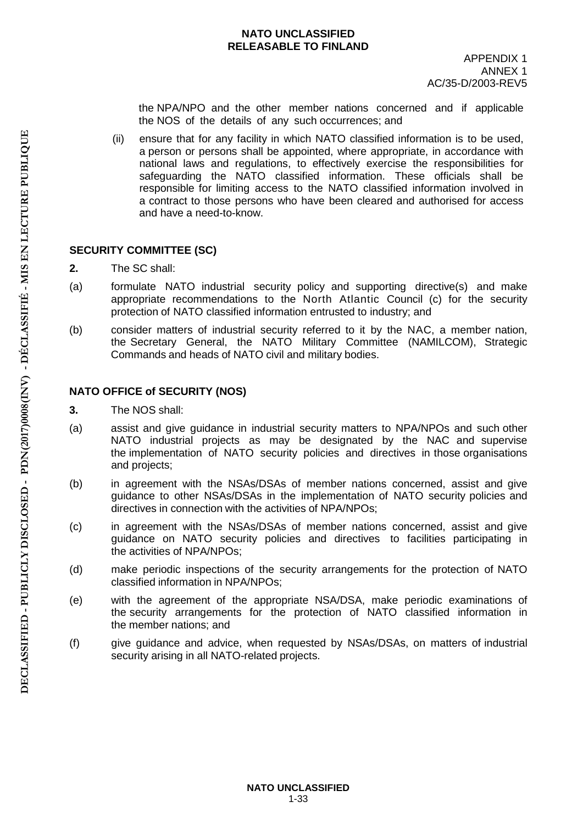#### **NATO UNCLASSIFIED RELEASABLE TO FINLAND**

the NPA/NPO and the other member nations concerned and if applicable the NOS of the details of any such occurrences; and

(ii) ensure that for any facility in which NATO classified information is to be used, a person or persons shall be appointed, where appropriate, in accordance with national laws and regulations, to effectively exercise the responsibilities for safeguarding the NATO classified information. These officials shall be responsible for limiting access to the NATO classified information involved in a contract to those persons who have been cleared and authorised for access and have a need-to-know.

## **SECURITY COMMITTEE (SC)**

- **2.** The SC shall:
- (a) formulate NATO industrial security policy and supporting directive(s) and make appropriate recommendations to the North Atlantic Council (c) for the security protection of NATO classified information entrusted to industry; and
- (b) consider matters of industrial security referred to it by the NAC, a member nation, the Secretary General, the NATO Military Committee (NAMILCOM), Strategic Commands and heads of NATO civil and military bodies.

## **NATO OFFICE of SECURITY (NOS)**

- **3.** The NOS shall:
- (a) assist and give guidance in industrial security matters to NPA/NPOs and such other NATO industrial projects as may be designated by the NAC and supervise the implementation of NATO security policies and directives in those organisations and projects;
- (b) in agreement with the NSAs/DSAs of member nations concerned, assist and give guidance to other NSAs/DSAs in the implementation of NATO security policies and directives in connection with the activities of NPA/NPOs;
- (c) in agreement with the NSAs/DSAs of member nations concerned, assist and give guidance on NATO security policies and directives to facilities participating in the activities of NPA/NPOs;
- (d) make periodic inspections of the security arrangements for the protection of NATO classified information in NPA/NPOs;
- (e) with the agreement of the appropriate NSA/DSA, make periodic examinations of the security arrangements for the protection of NATO classified information in the member nations; and
- (f) give guidance and advice, when requested by NSAs/DSAs, on matters of industrial security arising in all NATO-related projects.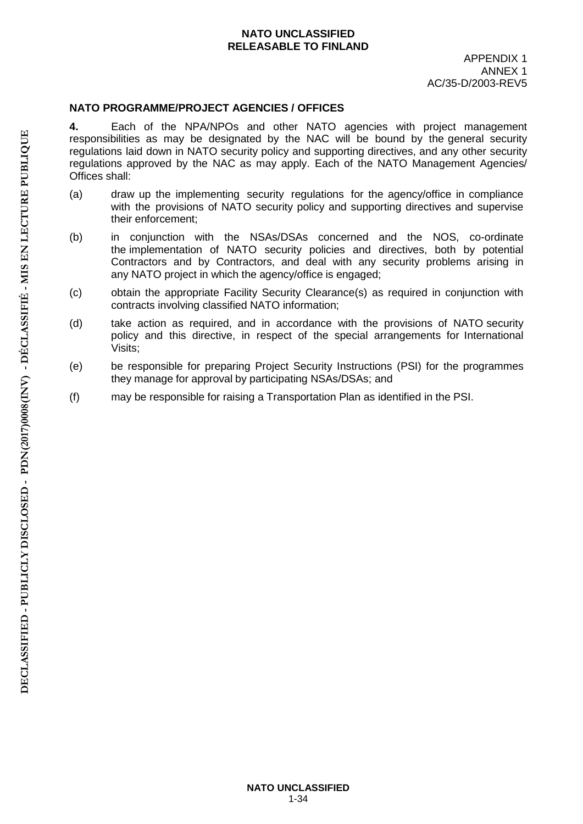### **NATO UNCLASSIFIED RELEASABLE TO FINLAND**

#### **NATO PROGRAMME/PROJECT AGENCIES / OFFICES**

**4.** Each of the NPA/NPOs and other NATO agencies with project management responsibilities as may be designated by the NAC will be bound by the general security regulations laid down in NATO security policy and supporting directives, and any other security regulations approved by the NAC as may apply. Each of the NATO Management Agencies/ Offices shall:

- (a) draw up the implementing security regulations for the agency/office in compliance with the provisions of NATO security policy and supporting directives and supervise their enforcement;
- (b) in conjunction with the NSAs/DSAs concerned and the NOS, co-ordinate the implementation of NATO security policies and directives, both by potential Contractors and by Contractors, and deal with any security problems arising in any NATO project in which the agency/office is engaged;
- (c) obtain the appropriate Facility Security Clearance(s) as required in conjunction with contracts involving classified NATO information;
- (d) take action as required, and in accordance with the provisions of NATO security policy and this directive, in respect of the special arrangements for International Visits;
- (e) be responsible for preparing Project Security Instructions (PSI) for the programmes they manage for approval by participating NSAs/DSAs; and
- (f) may be responsible for raising a Transportation Plan as identified in the PSI.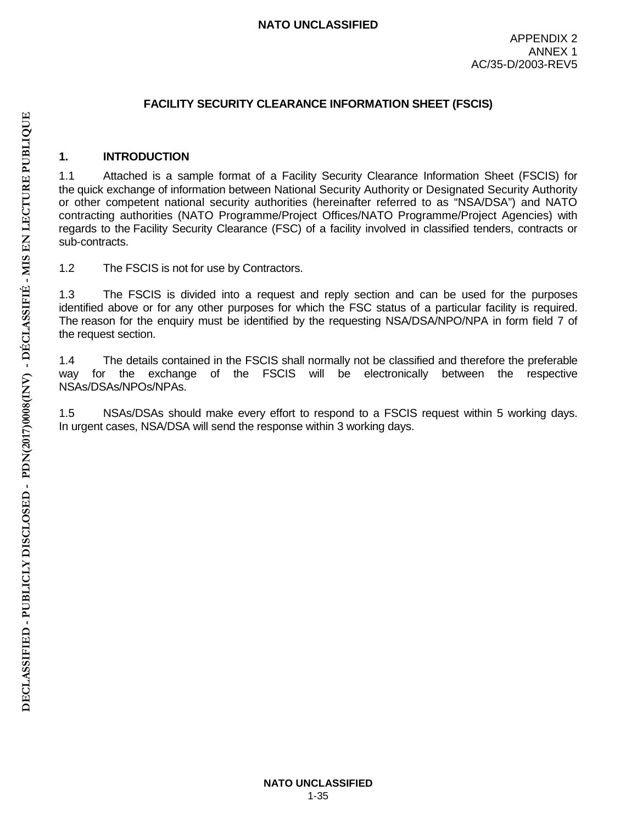### **FACILITY SECURITY CLEARANCE INFORMATION SHEET (FSCIS)**

### **1. INTRODUCTION**

1.1 Attached is a sample format of a Facility Security Clearance Information Sheet (FSCIS) for the quick exchange of information between National Security Authority or Designated Security Authority or other competent national security authorities (hereinafter referred to as "NSA/DSA") and NATO contracting authorities (NATO Programme/Project Offices/NATO Programme/Project Agencies) with regards to the Facility Security Clearance (FSC) of a facility involved in classified tenders, contracts or sub-contracts.

1.2 The FSCIS is not for use by Contractors.

1.3 The FSCIS is divided into a request and reply section and can be used for the purposes identified above or for any other purposes for which the FSC status of a particular facility is required. The reason for the enquiry must be identified by the requesting NSA/DSA/NPO/NPA in form field 7 of the request section.

1.4 The details contained in the FSCIS shall normally not be classified and therefore the preferable way for the exchange of the FSCIS will be electronically between the respective NSAs/DSAs/NPOs/NPAs.

1.5 NSAs/DSAs should make every effort to respond to a FSCIS request within 5 working days. In urgent cases, NSA/DSA will send the response within 3 working days.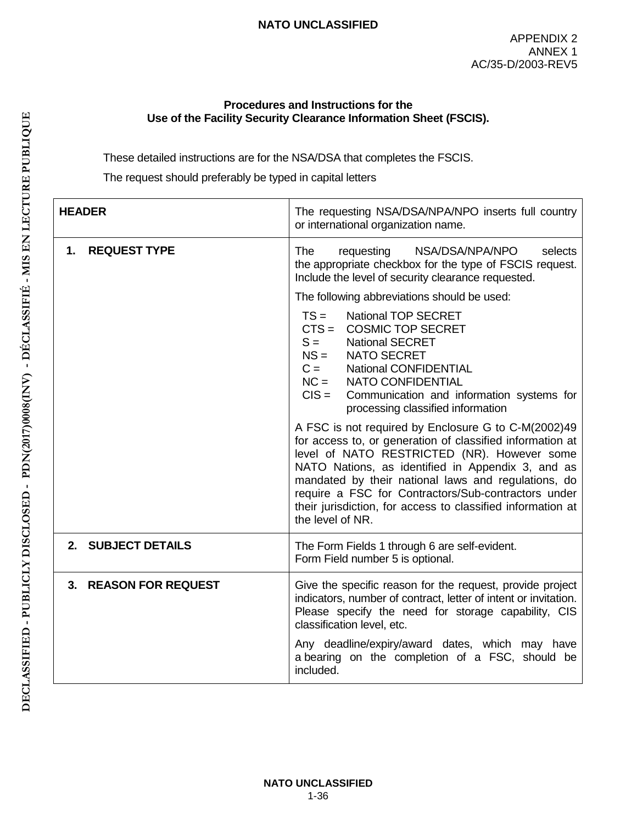#### **Procedures and Instructions for the Use of the Facility Security Clearance Information Sheet (FSCIS).**

These detailed instructions are for the NSA/DSA that completes the FSCIS.

The request should preferably be typed in capital letters

| <b>HEADER</b>             | The requesting NSA/DSA/NPA/NPO inserts full country<br>or international organization name.                                                                                                                                                                                                                                                                                                                            |  |  |
|---------------------------|-----------------------------------------------------------------------------------------------------------------------------------------------------------------------------------------------------------------------------------------------------------------------------------------------------------------------------------------------------------------------------------------------------------------------|--|--|
| <b>REQUEST TYPE</b><br>1. | <b>The</b><br>NSA/DSA/NPA/NPO<br>requesting<br>selects<br>the appropriate checkbox for the type of FSCIS request.<br>Include the level of security clearance requested.                                                                                                                                                                                                                                               |  |  |
|                           | The following abbreviations should be used:                                                                                                                                                                                                                                                                                                                                                                           |  |  |
|                           | $TS =$<br><b>National TOP SECRET</b><br>$CTS =$<br><b>COSMIC TOP SECRET</b><br>$S =$<br><b>National SECRET</b><br>$NS =$<br>NATO SECRET<br>$C =$<br><b>National CONFIDENTIAL</b><br>$NC =$<br>NATO CONFIDENTIAL<br>$CIS =$<br>Communication and information systems for<br>processing classified information                                                                                                          |  |  |
|                           | A FSC is not required by Enclosure G to C-M(2002)49<br>for access to, or generation of classified information at<br>level of NATO RESTRICTED (NR). However some<br>NATO Nations, as identified in Appendix 3, and as<br>mandated by their national laws and regulations, do<br>require a FSC for Contractors/Sub-contractors under<br>their jurisdiction, for access to classified information at<br>the level of NR. |  |  |
| 2. SUBJECT DETAILS        | The Form Fields 1 through 6 are self-evident.<br>Form Field number 5 is optional.                                                                                                                                                                                                                                                                                                                                     |  |  |
| 3. REASON FOR REQUEST     | Give the specific reason for the request, provide project<br>indicators, number of contract, letter of intent or invitation.<br>Please specify the need for storage capability, CIS<br>classification level, etc.                                                                                                                                                                                                     |  |  |
|                           | Any deadline/expiry/award dates, which may have<br>a bearing on the completion of a FSC, should be<br>included.                                                                                                                                                                                                                                                                                                       |  |  |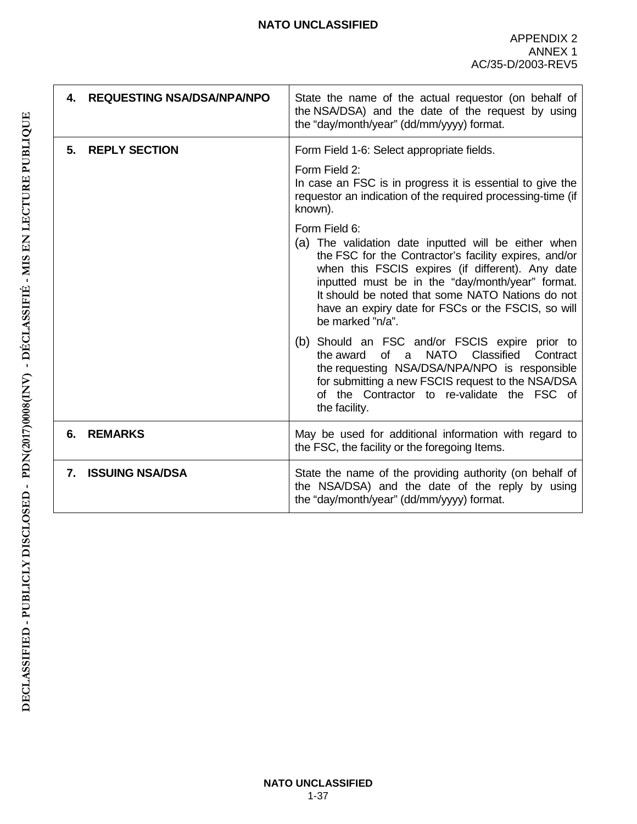| 4. | <b>REQUESTING NSA/DSA/NPA/NPO</b> | State the name of the actual requestor (on behalf of<br>the NSA/DSA) and the date of the request by using<br>the "day/month/year" (dd/mm/yyyy) format.                                                                                                                                                                                                               |
|----|-----------------------------------|----------------------------------------------------------------------------------------------------------------------------------------------------------------------------------------------------------------------------------------------------------------------------------------------------------------------------------------------------------------------|
| 5. | <b>REPLY SECTION</b>              | Form Field 1-6: Select appropriate fields.                                                                                                                                                                                                                                                                                                                           |
|    |                                   | Form Field 2:<br>In case an FSC is in progress it is essential to give the<br>requestor an indication of the required processing-time (if<br>known).                                                                                                                                                                                                                 |
|    |                                   | Form Field 6:<br>(a) The validation date inputted will be either when<br>the FSC for the Contractor's facility expires, and/or<br>when this FSCIS expires (if different). Any date<br>inputted must be in the "day/month/year" format.<br>It should be noted that some NATO Nations do not<br>have an expiry date for FSCs or the FSCIS, so will<br>be marked "n/a". |
|    |                                   | (b) Should an FSC and/or FSCIS expire prior to<br>Classified<br>the award of a<br><b>NATO</b><br>Contract<br>the requesting NSA/DSA/NPA/NPO is responsible<br>for submitting a new FSCIS request to the NSA/DSA<br>of the Contractor to re-validate the FSC of<br>the facility.                                                                                      |
| 6. | <b>REMARKS</b>                    | May be used for additional information with regard to<br>the FSC, the facility or the foregoing Items.                                                                                                                                                                                                                                                               |
| 7. | <b>ISSUING NSA/DSA</b>            | State the name of the providing authority (on behalf of<br>the NSA/DSA) and the date of the reply by using<br>the "day/month/year" (dd/mm/yyyy) format.                                                                                                                                                                                                              |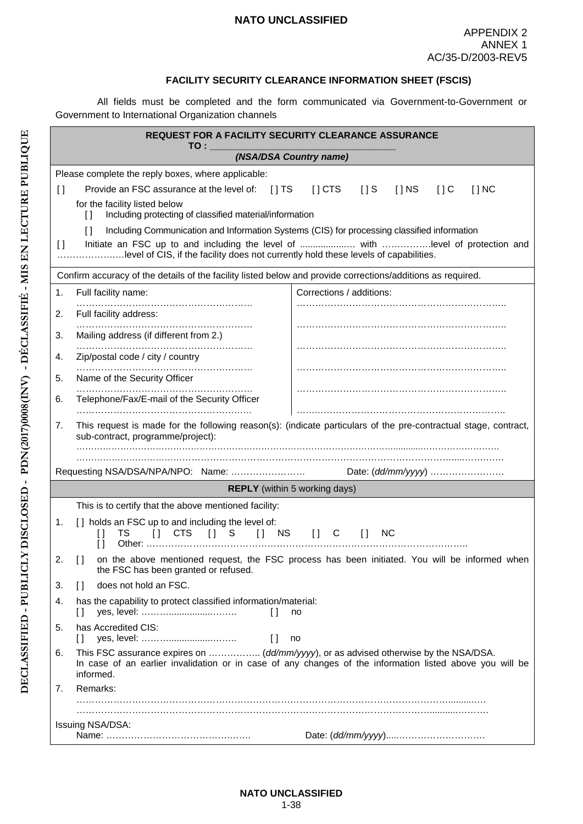#### **FACILITY SECURITY CLEARANCE INFORMATION SHEET (FSCIS)**

All fields must be completed and the form communicated via Government-to-Government or Government to International Organization channels

|                                        | REQUEST FOR A FACILITY SECURITY CLEARANCE ASSURANCE                                                                                                                              |                                                                                                                 |
|----------------------------------------|----------------------------------------------------------------------------------------------------------------------------------------------------------------------------------|-----------------------------------------------------------------------------------------------------------------|
|                                        | TO : ____<br>(NSA/DSA Country name)                                                                                                                                              |                                                                                                                 |
|                                        | Please complete the reply boxes, where applicable:                                                                                                                               |                                                                                                                 |
| $\Box$                                 | Provide an FSC assurance at the level of: [] TS                                                                                                                                  | $\left[\right]$ CTS<br>$[$ $]$ S<br>$[$ $]$ NS<br>$[$ $]$ C<br>$[$ $]$ NC                                       |
|                                        | for the facility listed below                                                                                                                                                    |                                                                                                                 |
|                                        | Including protecting of classified material/information<br>$\mathsf{L}$                                                                                                          |                                                                                                                 |
| $\begin{array}{c} \square \end{array}$ | Including Communication and Information Systems (CIS) for processing classified information<br>$\Box$                                                                            |                                                                                                                 |
|                                        | level of CIS, if the facility does not currently hold these levels of capabilities.                                                                                              |                                                                                                                 |
|                                        | Confirm accuracy of the details of the facility listed below and provide corrections/additions as required.                                                                      |                                                                                                                 |
| 1.                                     | Full facility name:                                                                                                                                                              | Corrections / additions:                                                                                        |
| 2.                                     | Full facility address:                                                                                                                                                           |                                                                                                                 |
| 3.                                     | Mailing address (if different from 2.)                                                                                                                                           |                                                                                                                 |
|                                        |                                                                                                                                                                                  |                                                                                                                 |
| 4.                                     | Zip/postal code / city / country                                                                                                                                                 |                                                                                                                 |
| 5.                                     | Name of the Security Officer                                                                                                                                                     |                                                                                                                 |
| 6.                                     | Telephone/Fax/E-mail of the Security Officer                                                                                                                                     |                                                                                                                 |
| 7.                                     |                                                                                                                                                                                  | This request is made for the following reason(s): (indicate particulars of the pre-contractual stage, contract, |
|                                        | sub-contract, programme/project):                                                                                                                                                |                                                                                                                 |
|                                        |                                                                                                                                                                                  |                                                                                                                 |
|                                        |                                                                                                                                                                                  | Date: (dd/mm/yyyy)                                                                                              |
|                                        | <b>REPLY</b> (within 5 working days)                                                                                                                                             |                                                                                                                 |
|                                        | This is to certify that the above mentioned facility:                                                                                                                            |                                                                                                                 |
| 1.                                     | [] holds an FSC up to and including the level of:<br>$\begin{bmatrix} 1 \end{bmatrix}$ CTS<br>$\begin{bmatrix} 1 & S \end{bmatrix}$<br><b>NS</b><br>TS<br>$\Box$<br>$\mathsf{L}$ | <b>NC</b><br>$\begin{bmatrix} 1 & C \end{bmatrix}$<br>$\Box$                                                    |
|                                        | the FSC has been granted or refused.                                                                                                                                             | [] on the above mentioned request, the FSC process has been initiated. You will be informed when                |
| 3.                                     | does not hold an FSC.<br>$\Box$                                                                                                                                                  |                                                                                                                 |
| 4.                                     | has the capability to protect classified information/material:<br>$\Box$<br>H                                                                                                    | no                                                                                                              |
| 5.                                     | has Accredited CIS:<br>$\begin{array}{c} \square \end{array}$<br>no                                                                                                              |                                                                                                                 |
| 6.                                     | This FSC assurance expires on  (dd/mm/yyyy), or as advised otherwise by the NSA/DSA.<br>informed.                                                                                | In case of an earlier invalidation or in case of any changes of the information listed above you will be        |
| 7.                                     | Remarks:                                                                                                                                                                         |                                                                                                                 |
|                                        |                                                                                                                                                                                  |                                                                                                                 |
|                                        | Issuing NSA/DSA:                                                                                                                                                                 |                                                                                                                 |
|                                        |                                                                                                                                                                                  |                                                                                                                 |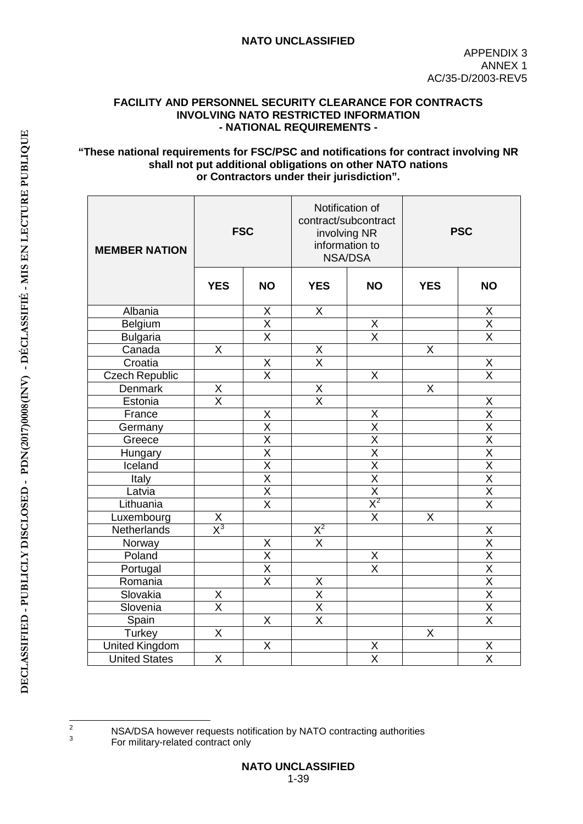#### **FACILITY AND PERSONNEL SECURITY CLEARANCE FOR CONTRACTS INVOLVING NATO RESTRICTED INFORMATION - NATIONAL REQUIREMENTS -**

#### **"These national requirements for FSC/PSC and notifications for contract involving NR shall not put additional obligations on other NATO nations or Contractors under their jurisdiction".**

| <b>MEMBER NATION</b>  | <b>FSC</b>                        |                                     | Notification of<br>contract/subcontract<br>involving NR<br>information to<br><b>NSA/DSA</b> |                                  | <b>PSC</b>              |                                     |
|-----------------------|-----------------------------------|-------------------------------------|---------------------------------------------------------------------------------------------|----------------------------------|-------------------------|-------------------------------------|
|                       | <b>YES</b>                        | <b>NO</b>                           | <b>YES</b>                                                                                  | <b>NO</b>                        | <b>YES</b>              | <b>NO</b>                           |
| Albania               |                                   | X                                   | $\overline{\mathsf{x}}$                                                                     |                                  |                         | X                                   |
| Belgium               |                                   | $\overline{\mathsf{X}}$             |                                                                                             | $\overline{X}$                   |                         | $\overline{\mathsf{X}}$             |
| <b>Bulgaria</b>       |                                   | $\overline{\mathsf{x}}$             |                                                                                             | $\overline{\mathsf{x}}$          |                         | $\overline{\mathsf{x}}$             |
| Canada                | $\mathsf{X}$                      |                                     | Χ                                                                                           |                                  | X                       |                                     |
| Croatia               |                                   | $\frac{X}{X}$                       | $\overline{\mathsf{x}}$                                                                     |                                  |                         | $\frac{x}{x}$                       |
| Czech Republic        |                                   |                                     |                                                                                             | X                                |                         |                                     |
| Denmark               | $\frac{X}{X}$                     |                                     | $\frac{\overline{X}}{\overline{X}}$                                                         |                                  | $\overline{\mathsf{x}}$ |                                     |
| Estonia               |                                   |                                     |                                                                                             |                                  |                         | $\overline{X}$                      |
| France                |                                   | X                                   |                                                                                             | X                                |                         | $\overline{\mathsf{x}}$             |
| Germany               |                                   | $\overline{\mathsf{x}}$             |                                                                                             | $\overline{\mathsf{X}}$          |                         | $\overline{\mathsf{X}}$             |
| Greece                |                                   | $\overline{\mathsf{X}}$             |                                                                                             | $\overline{\mathsf{x}}$          |                         | $\overline{\mathsf{x}}$             |
| Hungary               |                                   | $\overline{\mathsf{X}}$             |                                                                                             | $\frac{X}{X}$<br>$\frac{X}{X^2}$ |                         | $\frac{\overline{X}}{\overline{X}}$ |
| Iceland               |                                   | $\overline{\mathsf{x}}$             |                                                                                             |                                  |                         |                                     |
| Italy                 |                                   | $\overline{\mathsf{x}}$             |                                                                                             |                                  |                         |                                     |
| Latvia                |                                   | $\frac{\overline{X}}{\overline{X}}$ |                                                                                             |                                  |                         | $\frac{\overline{X}}{\overline{X}}$ |
| Lithuania             |                                   |                                     |                                                                                             |                                  |                         |                                     |
| Luxembourg            | $\frac{\mathsf{X}}{\mathsf{X}^3}$ |                                     |                                                                                             | $\overline{\mathsf{x}}$          | $\overline{X}$          |                                     |
| Netherlands           |                                   |                                     | $\frac{X^2}{X}$                                                                             |                                  |                         | X                                   |
| Norway                |                                   | X                                   |                                                                                             |                                  |                         |                                     |
| Poland                |                                   | $\frac{\overline{X}}{\overline{X}}$ |                                                                                             | $\frac{X}{X}$                    |                         |                                     |
| Portugal              |                                   |                                     |                                                                                             |                                  |                         |                                     |
| Romania               |                                   | $\overline{\mathsf{x}}$             |                                                                                             |                                  |                         |                                     |
| Slovakia              | $\frac{x}{x}$                     |                                     | $\frac{X}{X}$                                                                               |                                  |                         | $\frac{X}{X} \times \frac{X}{X}$    |
| Slovenia              |                                   |                                     |                                                                                             |                                  |                         |                                     |
| Spain                 |                                   | $\mathsf{X}$                        | $\overline{\mathsf{x}}$                                                                     |                                  |                         | $\overline{\mathsf{X}}$             |
| Turkey                | $\overline{X}$                    |                                     |                                                                                             |                                  | X                       |                                     |
| <b>United Kingdom</b> |                                   | X                                   |                                                                                             | Χ                                |                         | Χ                                   |
| <b>United States</b>  | $\overline{\mathsf{X}}$           |                                     |                                                                                             | $\overline{\mathsf{x}}$          |                         | $\overline{\mathsf{X}}$             |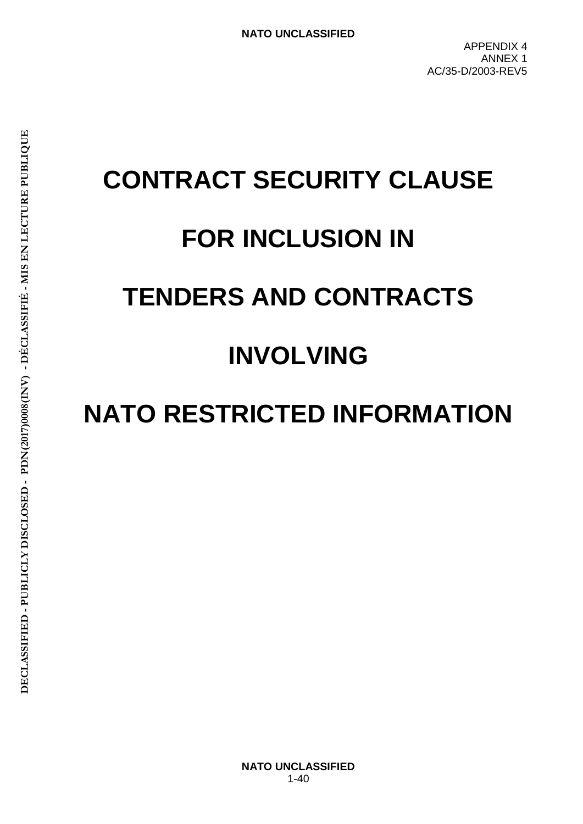# **CONTRACT SECURITY CLAUSE FOR INCLUSION IN TENDERS AND CONTRACTS INVOLVING**

# **NATO RESTRICTED INFORMATION**

**NATO UNCLASSIFIED** 1-40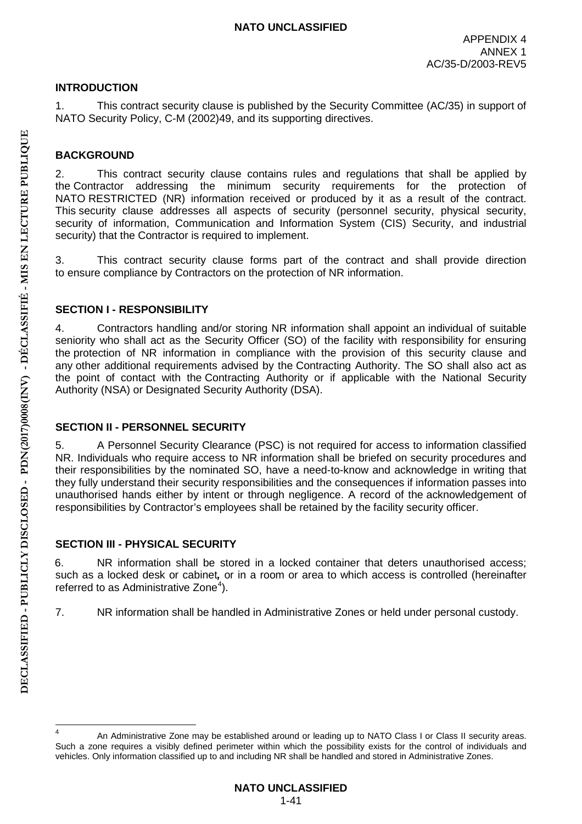# **INTRODUCTION**

1. This contract security clause is published by the Security Committee (AC/35) in support of NATO Security Policy, C-M (2002)49, and its supporting directives.

# **BACKGROUND**

2. This contract security clause contains rules and regulations that shall be applied by the Contractor addressing the minimum security requirements for the protection of NATO RESTRICTED (NR) information received or produced by it as a result of the contract. This security clause addresses all aspects of security (personnel security, physical security, security of information, Communication and Information System (CIS) Security, and industrial security) that the Contractor is required to implement.

3. This contract security clause forms part of the contract and shall provide direction to ensure compliance by Contractors on the protection of NR information.

# **SECTION I - RESPONSIBILITY**

4. Contractors handling and/or storing NR information shall appoint an individual of suitable seniority who shall act as the Security Officer (SO) of the facility with responsibility for ensuring the protection of NR information in compliance with the provision of this security clause and any other additional requirements advised by the Contracting Authority. The SO shall also act as the point of contact with the Contracting Authority or if applicable with the National Security Authority (NSA) or Designated Security Authority (DSA).

# **SECTION II - PERSONNEL SECURITY**

5. A Personnel Security Clearance (PSC) is not required for access to information classified NR. Individuals who require access to NR information shall be briefed on security procedures and their responsibilities by the nominated SO, have a need-to-know and acknowledge in writing that they fully understand their security responsibilities and the consequences if information passes into unauthorised hands either by intent or through negligence. A record of the acknowledgement of responsibilities by Contractor's employees shall be retained by the facility security officer.

# **SECTION III - PHYSICAL SECURITY**

6. NR information shall be stored in a locked container that deters unauthorised access; such as a locked desk or cabinet*,* or in a room or area to which access is controlled (hereinafter referred to as Administrative Zone $4$ ).

7. NR information shall be handled in Administrative Zones or held under personal custody.

<sup>&</sup>lt;sup>4</sup> An Administrative Zone may be established around or leading up to NATO Class I or Class II security areas. Such a zone requires a visibly defined perimeter within which the possibility exists for the control of individuals and vehicles. Only information classified up to and including NR shall be handled and stored in Administrative Zones.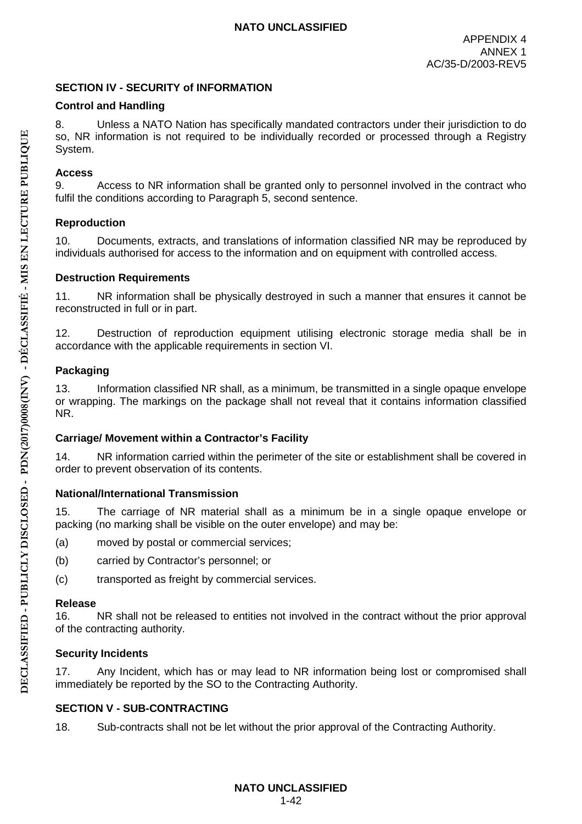# **SECTION IV - SECURITY of INFORMATION**

# **Control and Handling**

8. Unless a NATO Nation has specifically mandated contractors under their jurisdiction to do so, NR information is not required to be individually recorded or processed through a Registry System.

# **Access**

9. Access to NR information shall be granted only to personnel involved in the contract who fulfil the conditions according to Paragraph 5, second sentence.

#### **Reproduction**

10. Documents, extracts, and translations of information classified NR may be reproduced by individuals authorised for access to the information and on equipment with controlled access.

#### **Destruction Requirements**

11. NR information shall be physically destroyed in such a manner that ensures it cannot be reconstructed in full or in part.

12. Destruction of reproduction equipment utilising electronic storage media shall be in accordance with the applicable requirements in section VI.

# **Packaging**

13. Information classified NR shall, as a minimum, be transmitted in a single opaque envelope or wrapping. The markings on the package shall not reveal that it contains information classified NR.

# **Carriage/ Movement within a Contractor's Facility**

14. NR information carried within the perimeter of the site or establishment shall be covered in order to prevent observation of its contents.

# **National/International Transmission**

15. The carriage of NR material shall as a minimum be in a single opaque envelope or packing (no marking shall be visible on the outer envelope) and may be:

- (a) moved by postal or commercial services;
- (b) carried by Contractor's personnel; or
- (c) transported as freight by commercial services.

#### **Release**

16. NR shall not be released to entities not involved in the contract without the prior approval of the contracting authority.

# **Security Incidents**

17. Any Incident, which has or may lead to NR information being lost or compromised shall immediately be reported by the SO to the Contracting Authority.

# **SECTION V - SUB-CONTRACTING**

18. Sub-contracts shall not be let without the prior approval of the Contracting Authority.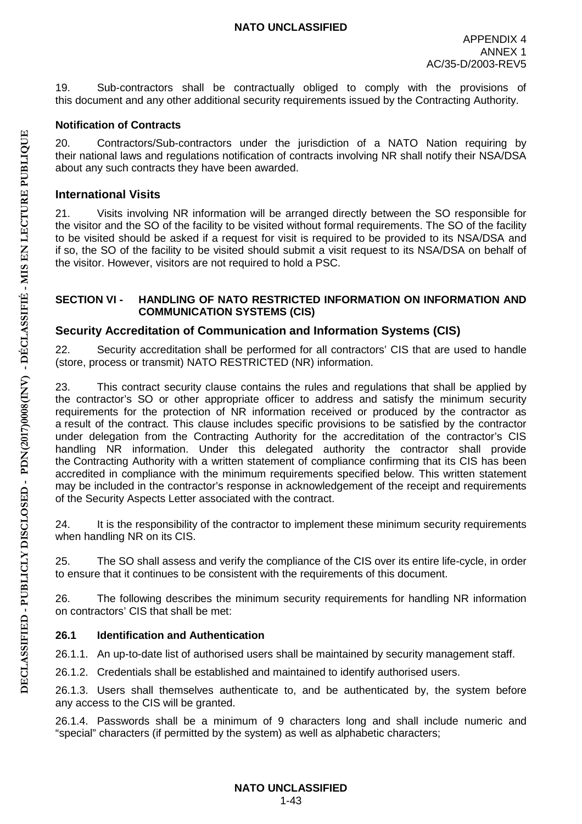19. Sub-contractors shall be contractually obliged to comply with the provisions of this document and any other additional security requirements issued by the Contracting Authority.

# **Notification of Contracts**

20. Contractors/Sub-contractors under the jurisdiction of a NATO Nation requiring by their national laws and regulations notification of contracts involving NR shall notify their NSA/DSA about any such contracts they have been awarded.

# **International Visits**

21. Visits involving NR information will be arranged directly between the SO responsible for the visitor and the SO of the facility to be visited without formal requirements. The SO of the facility to be visited should be asked if a request for visit is required to be provided to its NSA/DSA and if so, the SO of the facility to be visited should submit a visit request to its NSA/DSA on behalf of the visitor. However, visitors are not required to hold a PSC.

#### **SECTION VI - HANDLING OF NATO RESTRICTED INFORMATION ON INFORMATION AND COMMUNICATION SYSTEMS (CIS)**

# **Security Accreditation of Communication and Information Systems (CIS)**

22. Security accreditation shall be performed for all contractors' CIS that are used to handle (store, process or transmit) NATO RESTRICTED (NR) information.

23. This contract security clause contains the rules and regulations that shall be applied by the contractor's SO or other appropriate officer to address and satisfy the minimum security requirements for the protection of NR information received or produced by the contractor as a result of the contract. This clause includes specific provisions to be satisfied by the contractor under delegation from the Contracting Authority for the accreditation of the contractor's CIS handling NR information. Under this delegated authority the contractor shall provide the Contracting Authority with a written statement of compliance confirming that its CIS has been accredited in compliance with the minimum requirements specified below. This written statement may be included in the contractor's response in acknowledgement of the receipt and requirements of the Security Aspects Letter associated with the contract.

24. It is the responsibility of the contractor to implement these minimum security requirements when handling NR on its CIS.

25. The SO shall assess and verify the compliance of the CIS over its entire life-cycle, in order to ensure that it continues to be consistent with the requirements of this document.

26. The following describes the minimum security requirements for handling NR information on contractors' CIS that shall be met:

# **26.1 Identification and Authentication**

26.1.1. An up-to-date list of authorised users shall be maintained by security management staff.

26.1.2. Credentials shall be established and maintained to identify authorised users.

26.1.3. Users shall themselves authenticate to, and be authenticated by, the system before any access to the CIS will be granted.

26.1.4. Passwords shall be a minimum of 9 characters long and shall include numeric and "special" characters (if permitted by the system) as well as alphabetic characters;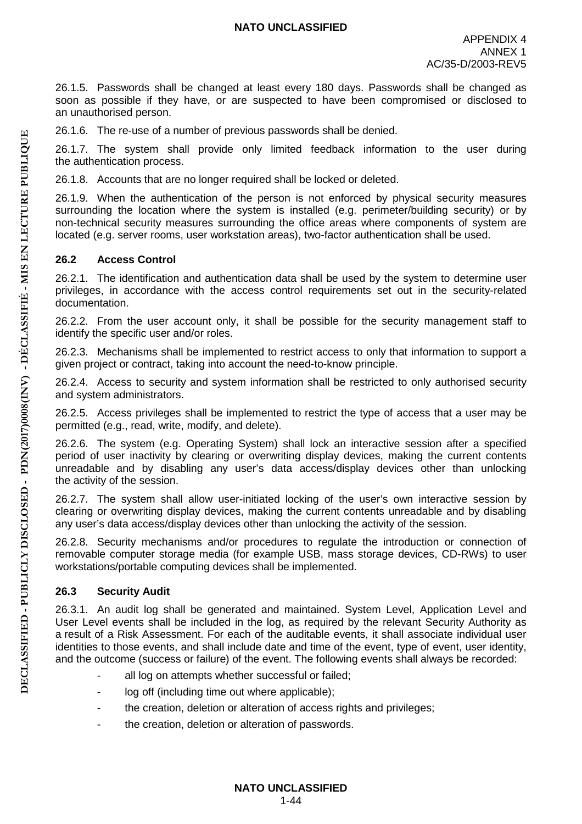26.1.5. Passwords shall be changed at least every 180 days. Passwords shall be changed as soon as possible if they have, or are suspected to have been compromised or disclosed to an unauthorised person.

26.1.6. The re-use of a number of previous passwords shall be denied.

26.1.7. The system shall provide only limited feedback information to the user during the authentication process.

26.1.8. Accounts that are no longer required shall be locked or deleted.

26.1.9. When the authentication of the person is not enforced by physical security measures surrounding the location where the system is installed (e.g. perimeter/building security) or by non-technical security measures surrounding the office areas where components of system are located (e.g. server rooms, user workstation areas), two-factor authentication shall be used.

# **26.2 Access Control**

26.2.1. The identification and authentication data shall be used by the system to determine user privileges, in accordance with the access control requirements set out in the security-related documentation.

26.2.2. From the user account only, it shall be possible for the security management staff to identify the specific user and/or roles.

26.2.3. Mechanisms shall be implemented to restrict access to only that information to support a given project or contract, taking into account the need-to-know principle.

26.2.4. Access to security and system information shall be restricted to only authorised security and system administrators.

26.2.5. Access privileges shall be implemented to restrict the type of access that a user may be permitted (e.g., read, write, modify, and delete).

26.2.6. The system (e.g. Operating System) shall lock an interactive session after a specified period of user inactivity by clearing or overwriting display devices, making the current contents unreadable and by disabling any user's data access/display devices other than unlocking the activity of the session.

26.2.7. The system shall allow user-initiated locking of the user's own interactive session by clearing or overwriting display devices, making the current contents unreadable and by disabling any user's data access/display devices other than unlocking the activity of the session.

26.2.8. Security mechanisms and/or procedures to regulate the introduction or connection of removable computer storage media (for example USB, mass storage devices, CD-RWs) to user workstations/portable computing devices shall be implemented.

# **26.3 Security Audit**

26.3.1. An audit log shall be generated and maintained. System Level, Application Level and User Level events shall be included in the log, as required by the relevant Security Authority as a result of a Risk Assessment. For each of the auditable events, it shall associate individual user identities to those events, and shall include date and time of the event, type of event, user identity, and the outcome (success or failure) of the event. The following events shall always be recorded:

- all log on attempts whether successful or failed;
- log off (including time out where applicable);
- the creation, deletion or alteration of access rights and privileges;
- the creation, deletion or alteration of passwords.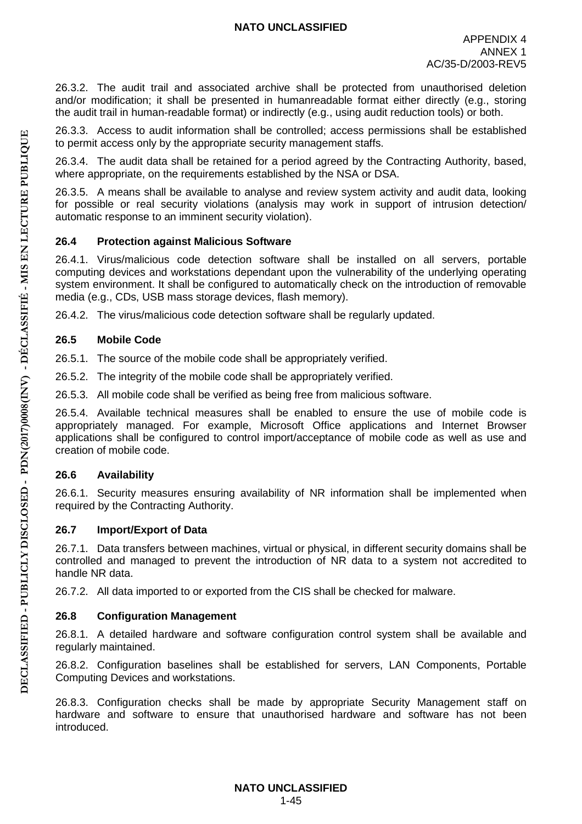26.3.2. The audit trail and associated archive shall be protected from unauthorised deletion and/or modification; it shall be presented in humanreadable format either directly (e.g., storing the audit trail in human-readable format) or indirectly (e.g., using audit reduction tools) or both.

26.3.3. Access to audit information shall be controlled; access permissions shall be established to permit access only by the appropriate security management staffs.

26.3.4. The audit data shall be retained for a period agreed by the Contracting Authority, based, where appropriate, on the requirements established by the NSA or DSA.

26.3.5. A means shall be available to analyse and review system activity and audit data, looking for possible or real security violations (analysis may work in support of intrusion detection/ automatic response to an imminent security violation).

#### **26.4 Protection against Malicious Software**

26.4.1. Virus/malicious code detection software shall be installed on all servers, portable computing devices and workstations dependant upon the vulnerability of the underlying operating system environment. It shall be configured to automatically check on the introduction of removable media (e.g., CDs, USB mass storage devices, flash memory).

26.4.2. The virus/malicious code detection software shall be regularly updated.

#### **26.5 Mobile Code**

26.5.1. The source of the mobile code shall be appropriately verified.

26.5.2. The integrity of the mobile code shall be appropriately verified.

26.5.3. All mobile code shall be verified as being free from malicious software.

26.5.4. Available technical measures shall be enabled to ensure the use of mobile code is appropriately managed. For example, Microsoft Office applications and Internet Browser applications shall be configured to control import/acceptance of mobile code as well as use and creation of mobile code.

# **26.6 Availability**

26.6.1. Security measures ensuring availability of NR information shall be implemented when required by the Contracting Authority.

# **26.7 Import/Export of Data**

26.7.1. Data transfers between machines, virtual or physical, in different security domains shall be controlled and managed to prevent the introduction of NR data to a system not accredited to handle NR data.

26.7.2. All data imported to or exported from the CIS shall be checked for malware.

# **26.8 Configuration Management**

26.8.1. A detailed hardware and software configuration control system shall be available and regularly maintained.

26.8.2. Configuration baselines shall be established for servers, LAN Components, Portable Computing Devices and workstations.

26.8.3. Configuration checks shall be made by appropriate Security Management staff on hardware and software to ensure that unauthorised hardware and software has not been introduced.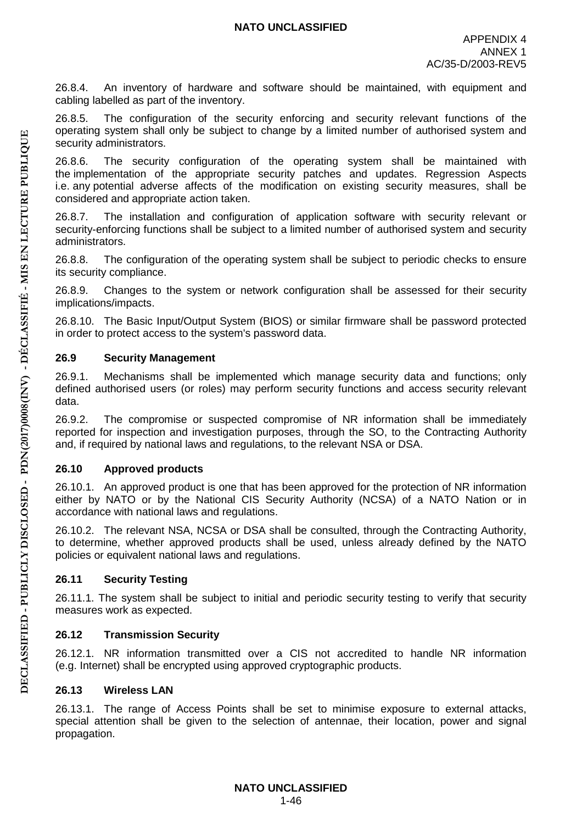26.8.4. An inventory of hardware and software should be maintained, with equipment and cabling labelled as part of the inventory.

26.8.5. The configuration of the security enforcing and security relevant functions of the operating system shall only be subject to change by a limited number of authorised system and security administrators.

26.8.6. The security configuration of the operating system shall be maintained with the implementation of the appropriate security patches and updates. Regression Aspects i.e. any potential adverse affects of the modification on existing security measures, shall be considered and appropriate action taken.

26.8.7. The installation and configuration of application software with security relevant or security-enforcing functions shall be subject to a limited number of authorised system and security administrators.

26.8.8. The configuration of the operating system shall be subject to periodic checks to ensure its security compliance.

26.8.9. Changes to the system or network configuration shall be assessed for their security implications/impacts.

26.8.10. The Basic Input/Output System (BIOS) or similar firmware shall be password protected in order to protect access to the system's password data.

#### **26.9 Security Management**

26.9.1. Mechanisms shall be implemented which manage security data and functions; only defined authorised users (or roles) may perform security functions and access security relevant data.

26.9.2. The compromise or suspected compromise of NR information shall be immediately reported for inspection and investigation purposes, through the SO, to the Contracting Authority and, if required by national laws and regulations, to the relevant NSA or DSA.

#### **26.10 Approved products**

26.10.1. An approved product is one that has been approved for the protection of NR information either by NATO or by the National CIS Security Authority (NCSA) of a NATO Nation or in accordance with national laws and regulations.

26.10.2. The relevant NSA, NCSA or DSA shall be consulted, through the Contracting Authority, to determine, whether approved products shall be used, unless already defined by the NATO policies or equivalent national laws and regulations.

# **26.11 Security Testing**

26.11.1. The system shall be subject to initial and periodic security testing to verify that security measures work as expected.

#### **26.12 Transmission Security**

26.12.1. NR information transmitted over a CIS not accredited to handle NR information (e.g. Internet) shall be encrypted using approved cryptographic products.

# **26.13 Wireless LAN**

26.13.1. The range of Access Points shall be set to minimise exposure to external attacks, special attention shall be given to the selection of antennae, their location, power and signal propagation.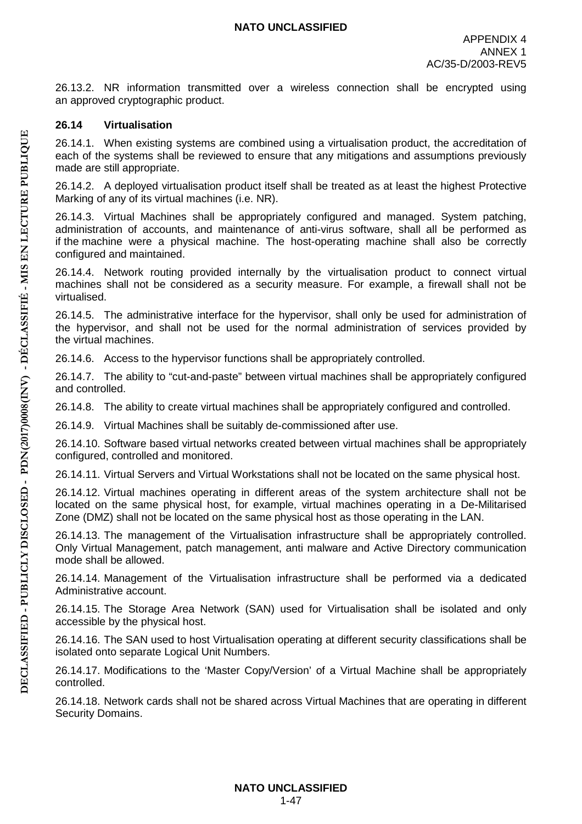26.13.2. NR information transmitted over a wireless connection shall be encrypted using an approved cryptographic product.

#### **26.14 Virtualisation**

26.14.1. When existing systems are combined using a virtualisation product, the accreditation of each of the systems shall be reviewed to ensure that any mitigations and assumptions previously made are still appropriate.

26.14.2. A deployed virtualisation product itself shall be treated as at least the highest Protective Marking of any of its virtual machines (i.e. NR).

26.14.3. Virtual Machines shall be appropriately configured and managed. System patching, administration of accounts, and maintenance of anti-virus software, shall all be performed as if the machine were a physical machine. The host-operating machine shall also be correctly configured and maintained.

26.14.4. Network routing provided internally by the virtualisation product to connect virtual machines shall not be considered as a security measure. For example, a firewall shall not be virtualised.

26.14.5. The administrative interface for the hypervisor, shall only be used for administration of the hypervisor, and shall not be used for the normal administration of services provided by the virtual machines.

26.14.6. Access to the hypervisor functions shall be appropriately controlled.

26.14.7. The ability to "cut-and-paste" between virtual machines shall be appropriately configured and controlled.

26.14.8. The ability to create virtual machines shall be appropriately configured and controlled.

26.14.9. Virtual Machines shall be suitably de-commissioned after use.

26.14.10. Software based virtual networks created between virtual machines shall be appropriately configured, controlled and monitored.

26.14.11. Virtual Servers and Virtual Workstations shall not be located on the same physical host.

26.14.12. Virtual machines operating in different areas of the system architecture shall not be located on the same physical host, for example, virtual machines operating in a De-Militarised Zone (DMZ) shall not be located on the same physical host as those operating in the LAN.

26.14.13. The management of the Virtualisation infrastructure shall be appropriately controlled. Only Virtual Management, patch management, anti malware and Active Directory communication mode shall be allowed.

26.14.14. Management of the Virtualisation infrastructure shall be performed via a dedicated Administrative account.

26.14.15. The Storage Area Network (SAN) used for Virtualisation shall be isolated and only accessible by the physical host.

26.14.16. The SAN used to host Virtualisation operating at different security classifications shall be isolated onto separate Logical Unit Numbers.

26.14.17. Modifications to the 'Master Copy/Version' of a Virtual Machine shall be appropriately controlled.

26.14.18. Network cards shall not be shared across Virtual Machines that are operating in different Security Domains.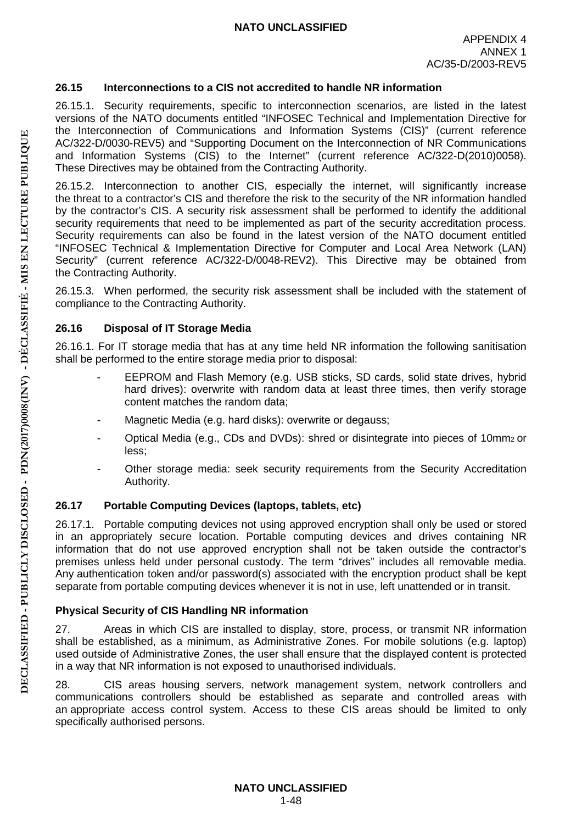# **26.15 Interconnections to a CIS not accredited to handle NR information**

26.15.1. Security requirements, specific to interconnection scenarios, are listed in the latest versions of the NATO documents entitled "INFOSEC Technical and Implementation Directive for the Interconnection of Communications and Information Systems (CIS)" (current reference AC/322-D/0030-REV5) and "Supporting Document on the Interconnection of NR Communications and Information Systems (CIS) to the Internet" (current reference AC/322-D(2010)0058). These Directives may be obtained from the Contracting Authority.

26.15.2. Interconnection to another CIS, especially the internet, will significantly increase the threat to a contractor's CIS and therefore the risk to the security of the NR information handled by the contractor's CIS. A security risk assessment shall be performed to identify the additional security requirements that need to be implemented as part of the security accreditation process. Security requirements can also be found in the latest version of the NATO document entitled "INFOSEC Technical & Implementation Directive for Computer and Local Area Network (LAN) Security" (current reference AC/322-D/0048-REV2). This Directive may be obtained from the Contracting Authority.

26.15.3. When performed, the security risk assessment shall be included with the statement of compliance to the Contracting Authority.

# **26.16 Disposal of IT Storage Media**

26.16.1. For IT storage media that has at any time held NR information the following sanitisation shall be performed to the entire storage media prior to disposal:

- EEPROM and Flash Memory (e.g. USB sticks, SD cards, solid state drives, hybrid hard drives): overwrite with random data at least three times, then verify storage content matches the random data;
- Magnetic Media (e.g. hard disks): overwrite or degauss;
- Optical Media (e.g., CDs and DVDs): shred or disintegrate into pieces of 10mm2 or less;
- Other storage media: seek security requirements from the Security Accreditation Authority.

# **26.17 Portable Computing Devices (laptops, tablets, etc)**

26.17.1. Portable computing devices not using approved encryption shall only be used or stored in an appropriately secure location. Portable computing devices and drives containing NR information that do not use approved encryption shall not be taken outside the contractor's premises unless held under personal custody. The term "drives" includes all removable media. Any authentication token and/or password(s) associated with the encryption product shall be kept separate from portable computing devices whenever it is not in use, left unattended or in transit.

# **Physical Security of CIS Handling NR information**

27. Areas in which CIS are installed to display, store, process, or transmit NR information shall be established, as a minimum, as Administrative Zones. For mobile solutions (e.g. laptop) used outside of Administrative Zones, the user shall ensure that the displayed content is protected in a way that NR information is not exposed to unauthorised individuals.

28. CIS areas housing servers, network management system, network controllers and communications controllers should be established as separate and controlled areas with an appropriate access control system. Access to these CIS areas should be limited to only specifically authorised persons.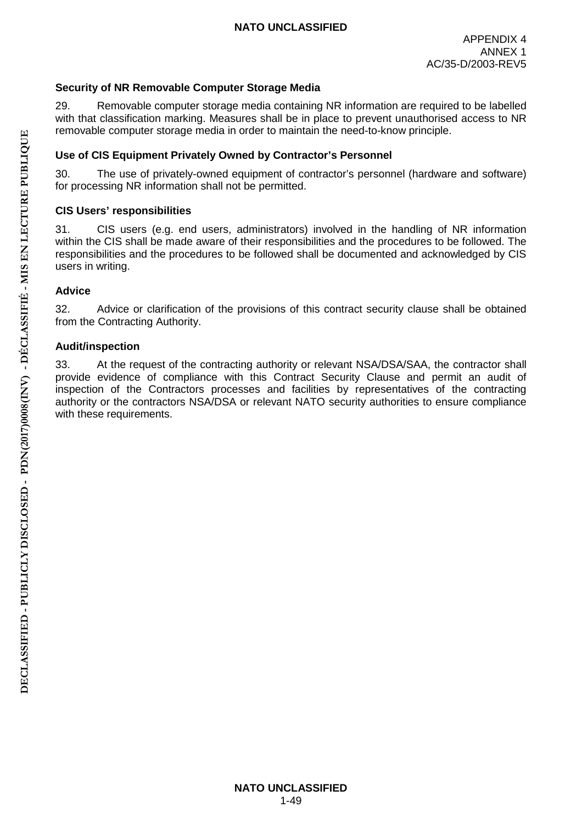# **Security of NR Removable Computer Storage Media**

29. Removable computer storage media containing NR information are required to be labelled with that classification marking. Measures shall be in place to prevent unauthorised access to NR removable computer storage media in order to maintain the need-to-know principle.

#### **Use of CIS Equipment Privately Owned by Contractor's Personnel**

30. The use of privately-owned equipment of contractor's personnel (hardware and software) for processing NR information shall not be permitted.

#### **CIS Users' responsibilities**

31. CIS users (e.g. end users, administrators) involved in the handling of NR information within the CIS shall be made aware of their responsibilities and the procedures to be followed. The responsibilities and the procedures to be followed shall be documented and acknowledged by CIS users in writing.

#### **Advice**

32. Advice or clarification of the provisions of this contract security clause shall be obtained from the Contracting Authority.

#### **Audit/inspection**

33. At the request of the contracting authority or relevant NSA/DSA/SAA, the contractor shall provide evidence of compliance with this Contract Security Clause and permit an audit of inspection of the Contractors processes and facilities by representatives of the contracting authority or the contractors NSA/DSA or relevant NATO security authorities to ensure compliance with these requirements.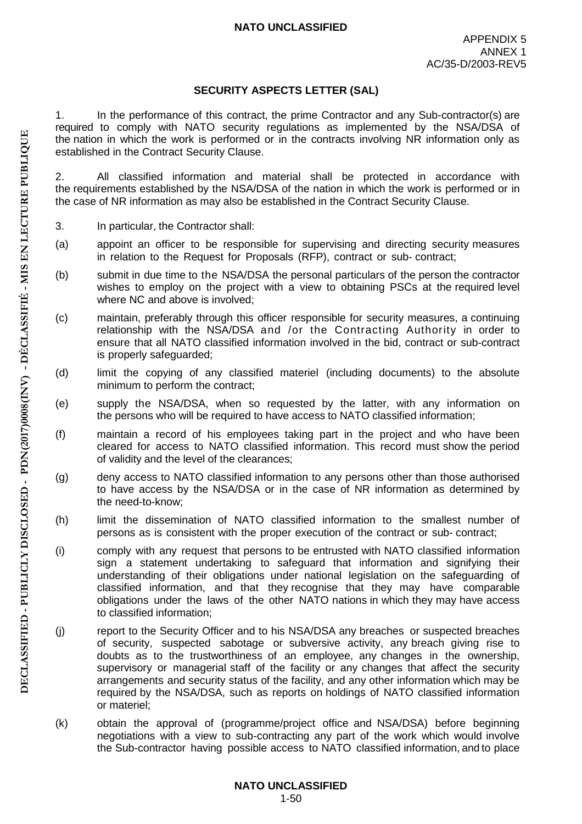#### **SECURITY ASPECTS LETTER (SAL)**

1. In the performance of this contract, the prime Contractor and any Sub-contractor(s) are required to comply with NATO security regulations as implemented by the NSA/DSA of the nation in which the work is performed or in the contracts involving NR information only as established in the Contract Security Clause.

2. All classified information and material shall be protected in accordance with the requirements established by the NSA/DSA of the nation in which the work is performed or in the case of NR information as may also be established in the Contract Security Clause.

- 3. In particular, the Contractor shall:
- (a) appoint an officer to be responsible for supervising and directing security measures in relation to the Request for Proposals (RFP), contract or sub- contract;
- (b) submit in due time to the NSA/DSA the personal particulars of the person the contractor wishes to employ on the project with a view to obtaining PSCs at the required level where NC and above is involved;
- (c) maintain, preferably through this officer responsible for security measures, a continuing relationship with the NSA/DSA and /or the Contracting Authority in order to ensure that all NATO classified information involved in the bid, contract or sub-contract is properly safeguarded;
- (d) limit the copying of any classified materiel (including documents) to the absolute minimum to perform the contract;
- (e) supply the NSA/DSA, when so requested by the latter, with any information on the persons who will be required to have access to NATO classified information;
- (f) maintain a record of his employees taking part in the project and who have been cleared for access to NATO classified information. This record must show the period of validity and the level of the clearances;
- (g) deny access to NATO classified information to any persons other than those authorised to have access by the NSA/DSA or in the case of NR information as determined by the need-to-know;
- (h) limit the dissemination of NATO classified information to the smallest number of persons as is consistent with the proper execution of the contract or sub- contract;
- (i) comply with any request that persons to be entrusted with NATO classified information sign a statement undertaking to safeguard that information and signifying their understanding of their obligations under national legislation on the safeguarding of classified information, and that they recognise that they may have comparable obligations under the laws of the other NATO nations in which they may have access to classified information;
- (j) report to the Security Officer and to his NSA/DSA any breaches or suspected breaches of security, suspected sabotage or subversive activity, any breach giving rise to doubts as to the trustworthiness of an employee, any changes in the ownership, supervisory or managerial staff of the facility or any changes that affect the security arrangements and security status of the facility, and any other information which may be required by the NSA/DSA, such as reports on holdings of NATO classified information or materiel;
- (k) obtain the approval of (programme/project office and NSA/DSA) before beginning negotiations with a view to sub-contracting any part of the work which would involve the Sub-contractor having possible access to NATO classified information, and to place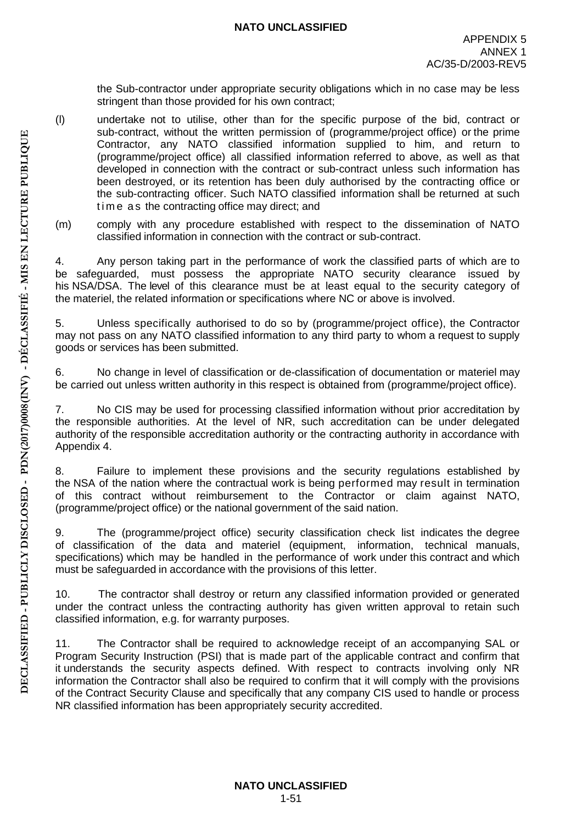the Sub-contractor under appropriate security obligations which in no case may be less stringent than those provided for his own contract;

- (l) undertake not to utilise, other than for the specific purpose of the bid, contract or sub-contract, without the written permission of (programme/project office) or the prime Contractor, any NATO classified information supplied to him, and return to (programme/project office) all classified information referred to above, as well as that developed in connection with the contract or sub-contract unless such information has been destroyed, or its retention has been duly authorised by the contracting office or the sub-contracting officer. Such NATO classified information shall be returned at such time a s the contracting office may direct; and
- (m) comply with any procedure established with respect to the dissemination of NATO classified information in connection with the contract or sub-contract.

4. Any person taking part in the performance of work the classified parts of which are to be safeguarded, must possess the appropriate NATO security clearance issued by his NSA/DSA. The level of this clearance must be at least equal to the security category of the materiel, the related information or specifications where NC or above is involved.

5. Unless specifically authorised to do so by (programme/project office), the Contractor may not pass on any NATO classified information to any third party to whom a request to supply goods or services has been submitted.

6. No change in level of classification or de-classification of documentation or materiel may be carried out unless written authority in this respect is obtained from (programme/project office).

7. No CIS may be used for processing classified information without prior accreditation by the responsible authorities. At the level of NR, such accreditation can be under delegated authority of the responsible accreditation authority or the contracting authority in accordance with Appendix 4.

8. Failure to implement these provisions and the security regulations established by the NSA of the nation where the contractual work is being performed may result in termination of this contract without reimbursement to the Contractor or claim against NATO, (programme/project office) or the national government of the said nation.

9. The (programme/project office) security classification check list indicates the degree of classification of the data and materiel (equipment, information, technical manuals, specifications) which may be handled in the performance of work under this contract and which must be safeguarded in accordance with the provisions of this letter.

10. The contractor shall destroy or return any classified information provided or generated under the contract unless the contracting authority has given written approval to retain such classified information, e.g. for warranty purposes.

11. The Contractor shall be required to acknowledge receipt of an accompanying SAL or Program Security Instruction (PSI) that is made part of the applicable contract and confirm that it understands the security aspects defined. With respect to contracts involving only NR information the Contractor shall also be required to confirm that it will comply with the provisions of the Contract Security Clause and specifically that any company CIS used to handle or process NR classified information has been appropriately security accredited.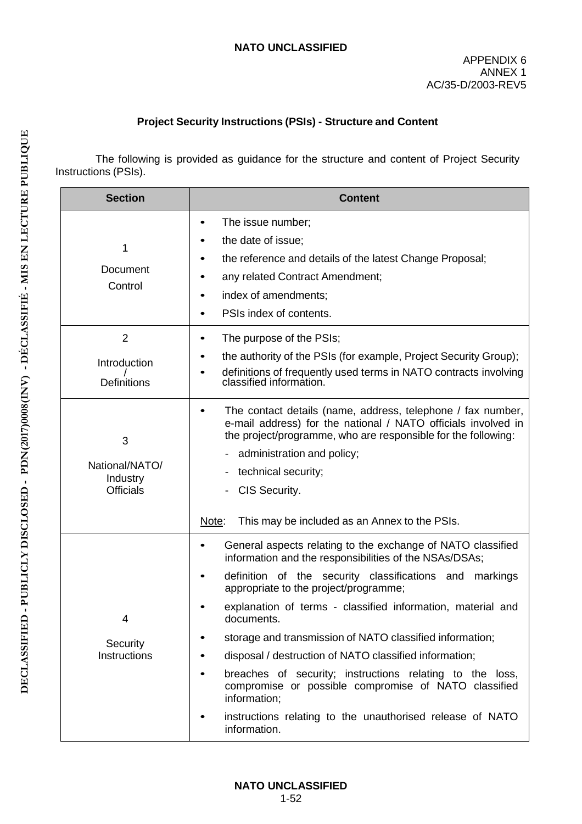# **Project Security Instructions (PSIs) - Structure and Content**

The following is provided as guidance for the structure and content of Project Security Instructions (PSIs).

| <b>Section</b>                                      | <b>Content</b>                                                                                                                                                                                                                                                                                                                                                                                                                                                                                                                                                                                                                                            |
|-----------------------------------------------------|-----------------------------------------------------------------------------------------------------------------------------------------------------------------------------------------------------------------------------------------------------------------------------------------------------------------------------------------------------------------------------------------------------------------------------------------------------------------------------------------------------------------------------------------------------------------------------------------------------------------------------------------------------------|
| 1<br>Document<br>Control                            | The issue number;<br>٠<br>the date of issue;<br>the reference and details of the latest Change Proposal;<br>any related Contract Amendment;<br>index of amendments;<br>PSIs index of contents.                                                                                                                                                                                                                                                                                                                                                                                                                                                            |
| $\overline{2}$<br>Introduction<br>Definitions       | The purpose of the PSIs;<br>the authority of the PSIs (for example, Project Security Group);<br>definitions of frequently used terms in NATO contracts involving<br>classified information.                                                                                                                                                                                                                                                                                                                                                                                                                                                               |
| 3<br>National/NATO/<br>Industry<br><b>Officials</b> | The contact details (name, address, telephone / fax number,<br>e-mail address) for the national / NATO officials involved in<br>the project/programme, who are responsible for the following:<br>administration and policy;<br>technical security;<br>CIS Security.<br>Note:<br>This may be included as an Annex to the PSIs.                                                                                                                                                                                                                                                                                                                             |
| 4<br>Security<br>Instructions                       | General aspects relating to the exchange of NATO classified<br>$\bullet$<br>information and the responsibilities of the NSAs/DSAs;<br>definition of the security classifications and markings<br>appropriate to the project/programme;<br>explanation of terms - classified information, material and<br>documents<br>storage and transmission of NATO classified information;<br>disposal / destruction of NATO classified information;<br>breaches of security; instructions relating to the loss,<br>compromise or possible compromise of NATO classified<br>information;<br>instructions relating to the unauthorised release of NATO<br>information. |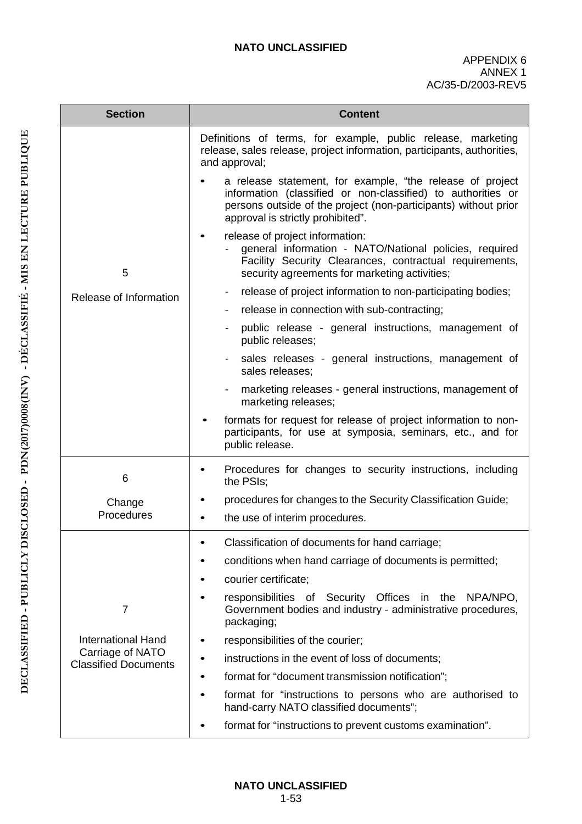| <b>Section</b>                                  | <b>Content</b>                                                                                                                                                                                                                    |  |  |
|-------------------------------------------------|-----------------------------------------------------------------------------------------------------------------------------------------------------------------------------------------------------------------------------------|--|--|
|                                                 | Definitions of terms, for example, public release, marketing<br>release, sales release, project information, participants, authorities,<br>and approval;                                                                          |  |  |
|                                                 | a release statement, for example, "the release of project<br>information (classified or non-classified) to authorities or<br>persons outside of the project (non-participants) without prior<br>approval is strictly prohibited". |  |  |
| 5                                               | release of project information:<br>٠<br>general information - NATO/National policies, required<br>Facility Security Clearances, contractual requirements,<br>security agreements for marketing activities;                        |  |  |
| Release of Information                          | release of project information to non-participating bodies;<br>٠                                                                                                                                                                  |  |  |
|                                                 | release in connection with sub-contracting;                                                                                                                                                                                       |  |  |
|                                                 | public release - general instructions, management of<br>public releases;                                                                                                                                                          |  |  |
|                                                 | sales releases - general instructions, management of<br>sales releases;                                                                                                                                                           |  |  |
|                                                 | marketing releases - general instructions, management of<br>marketing releases;                                                                                                                                                   |  |  |
|                                                 | formats for request for release of project information to non-<br>participants, for use at symposia, seminars, etc., and for<br>public release.                                                                                   |  |  |
| 6                                               | Procedures for changes to security instructions, including<br>the PSIs;                                                                                                                                                           |  |  |
| Change                                          | procedures for changes to the Security Classification Guide;                                                                                                                                                                      |  |  |
| Procedures                                      | the use of interim procedures.<br>$\bullet$                                                                                                                                                                                       |  |  |
|                                                 | Classification of documents for hand carriage;                                                                                                                                                                                    |  |  |
|                                                 | conditions when hand carriage of documents is permitted;                                                                                                                                                                          |  |  |
|                                                 | courier certificate;                                                                                                                                                                                                              |  |  |
| 7                                               | responsibilities of Security Offices in the<br>NPA/NPO,<br>Government bodies and industry - administrative procedures,<br>packaging;                                                                                              |  |  |
| <b>International Hand</b>                       | responsibilities of the courier;                                                                                                                                                                                                  |  |  |
| Carriage of NATO<br><b>Classified Documents</b> | instructions in the event of loss of documents;                                                                                                                                                                                   |  |  |
|                                                 | format for "document transmission notification";<br>$\bullet$                                                                                                                                                                     |  |  |
|                                                 | format for "instructions to persons who are authorised to<br>$\bullet$<br>hand-carry NATO classified documents";                                                                                                                  |  |  |
|                                                 | format for "instructions to prevent customs examination".                                                                                                                                                                         |  |  |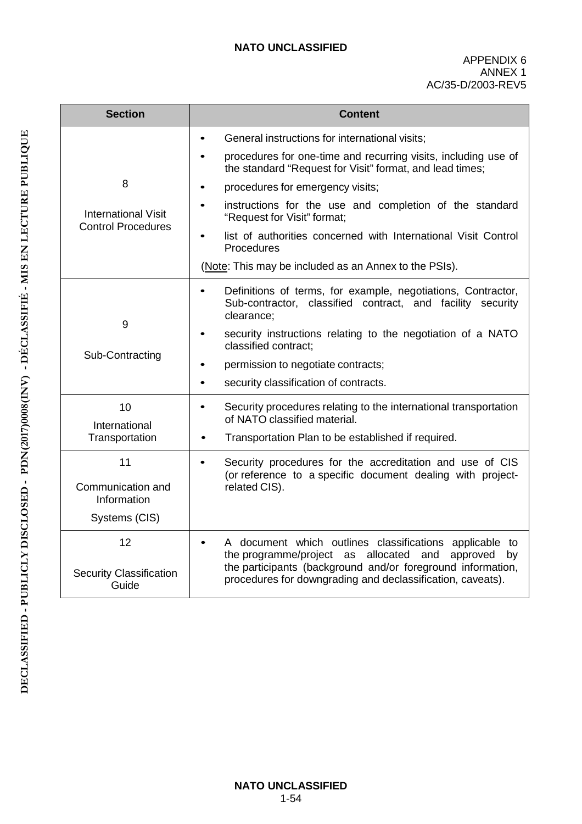| <b>Section</b>                                          | <b>Content</b>                                                                                                                                        |  |
|---------------------------------------------------------|-------------------------------------------------------------------------------------------------------------------------------------------------------|--|
|                                                         | General instructions for international visits;<br>$\bullet$                                                                                           |  |
|                                                         | procedures for one-time and recurring visits, including use of<br>the standard "Request for Visit" format, and lead times;                            |  |
| 8                                                       | procedures for emergency visits;                                                                                                                      |  |
| <b>International Visit</b><br><b>Control Procedures</b> | instructions for the use and completion of the standard<br>"Request for Visit" format;                                                                |  |
|                                                         | list of authorities concerned with International Visit Control<br>Procedures                                                                          |  |
|                                                         | (Note: This may be included as an Annex to the PSIs).                                                                                                 |  |
| 9                                                       | Definitions of terms, for example, negotiations, Contractor,<br>$\bullet$<br>Sub-contractor, classified contract, and facility security<br>clearance; |  |
|                                                         | security instructions relating to the negotiation of a NATO<br>$\bullet$<br>classified contract;                                                      |  |
| Sub-Contracting                                         | permission to negotiate contracts;<br>$\bullet$                                                                                                       |  |
|                                                         | security classification of contracts.<br>$\bullet$                                                                                                    |  |
| 10<br>International                                     | Security procedures relating to the international transportation<br>$\bullet$<br>of NATO classified material.                                         |  |
| Transportation                                          | Transportation Plan to be established if required.<br>$\bullet$                                                                                       |  |
| 11                                                      | Security procedures for the accreditation and use of CIS<br>$\bullet$<br>(or reference to a specific document dealing with project-                   |  |
| Communication and<br>Information                        | related CIS).                                                                                                                                         |  |
| Systems (CIS)                                           |                                                                                                                                                       |  |
| 12                                                      | A document which outlines classifications applicable to<br>the programme/project as allocated<br>and<br>approved<br>by                                |  |
| <b>Security Classification</b><br>Guide                 | the participants (background and/or foreground information,<br>procedures for downgrading and declassification, caveats).                             |  |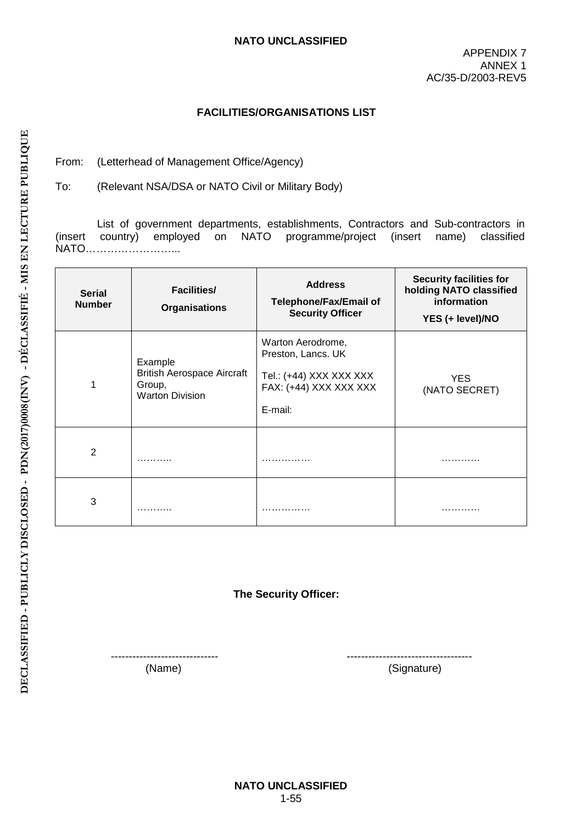APPENDIX 7 ANNEX 1 AC/35-D/2003-REV5

#### **FACILITIES/ORGANISATIONS LIST**

From: (Letterhead of Management Office/Agency)

To: (Relevant NSA/DSA or NATO Civil or Military Body)

List of government departments, establishments, Contractors and Sub-contractors in (insert country) employed on NATO programme/project (insert name) classified NATO……………………...

| <b>Serial</b><br><b>Number</b> | <b>Facilities/</b><br><b>Organisations</b>                                       | <b>Address</b><br><b>Telephone/Fax/Email of</b><br><b>Security Officer</b>                              | <b>Security facilities for</b><br>holding NATO classified<br>information<br>YES (+ level)/NO |
|--------------------------------|----------------------------------------------------------------------------------|---------------------------------------------------------------------------------------------------------|----------------------------------------------------------------------------------------------|
| 1                              | Example<br><b>British Aerospace Aircraft</b><br>Group,<br><b>Warton Division</b> | Warton Aerodrome,<br>Preston, Lancs. UK<br>Tel.: (+44) XXX XXX XXX<br>FAX: (+44) XXX XXX XXX<br>E-mail: | <b>YES</b><br>(NATO SECRET)                                                                  |
| 2                              | .                                                                                | .                                                                                                       | .                                                                                            |
| 3                              | .                                                                                | .                                                                                                       | .                                                                                            |

**The Security Officer:**

------------------------------ -----------------------------------

(Name) (Signature)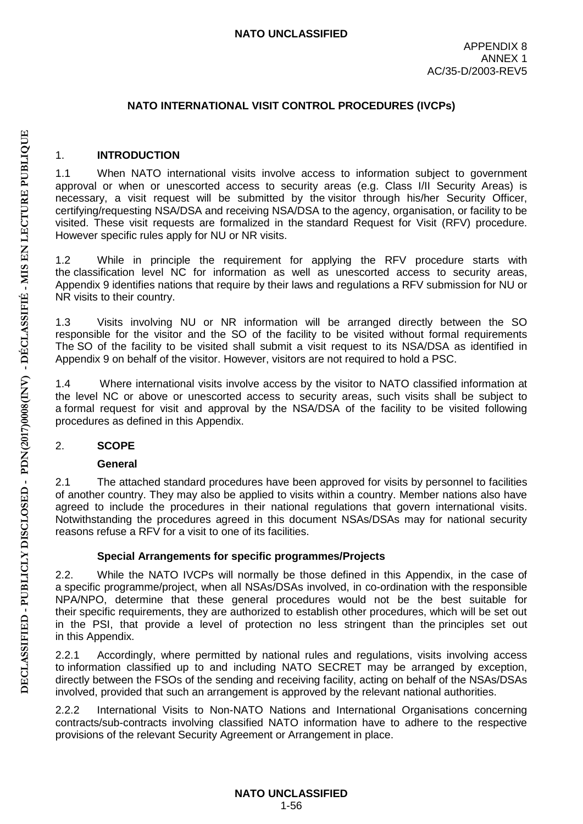# **NATO INTERNATIONAL VISIT CONTROL PROCEDURES (IVCPs)**

#### 1. **INTRODUCTION**

1.1 When NATO international visits involve access to information subject to government approval or when or unescorted access to security areas (e.g. Class I/II Security Areas) is necessary, a visit request will be submitted by the visitor through his/her Security Officer, certifying/requesting NSA/DSA and receiving NSA/DSA to the agency, organisation, or facility to be visited. These visit requests are formalized in the standard Request for Visit (RFV) procedure. However specific rules apply for NU or NR visits.

1.2 While in principle the requirement for applying the RFV procedure starts with the classification level NC for information as well as unescorted access to security areas, Appendix 9 identifies nations that require by their laws and regulations a RFV submission for NU or NR visits to their country.

1.3 Visits involving NU or NR information will be arranged directly between the SO responsible for the visitor and the SO of the facility to be visited without formal requirements The SO of the facility to be visited shall submit a visit request to its NSA/DSA as identified in Appendix 9 on behalf of the visitor. However, visitors are not required to hold a PSC.

1.4 Where international visits involve access by the visitor to NATO classified information at the level NC or above or unescorted access to security areas, such visits shall be subject to a formal request for visit and approval by the NSA/DSA of the facility to be visited following procedures as defined in this Appendix.

#### 2. **SCOPE**

#### **General**

2.1 The attached standard procedures have been approved for visits by personnel to facilities of another country. They may also be applied to visits within a country. Member nations also have agreed to include the procedures in their national regulations that govern international visits. Notwithstanding the procedures agreed in this document NSAs/DSAs may for national security reasons refuse a RFV for a visit to one of its facilities.

# **Special Arrangements for specific programmes/Projects**

2.2. While the NATO IVCPs will normally be those defined in this Appendix, in the case of a specific programme/project, when all NSAs/DSAs involved, in co-ordination with the responsible NPA/NPO, determine that these general procedures would not be the best suitable for their specific requirements, they are authorized to establish other procedures, which will be set out in the PSI, that provide a level of protection no less stringent than the principles set out in this Appendix.

2.2.1 Accordingly, where permitted by national rules and regulations, visits involving access to information classified up to and including NATO SECRET may be arranged by exception, directly between the FSOs of the sending and receiving facility, acting on behalf of the NSAs/DSAs involved, provided that such an arrangement is approved by the relevant national authorities.

2.2.2 International Visits to Non-NATO Nations and International Organisations concerning contracts/sub-contracts involving classified NATO information have to adhere to the respective provisions of the relevant Security Agreement or Arrangement in place.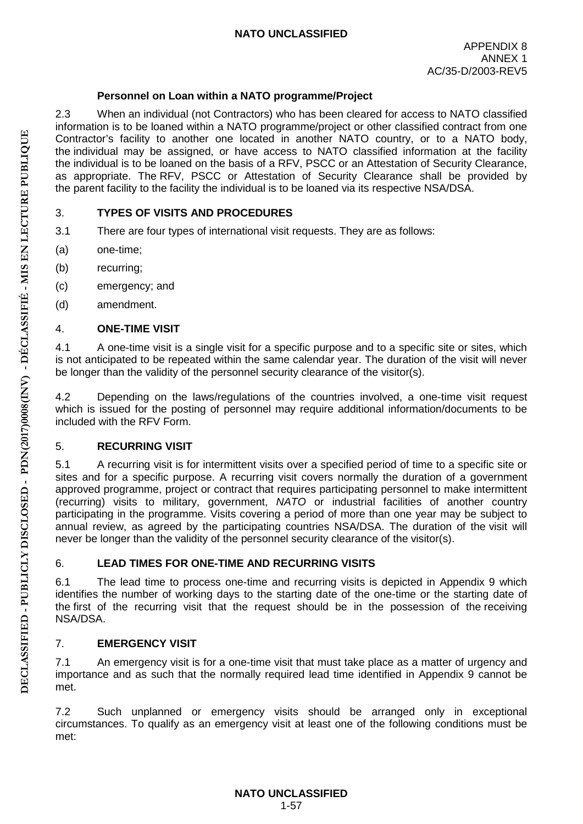# **Personnel on Loan within a NATO programme/Project**

2.3 When an individual (not Contractors) who has been cleared for access to NATO classified information is to be loaned within a NATO programme/project or other classified contract from one Contractor's facility to another one located in another NATO country, or to a NATO body, the individual may be assigned, or have access to NATO classified information at the facility the individual is to be loaned on the basis of a RFV, PSCC or an Attestation of Security Clearance, as appropriate. The RFV, PSCC or Attestation of Security Clearance shall be provided by the parent facility to the facility the individual is to be loaned via its respective NSA/DSA.

# 3. **TYPES OF VISITS AND PROCEDURES**

- 3.1 There are four types of international visit requests. They are as follows:
- (a) one-time;
- (b) recurring;
- (c) emergency; and
- (d) amendment.

# 4. **ONE-TIME VISIT**

4.1 A one-time visit is a single visit for a specific purpose and to a specific site or sites, which is not anticipated to be repeated within the same calendar year. The duration of the visit will never be longer than the validity of the personnel security clearance of the visitor(s).

4.2 Depending on the laws/regulations of the countries involved, a one-time visit request which is issued for the posting of personnel may require additional information/documents to be included with the RFV Form.

# 5. **RECURRING VISIT**

5.1 A recurring visit is for intermittent visits over a specified period of time to a specific site or sites and for a specific purpose. A recurring visit covers normally the duration of a government approved programme, project or contract that requires participating personnel to make intermittent (recurring) visits to military, government, *NATO* or industrial facilities of another country participating in the programme. Visits covering a period of more than one year may be subject to annual review, as agreed by the participating countries NSA/DSA. The duration of the visit will never be longer than the validity of the personnel security clearance of the visitor(s).

# 6. **LEAD TIMES FOR ONE-TIME AND RECURRING VISITS**

6.1 The lead time to process one-time and recurring visits is depicted in Appendix 9 which identifies the number of working days to the starting date of the one-time or the starting date of the first of the recurring visit that the request should be in the possession of the receiving NSA/DSA.

# 7. **EMERGENCY VISIT**

7.1 An emergency visit is for a one-time visit that must take place as a matter of urgency and importance and as such that the normally required lead time identified in Appendix 9 cannot be met.

7.2 Such unplanned or emergency visits should be arranged only in exceptional circumstances. To qualify as an emergency visit at least one of the following conditions must be met: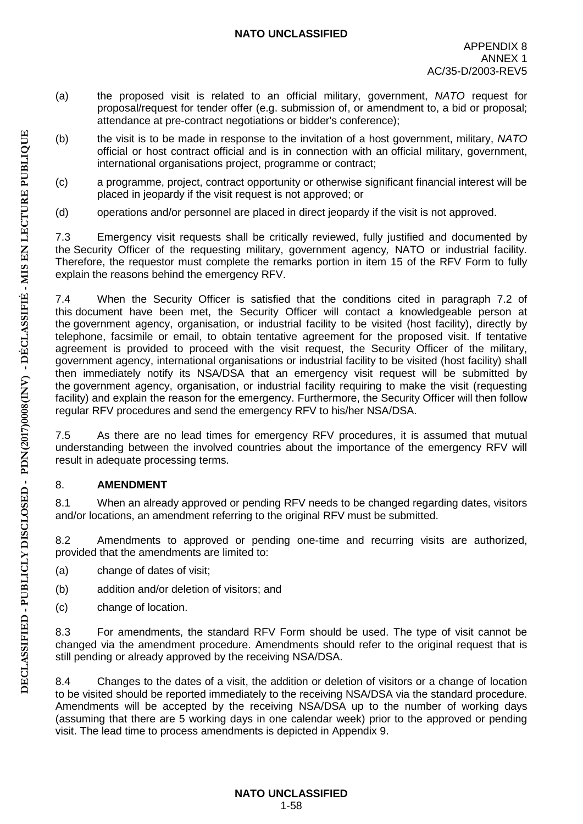- (a) the proposed visit is related to an official military, government, *NATO* request for proposal/request for tender offer (e.g. submission of, or amendment to, a bid or proposal; attendance at pre-contract negotiations or bidder's conference);
- (b) the visit is to be made in response to the invitation of a host government, military, *NATO* official or host contract official and is in connection with an official military, government, international organisations project, programme or contract;
- (c) a programme, project, contract opportunity or otherwise significant financial interest will be placed in jeopardy if the visit request is not approved; or
- (d) operations and/or personnel are placed in direct jeopardy if the visit is not approved.

7.3 Emergency visit requests shall be critically reviewed, fully justified and documented by the Security Officer of the requesting military, government agency*,* NATO or industrial facility. Therefore, the requestor must complete the remarks portion in item 15 of the RFV Form to fully explain the reasons behind the emergency RFV.

7.4 When the Security Officer is satisfied that the conditions cited in paragraph 7.2 of this document have been met, the Security Officer will contact a knowledgeable person at the government agency, organisation, or industrial facility to be visited (host facility), directly by telephone, facsimile or email, to obtain tentative agreement for the proposed visit. If tentative agreement is provided to proceed with the visit request, the Security Officer of the military, government agency, international organisations or industrial facility to be visited (host facility) shall then immediately notify its NSA/DSA that an emergency visit request will be submitted by the government agency, organisation, or industrial facility requiring to make the visit (requesting facility) and explain the reason for the emergency. Furthermore, the Security Officer will then follow regular RFV procedures and send the emergency RFV to his/her NSA/DSA.

7.5 As there are no lead times for emergency RFV procedures, it is assumed that mutual understanding between the involved countries about the importance of the emergency RFV will result in adequate processing terms.

# 8. **AMENDMENT**

8.1 When an already approved or pending RFV needs to be changed regarding dates, visitors and/or locations, an amendment referring to the original RFV must be submitted.

8.2 Amendments to approved or pending one-time and recurring visits are authorized, provided that the amendments are limited to:

- (a) change of dates of visit;
- (b) addition and/or deletion of visitors; and
- (c) change of location.

8.3 For amendments, the standard RFV Form should be used. The type of visit cannot be changed via the amendment procedure. Amendments should refer to the original request that is still pending or already approved by the receiving NSA/DSA.

8.4 Changes to the dates of a visit, the addition or deletion of visitors or a change of location to be visited should be reported immediately to the receiving NSA/DSA via the standard procedure. Amendments will be accepted by the receiving NSA/DSA up to the number of working days (assuming that there are 5 working days in one calendar week) prior to the approved or pending visit. The lead time to process amendments is depicted in Appendix 9.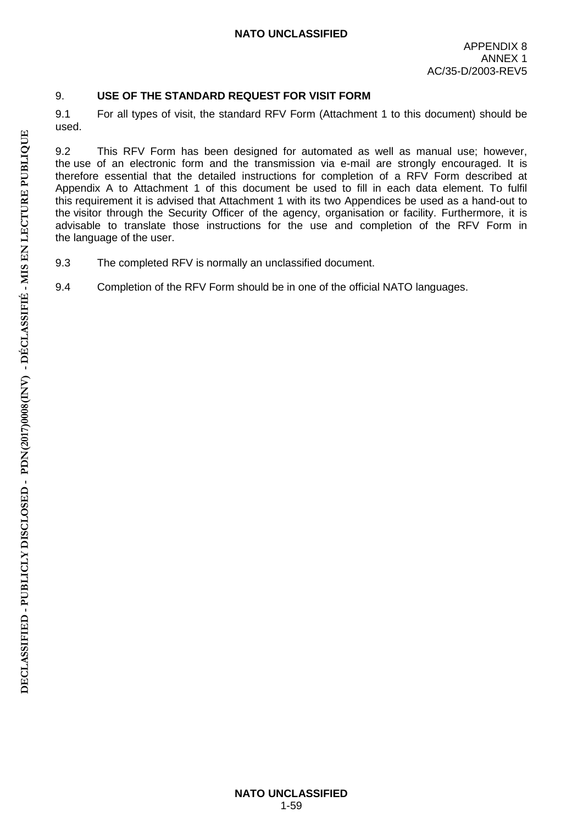# 9. **USE OF THE STANDARD REQUEST FOR VISIT FORM**

9.1 For all types of visit, the standard RFV Form (Attachment 1 to this document) should be used.

9.2 This RFV Form has been designed for automated as well as manual use; however, the use of an electronic form and the transmission via e-mail are strongly encouraged. It is therefore essential that the detailed instructions for completion of a RFV Form described at Appendix A to Attachment 1 of this document be used to fill in each data element. To fulfil this requirement it is advised that Attachment 1 with its two Appendices be used as a hand-out to the visitor through the Security Officer of the agency, organisation or facility. Furthermore, it is advisable to translate those instructions for the use and completion of the RFV Form in the language of the user.

- 9.3 The completed RFV is normally an unclassified document.
- 9.4 Completion of the RFV Form should be in one of the official NATO languages.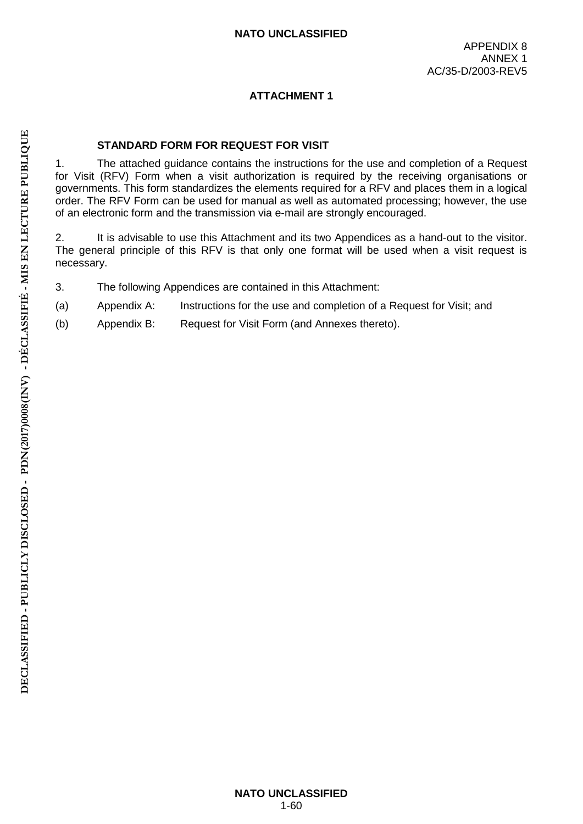# **ATTACHMENT 1**

# **STANDARD FORM FOR REQUEST FOR VISIT**

1. The attached guidance contains the instructions for the use and completion of a Request for Visit (RFV) Form when a visit authorization is required by the receiving organisations or governments. This form standardizes the elements required for a RFV and places them in a logical order. The RFV Form can be used for manual as well as automated processing; however, the use of an electronic form and the transmission via e-mail are strongly encouraged.

2. It is advisable to use this Attachment and its two Appendices as a hand-out to the visitor. The general principle of this RFV is that only one format will be used when a visit request is necessary.

- 3. The following Appendices are contained in this Attachment:
- (a) Appendix A: Instructions for the use and completion of a Request for Visit; and
- (b) Appendix B: Request for Visit Form (and Annexes thereto).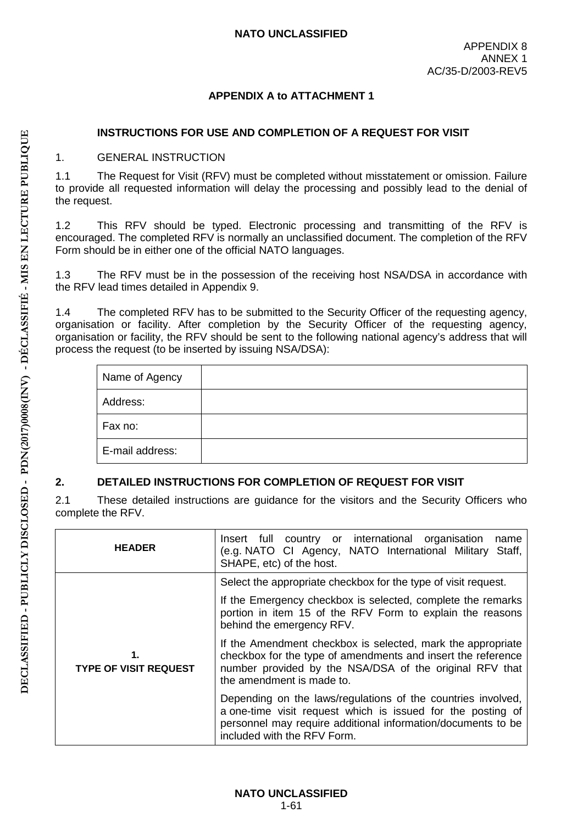# **APPENDIX A to ATTACHMENT 1**

#### **INSTRUCTIONS FOR USE AND COMPLETION OF A REQUEST FOR VISIT**

#### 1. GENERAL INSTRUCTION

1.1 The Request for Visit (RFV) must be completed without misstatement or omission. Failure to provide all requested information will delay the processing and possibly lead to the denial of the request.

1.2 This RFV should be typed. Electronic processing and transmitting of the RFV is encouraged. The completed RFV is normally an unclassified document. The completion of the RFV Form should be in either one of the official NATO languages.

1.3 The RFV must be in the possession of the receiving host NSA/DSA in accordance with the RFV lead times detailed in Appendix 9.

1.4 The completed RFV has to be submitted to the Security Officer of the requesting agency, organisation or facility. After completion by the Security Officer of the requesting agency, organisation or facility, the RFV should be sent to the following national agency's address that will process the request (to be inserted by issuing NSA/DSA):

| Name of Agency  |  |
|-----------------|--|
| Address:        |  |
| Fax no:         |  |
| E-mail address: |  |

# **2. DETAILED INSTRUCTIONS FOR COMPLETION OF REQUEST FOR VISIT**

2.1 These detailed instructions are guidance for the visitors and the Security Officers who complete the RFV.

| <b>HEADER</b>                      | Insert full country or international organisation<br>name<br>(e.g. NATO CI Agency, NATO International Military<br>Staff,<br>SHAPE, etc) of the host.                                                                       |  |
|------------------------------------|----------------------------------------------------------------------------------------------------------------------------------------------------------------------------------------------------------------------------|--|
|                                    | Select the appropriate checkbox for the type of visit request.                                                                                                                                                             |  |
| 1.<br><b>TYPE OF VISIT REQUEST</b> | If the Emergency checkbox is selected, complete the remarks<br>portion in item 15 of the RFV Form to explain the reasons<br>behind the emergency RFV.                                                                      |  |
|                                    | If the Amendment checkbox is selected, mark the appropriate<br>checkbox for the type of amendments and insert the reference<br>number provided by the NSA/DSA of the original RFV that<br>the amendment is made to.        |  |
|                                    | Depending on the laws/regulations of the countries involved,<br>a one-time visit request which is issued for the posting of<br>personnel may require additional information/documents to be<br>included with the RFV Form. |  |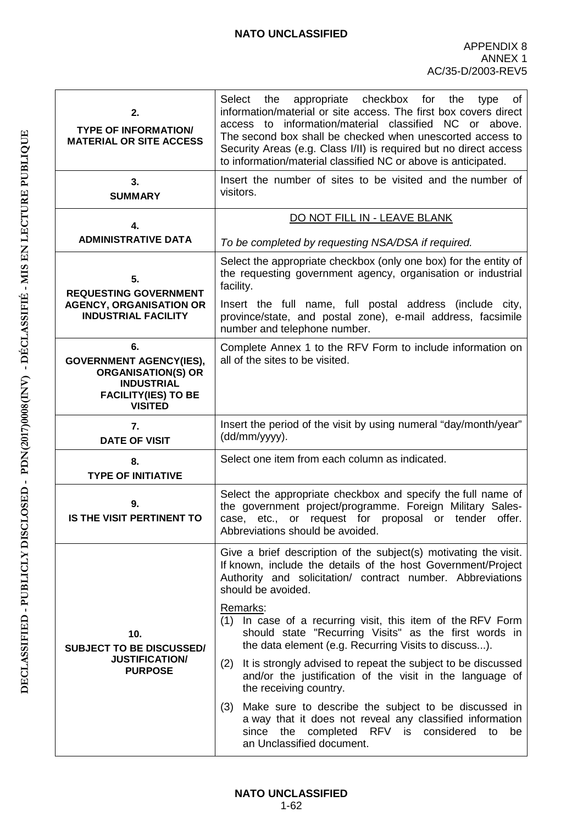| appropriate<br>checkbox<br>Select<br>the<br>for<br>the<br>type<br>οf<br>information/material or site access. The first box covers direct<br>information/material classified<br>NC or above.<br>access<br>to<br>The second box shall be checked when unescorted access to<br>Security Areas (e.g. Class I/II) is required but no direct access<br>to information/material classified NC or above is anticipated.                                                                                                                                                                                                                                                                                                                                                                                                               |  |  |
|-------------------------------------------------------------------------------------------------------------------------------------------------------------------------------------------------------------------------------------------------------------------------------------------------------------------------------------------------------------------------------------------------------------------------------------------------------------------------------------------------------------------------------------------------------------------------------------------------------------------------------------------------------------------------------------------------------------------------------------------------------------------------------------------------------------------------------|--|--|
| Insert the number of sites to be visited and the number of<br>visitors.                                                                                                                                                                                                                                                                                                                                                                                                                                                                                                                                                                                                                                                                                                                                                       |  |  |
| DO NOT FILL IN - LEAVE BLANK                                                                                                                                                                                                                                                                                                                                                                                                                                                                                                                                                                                                                                                                                                                                                                                                  |  |  |
| To be completed by requesting NSA/DSA if required.                                                                                                                                                                                                                                                                                                                                                                                                                                                                                                                                                                                                                                                                                                                                                                            |  |  |
| Select the appropriate checkbox (only one box) for the entity of<br>the requesting government agency, organisation or industrial<br>facility.<br>Insert the full name, full postal address (include city,<br>province/state, and postal zone), e-mail address, facsimile                                                                                                                                                                                                                                                                                                                                                                                                                                                                                                                                                      |  |  |
| number and telephone number.                                                                                                                                                                                                                                                                                                                                                                                                                                                                                                                                                                                                                                                                                                                                                                                                  |  |  |
| Complete Annex 1 to the RFV Form to include information on<br>all of the sites to be visited.                                                                                                                                                                                                                                                                                                                                                                                                                                                                                                                                                                                                                                                                                                                                 |  |  |
| Insert the period of the visit by using numeral "day/month/year"<br>(dd/mm/yyyy).                                                                                                                                                                                                                                                                                                                                                                                                                                                                                                                                                                                                                                                                                                                                             |  |  |
| Select one item from each column as indicated.                                                                                                                                                                                                                                                                                                                                                                                                                                                                                                                                                                                                                                                                                                                                                                                |  |  |
| Select the appropriate checkbox and specify the full name of<br>the government project/programme. Foreign Military Sales-<br>case, etc., or request for proposal or tender<br>offer.<br>Abbreviations should be avoided.                                                                                                                                                                                                                                                                                                                                                                                                                                                                                                                                                                                                      |  |  |
| Give a brief description of the subject(s) motivating the visit.<br>If known, include the details of the host Government/Project<br>Authority and solicitation/ contract number. Abbreviations<br>should be avoided.<br>Remarks:<br>(1) In case of a recurring visit, this item of the RFV Form<br>should state "Recurring Visits" as the first words in<br>the data element (e.g. Recurring Visits to discuss).<br><b>SUBJECT TO BE DISCUSSED/</b><br>It is strongly advised to repeat the subject to be discussed<br>(2)<br>and/or the justification of the visit in the language of<br>the receiving country.<br>Make sure to describe the subject to be discussed in<br>(3)<br>a way that it does not reveal any classified information<br>since the completed RFV is considered<br>to<br>be<br>an Unclassified document. |  |  |
|                                                                                                                                                                                                                                                                                                                                                                                                                                                                                                                                                                                                                                                                                                                                                                                                                               |  |  |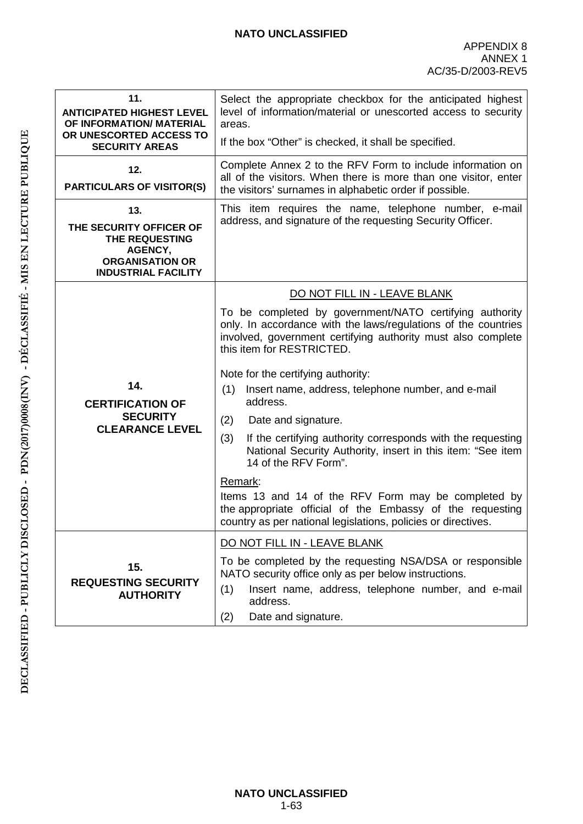| 11.<br><b>ANTICIPATED HIGHEST LEVEL</b><br>OF INFORMATION/ MATERIAL                                                 | Select the appropriate checkbox for the anticipated highest<br>level of information/material or unescorted access to security<br>areas.                                                                                 |  |  |
|---------------------------------------------------------------------------------------------------------------------|-------------------------------------------------------------------------------------------------------------------------------------------------------------------------------------------------------------------------|--|--|
| OR UNESCORTED ACCESS TO<br><b>SECURITY AREAS</b>                                                                    | If the box "Other" is checked, it shall be specified.                                                                                                                                                                   |  |  |
| 12.<br><b>PARTICULARS OF VISITOR(S)</b>                                                                             | Complete Annex 2 to the RFV Form to include information on<br>all of the visitors. When there is more than one visitor, enter<br>the visitors' surnames in alphabetic order if possible.                                |  |  |
| 13.<br>THE SECURITY OFFICER OF<br>THE REQUESTING<br>AGENCY,<br><b>ORGANISATION OR</b><br><b>INDUSTRIAL FACILITY</b> | This item requires the name, telephone number, e-mail<br>address, and signature of the requesting Security Officer.                                                                                                     |  |  |
|                                                                                                                     | DO NOT FILL IN - LEAVE BLANK                                                                                                                                                                                            |  |  |
|                                                                                                                     | To be completed by government/NATO certifying authority<br>only. In accordance with the laws/regulations of the countries<br>involved, government certifying authority must also complete<br>this item for RESTRICTED.  |  |  |
| 14.<br><b>CERTIFICATION OF</b>                                                                                      | Note for the certifying authority:<br>Insert name, address, telephone number, and e-mail<br>(1)<br>address.                                                                                                             |  |  |
| <b>SECURITY</b><br><b>CLEARANCE LEVEL</b>                                                                           | (2)<br>Date and signature.                                                                                                                                                                                              |  |  |
|                                                                                                                     | If the certifying authority corresponds with the requesting<br>(3)<br>National Security Authority, insert in this item: "See item<br>14 of the RFV Form".                                                               |  |  |
|                                                                                                                     | Remark:<br>Items 13 and 14 of the RFV Form may be completed by<br>the appropriate official of the Embassy of the requesting<br>country as per national legislations, policies or directives.                            |  |  |
|                                                                                                                     | DO NOT FILL IN - LEAVE BLANK                                                                                                                                                                                            |  |  |
| 15.<br><b>REQUESTING SECURITY</b><br><b>AUTHORITY</b>                                                               | To be completed by the requesting NSA/DSA or responsible<br>NATO security office only as per below instructions.<br>(1)<br>Insert name, address, telephone number, and e-mail<br>address.<br>Date and signature.<br>(2) |  |  |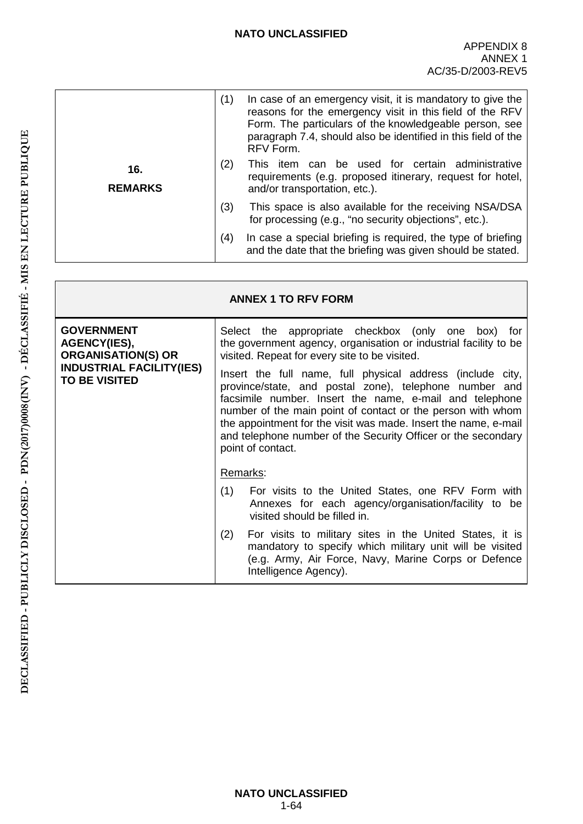|                       | (1) | In case of an emergency visit, it is mandatory to give the<br>reasons for the emergency visit in this field of the RFV<br>Form. The particulars of the knowledgeable person, see<br>paragraph 7.4, should also be identified in this field of the<br>RFV Form. |
|-----------------------|-----|----------------------------------------------------------------------------------------------------------------------------------------------------------------------------------------------------------------------------------------------------------------|
| 16.<br><b>REMARKS</b> | (2) | This item can be used for certain administrative<br>requirements (e.g. proposed itinerary, request for hotel,<br>and/or transportation, etc.).                                                                                                                 |
|                       | (3) | This space is also available for the receiving NSA/DSA<br>for processing (e.g., "no security objections", etc.).                                                                                                                                               |
|                       | (4) | In case a special briefing is required, the type of briefing<br>and the date that the briefing was given should be stated.                                                                                                                                     |

| <b>ANNEX 1 TO RFV FORM</b>                                            |                                                                                                                                                                                                                                                                                                                                                                                                         |  |
|-----------------------------------------------------------------------|---------------------------------------------------------------------------------------------------------------------------------------------------------------------------------------------------------------------------------------------------------------------------------------------------------------------------------------------------------------------------------------------------------|--|
| <b>GOVERNMENT</b><br><b>AGENCY(IES),</b><br><b>ORGANISATION(S) OR</b> | Select the appropriate checkbox (only one box) for<br>the government agency, organisation or industrial facility to be<br>visited. Repeat for every site to be visited.                                                                                                                                                                                                                                 |  |
| <b>INDUSTRIAL FACILITY(IES)</b><br><b>TO BE VISITED</b>               | Insert the full name, full physical address (include city,<br>province/state, and postal zone), telephone number and<br>facsimile number. Insert the name, e-mail and telephone<br>number of the main point of contact or the person with whom<br>the appointment for the visit was made. Insert the name, e-mail<br>and telephone number of the Security Officer or the secondary<br>point of contact. |  |
|                                                                       | Remarks:                                                                                                                                                                                                                                                                                                                                                                                                |  |
|                                                                       | (1)<br>For visits to the United States, one RFV Form with<br>Annexes for each agency/organisation/facility to be<br>visited should be filled in.                                                                                                                                                                                                                                                        |  |
|                                                                       | For visits to military sites in the United States, it is<br>(2)<br>mandatory to specify which military unit will be visited<br>(e.g. Army, Air Force, Navy, Marine Corps or Defence<br>Intelligence Agency).                                                                                                                                                                                            |  |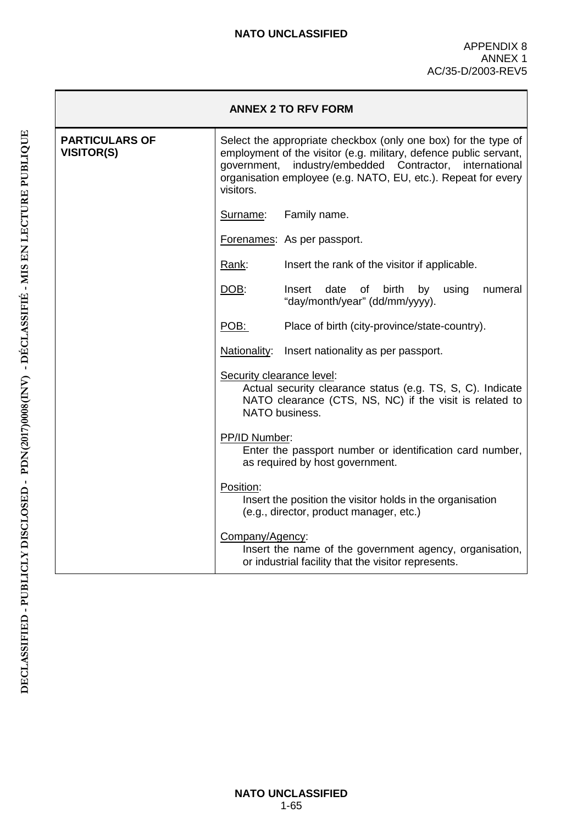| <b>ANNEX 2 TO RFV FORM</b>                 |                                                                                                                                                                                                                                                                              |                                                                                                                                         |  |  |
|--------------------------------------------|------------------------------------------------------------------------------------------------------------------------------------------------------------------------------------------------------------------------------------------------------------------------------|-----------------------------------------------------------------------------------------------------------------------------------------|--|--|
| <b>PARTICULARS OF</b><br><b>VISITOR(S)</b> | Select the appropriate checkbox (only one box) for the type of<br>employment of the visitor (e.g. military, defence public servant,<br>government, industry/embedded Contractor, international<br>organisation employee (e.g. NATO, EU, etc.). Repeat for every<br>visitors. |                                                                                                                                         |  |  |
|                                            | Surname:                                                                                                                                                                                                                                                                     | Family name.                                                                                                                            |  |  |
|                                            |                                                                                                                                                                                                                                                                              | Forenames: As per passport.                                                                                                             |  |  |
|                                            | Rank:                                                                                                                                                                                                                                                                        | Insert the rank of the visitor if applicable.                                                                                           |  |  |
|                                            | <u>DOB:</u>                                                                                                                                                                                                                                                                  | Insert<br>date of birth by using<br>numeral<br>"day/month/year" (dd/mm/yyyy).                                                           |  |  |
|                                            | POB:                                                                                                                                                                                                                                                                         | Place of birth (city-province/state-country).                                                                                           |  |  |
|                                            |                                                                                                                                                                                                                                                                              | Nationality: Insert nationality as per passport.                                                                                        |  |  |
|                                            | Security clearance level:                                                                                                                                                                                                                                                    | Actual security clearance status (e.g. TS, S, C). Indicate<br>NATO clearance (CTS, NS, NC) if the visit is related to<br>NATO business. |  |  |
|                                            | PP/ID Number:<br>Enter the passport number or identification card number,<br>as required by host government.                                                                                                                                                                 |                                                                                                                                         |  |  |
|                                            | Position:                                                                                                                                                                                                                                                                    | Insert the position the visitor holds in the organisation<br>(e.g., director, product manager, etc.)                                    |  |  |
|                                            | Company/Agency:                                                                                                                                                                                                                                                              | Insert the name of the government agency, organisation,<br>or industrial facility that the visitor represents.                          |  |  |

**NATO UNCLASSIFIED** 1-65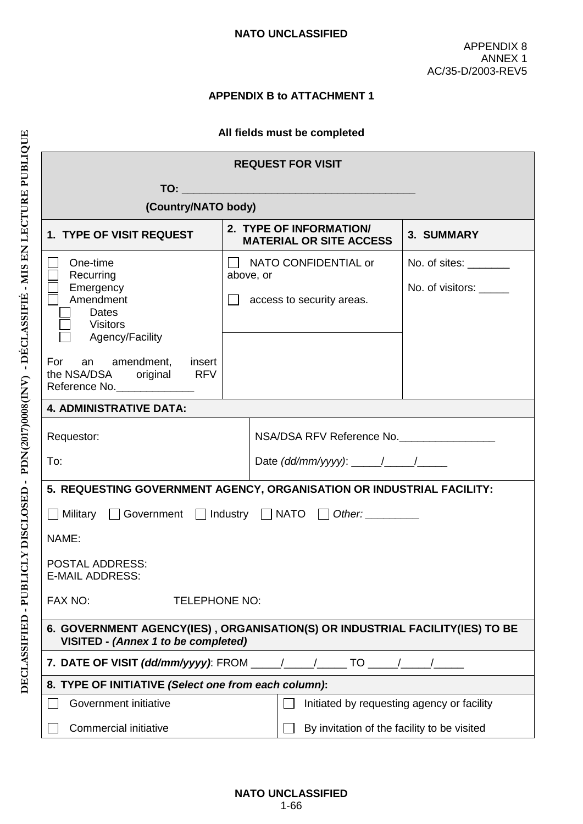# **APPENDIX B to ATTACHMENT 1**

#### **All fields must be completed**

| <b>REQUEST FOR VISIT</b>                                                                                                   |                                                           |                                                                 |                                                  |  |
|----------------------------------------------------------------------------------------------------------------------------|-----------------------------------------------------------|-----------------------------------------------------------------|--------------------------------------------------|--|
|                                                                                                                            |                                                           |                                                                 |                                                  |  |
|                                                                                                                            | (Country/NATO body)                                       |                                                                 |                                                  |  |
| 1. TYPE OF VISIT REQUEST                                                                                                   | 2. TYPE OF INFORMATION/<br><b>MATERIAL OR SITE ACCESS</b> |                                                                 | 3. SUMMARY                                       |  |
| One-time<br>Recurring<br>Emergency<br>Amendment<br><b>Dates</b><br><b>Visitors</b>                                         | above, or                                                 | $\Box$ NATO CONFIDENTIAL or<br>$\Box$ access to security areas. | No. of sites: ________<br>No. of visitors: _____ |  |
| Agency/Facility<br>For an amendment, insert<br>the NSA/DSA original RFV<br>Reference No.                                   |                                                           |                                                                 |                                                  |  |
| <b>4. ADMINISTRATIVE DATA:</b>                                                                                             |                                                           |                                                                 |                                                  |  |
| Requestor:                                                                                                                 |                                                           | NSA/DSA RFV Reference No.                                       |                                                  |  |
| To:                                                                                                                        |                                                           | Date (dd/mm/yyyy): $\frac{1}{\sqrt{2\pi}}$                      |                                                  |  |
| 5. REQUESTING GOVERNMENT AGENCY, ORGANISATION OR INDUSTRIAL FACILITY:                                                      |                                                           |                                                                 |                                                  |  |
| ■ Military ■ Government ■ Industry ■ NATO ■ Other:                                                                         |                                                           |                                                                 |                                                  |  |
| NAME:                                                                                                                      |                                                           |                                                                 |                                                  |  |
| <b>POSTAL ADDRESS:</b><br><b>E-MAIL ADDRESS:</b>                                                                           |                                                           |                                                                 |                                                  |  |
| FAX NO:<br><b>TELEPHONE NO:</b>                                                                                            |                                                           |                                                                 |                                                  |  |
| 6. GOVERNMENT AGENCY(IES), ORGANISATION(S) OR INDUSTRIAL FACILITY(IES) TO BE<br><b>VISITED - (Annex 1 to be completed)</b> |                                                           |                                                                 |                                                  |  |
| 7. DATE OF VISIT (dd/mm/yyyy): FROM _____/_____/_______ TO _____/______/________                                           |                                                           |                                                                 |                                                  |  |
| 8. TYPE OF INITIATIVE (Select one from each column):                                                                       |                                                           |                                                                 |                                                  |  |
| Government initiative                                                                                                      |                                                           |                                                                 | Initiated by requesting agency or facility       |  |
| Commercial initiative                                                                                                      |                                                           | By invitation of the facility to be visited                     |                                                  |  |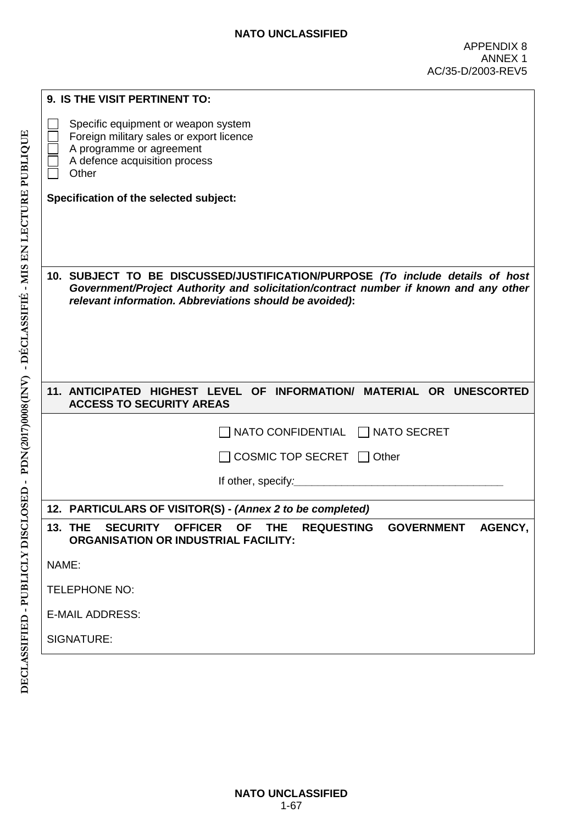| 9. IS THE VISIT PERTINENT TO:                                                                                                                           |                                                                                                                                                                                                                                  |  |  |  |
|---------------------------------------------------------------------------------------------------------------------------------------------------------|----------------------------------------------------------------------------------------------------------------------------------------------------------------------------------------------------------------------------------|--|--|--|
| A programme or agreement<br>A defence acquisition process<br>Other                                                                                      | Specific equipment or weapon system<br>Foreign military sales or export licence                                                                                                                                                  |  |  |  |
| Specification of the selected subject:                                                                                                                  |                                                                                                                                                                                                                                  |  |  |  |
|                                                                                                                                                         |                                                                                                                                                                                                                                  |  |  |  |
|                                                                                                                                                         | 10. SUBJECT TO BE DISCUSSED/JUSTIFICATION/PURPOSE (To include details of host<br>Government/Project Authority and solicitation/contract number if known and any other<br>relevant information. Abbreviations should be avoided): |  |  |  |
|                                                                                                                                                         |                                                                                                                                                                                                                                  |  |  |  |
| <b>ACCESS TO SECURITY AREAS</b>                                                                                                                         | 11. ANTICIPATED HIGHEST LEVEL OF INFORMATION/ MATERIAL OR UNESCORTED                                                                                                                                                             |  |  |  |
|                                                                                                                                                         | NATO CONFIDENTIAL NATO SECRET                                                                                                                                                                                                    |  |  |  |
|                                                                                                                                                         | COSMIC TOP SECRET $\Box$ Other                                                                                                                                                                                                   |  |  |  |
|                                                                                                                                                         | If other, specify: The analysis of the state of the state of the state of the state of the state of the state of the state of the state of the state of the state of the state of the state of the state of the state of the s   |  |  |  |
| 12. PARTICULARS OF VISITOR(S) - (Annex 2 to be completed)                                                                                               |                                                                                                                                                                                                                                  |  |  |  |
| <b>13. THE</b><br><b>SECURITY</b><br>OFFICER OF THE<br><b>REQUESTING</b><br><b>GOVERNMENT</b><br>AGENCY,<br><b>ORGANISATION OR INDUSTRIAL FACILITY:</b> |                                                                                                                                                                                                                                  |  |  |  |
| NAME:                                                                                                                                                   |                                                                                                                                                                                                                                  |  |  |  |
| <b>TELEPHONE NO:</b>                                                                                                                                    |                                                                                                                                                                                                                                  |  |  |  |
| <b>E-MAIL ADDRESS:</b>                                                                                                                                  |                                                                                                                                                                                                                                  |  |  |  |
| SIGNATURE:                                                                                                                                              |                                                                                                                                                                                                                                  |  |  |  |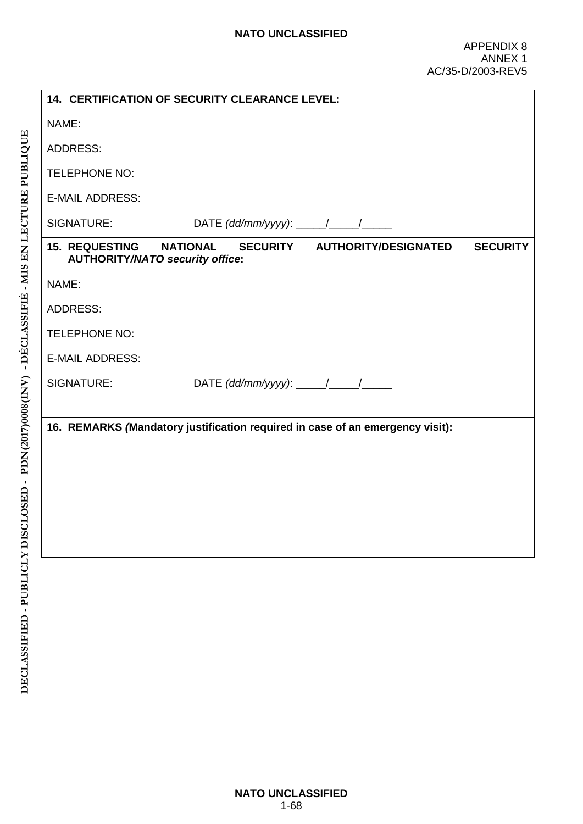|                                                                 | 14. CERTIFICATION OF SECURITY CLEARANCE LEVEL: |                                                                               |                 |  |  |  |
|-----------------------------------------------------------------|------------------------------------------------|-------------------------------------------------------------------------------|-----------------|--|--|--|
| NAME:                                                           |                                                |                                                                               |                 |  |  |  |
| <b>ADDRESS:</b>                                                 |                                                |                                                                               |                 |  |  |  |
| <b>TELEPHONE NO:</b>                                            |                                                |                                                                               |                 |  |  |  |
| <b>E-MAIL ADDRESS:</b>                                          |                                                |                                                                               |                 |  |  |  |
| SIGNATURE:                                                      |                                                |                                                                               |                 |  |  |  |
| <b>15. REQUESTING</b><br><b>AUTHORITY/NATO security office:</b> | <b>NATIONAL</b>                                | SECURITY AUTHORITY/DESIGNATED                                                 | <b>SECURITY</b> |  |  |  |
| NAME:                                                           |                                                |                                                                               |                 |  |  |  |
| <b>ADDRESS:</b>                                                 |                                                |                                                                               |                 |  |  |  |
| <b>TELEPHONE NO:</b>                                            |                                                |                                                                               |                 |  |  |  |
| <b>E-MAIL ADDRESS:</b>                                          |                                                |                                                                               |                 |  |  |  |
| SIGNATURE:                                                      |                                                |                                                                               |                 |  |  |  |
|                                                                 |                                                |                                                                               |                 |  |  |  |
|                                                                 |                                                | 16. REMARKS (Mandatory justification required in case of an emergency visit): |                 |  |  |  |
|                                                                 |                                                |                                                                               |                 |  |  |  |
|                                                                 |                                                |                                                                               |                 |  |  |  |
|                                                                 |                                                |                                                                               |                 |  |  |  |
|                                                                 |                                                |                                                                               |                 |  |  |  |
|                                                                 |                                                |                                                                               |                 |  |  |  |
|                                                                 |                                                |                                                                               |                 |  |  |  |
|                                                                 |                                                |                                                                               |                 |  |  |  |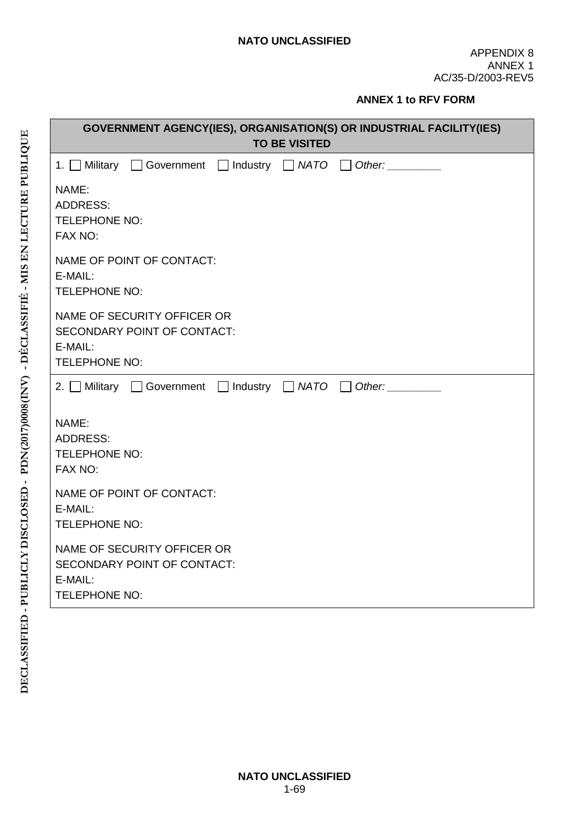#### **ANNEX 1 to RFV FORM**

| <b>GOVERNMENT AGENCY(IES), ORGANISATION(S) OR INDUSTRIAL FACILITY(IES)</b><br><b>TO BE VISITED</b> |  |  |  |
|----------------------------------------------------------------------------------------------------|--|--|--|
| 1. Military Government Industry NATO Other:                                                        |  |  |  |
| NAME:<br><b>ADDRESS:</b><br><b>TELEPHONE NO:</b><br>FAX NO:                                        |  |  |  |
| NAME OF POINT OF CONTACT:<br>E-MAIL:<br><b>TELEPHONE NO:</b>                                       |  |  |  |
| NAME OF SECURITY OFFICER OR<br>SECONDARY POINT OF CONTACT:<br>E-MAIL:<br>TELEPHONE NO:             |  |  |  |
| 2. Military Government $\Box$ Industry $\Box$ NATO $\Box$ Other:                                   |  |  |  |
| NAME:<br><b>ADDRESS:</b><br><b>TELEPHONE NO:</b><br>FAX NO:                                        |  |  |  |
| NAME OF POINT OF CONTACT:<br>E-MAIL:<br><b>TELEPHONE NO:</b>                                       |  |  |  |
| NAME OF SECURITY OFFICER OR<br>SECONDARY POINT OF CONTACT:<br>E-MAIL:<br><b>TELEPHONE NO:</b>      |  |  |  |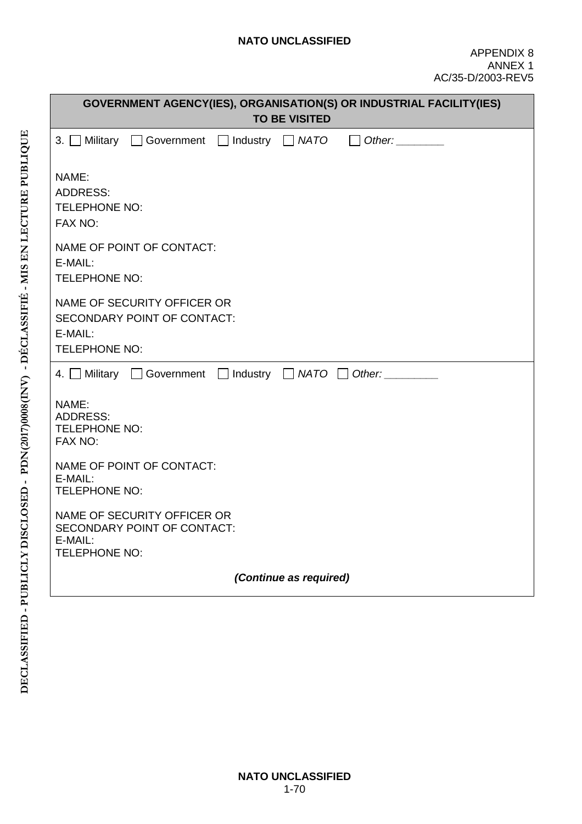| GOVERNMENT AGENCY(IES), ORGANISATION(S) OR INDUSTRIAL FACILITY(IES)<br><b>TO BE VISITED</b>   |  |  |  |  |
|-----------------------------------------------------------------------------------------------|--|--|--|--|
| 3. Military Government   Industry   NATO   Other:                                             |  |  |  |  |
| NAME:<br><b>ADDRESS:</b><br><b>TELEPHONE NO:</b><br>FAX NO:                                   |  |  |  |  |
| NAME OF POINT OF CONTACT:<br>E-MAIL:<br>TELEPHONE NO:                                         |  |  |  |  |
| NAME OF SECURITY OFFICER OR<br>SECONDARY POINT OF CONTACT:<br>E-MAIL:<br>TELEPHONE NO:        |  |  |  |  |
| 4. Military Government Industry NATO Other:                                                   |  |  |  |  |
| NAME:<br><b>ADDRESS:</b><br>TELEPHONE NO:<br>FAX NO:                                          |  |  |  |  |
| NAME OF POINT OF CONTACT:<br>E-MAIL:<br><b>TELEPHONE NO:</b>                                  |  |  |  |  |
| NAME OF SECURITY OFFICER OR<br>SECONDARY POINT OF CONTACT:<br>E-MAIL:<br><b>TELEPHONE NO:</b> |  |  |  |  |
| (Continue as required)                                                                        |  |  |  |  |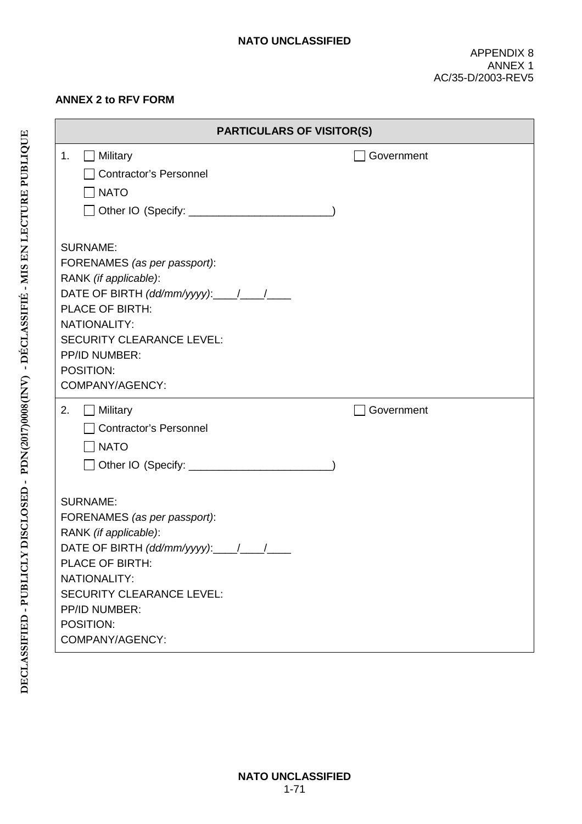#### **ANNEX 2 to RFV FORM**

| <b>PARTICULARS OF VISITOR(S)</b>                                                                                                                                                                                                                                                      |            |
|---------------------------------------------------------------------------------------------------------------------------------------------------------------------------------------------------------------------------------------------------------------------------------------|------------|
| $\Box$ Military<br>1.<br>Contractor's Personnel<br>NATO                                                                                                                                                                                                                               | Government |
| <b>SURNAME:</b><br>FORENAMES (as per passport):<br>RANK (if applicable):<br>DATE OF BIRTH $(dd/mm/yyy)$ : $\_\_\_\_\_\_\_\_\_\_\_\_\_\_\_\_\_\_\_\_\_$<br><b>PLACE OF BIRTH:</b><br>NATIONALITY:<br><b>SECURITY CLEARANCE LEVEL:</b><br>PP/ID NUMBER:<br>POSITION:<br>COMPANY/AGENCY: |            |
| 2.<br>$\Box$ Military<br><b>Contractor's Personnel</b><br>$\sqcap$ NATO<br>] Other IO (Specify: ________________________                                                                                                                                                              | Government |
| <b>SURNAME:</b><br>FORENAMES (as per passport):<br>RANK (if applicable):<br>PLACE OF BIRTH:<br>NATIONALITY:<br><b>SECURITY CLEARANCE LEVEL:</b><br>PP/ID NUMBER:<br>POSITION:<br>COMPANY/AGENCY:                                                                                      |            |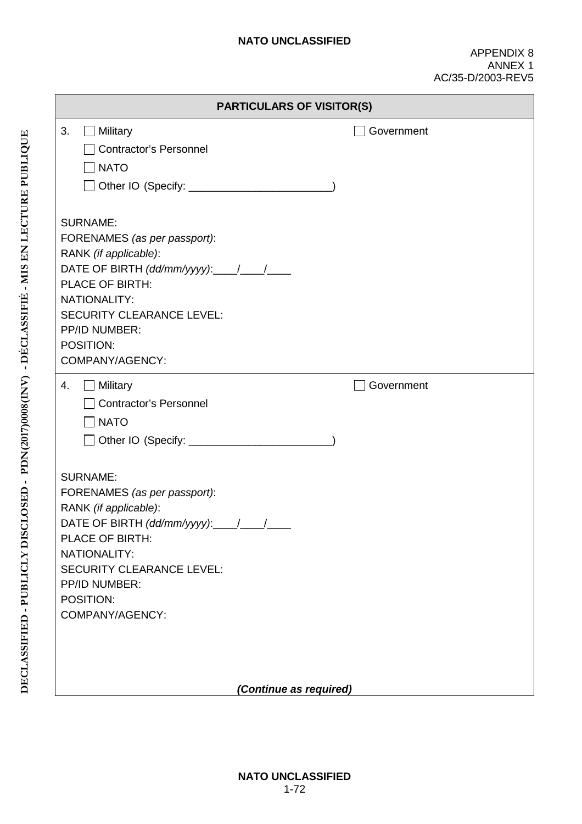|                                                                                                                                                                                                                                                      | <b>PARTICULARS OF VISITOR(S)</b> |
|------------------------------------------------------------------------------------------------------------------------------------------------------------------------------------------------------------------------------------------------------|----------------------------------|
| 3.<br>$\Box$ Military<br>Contractor's Personnel<br>$\Box$ NATO                                                                                                                                                                                       | Government                       |
| <b>SURNAME:</b><br>FORENAMES (as per passport):<br>RANK (if applicable):<br>PLACE OF BIRTH:<br>NATIONALITY:<br><b>SECURITY CLEARANCE LEVEL:</b><br>PP/ID NUMBER:<br>POSITION:<br>COMPANY/AGENCY:                                                     |                                  |
| $\Box$ Military<br>4.<br><b>Contractor's Personnel</b><br>$\Box$ NATO                                                                                                                                                                                | Government                       |
| <b>SURNAME:</b><br>FORENAMES (as per passport):<br>RANK (if applicable):<br>DATE OF BIRTH $(dd/mm/yyyy$ : $\_$ / $\_$<br>PLACE OF BIRTH:<br>NATIONALITY:<br><b>SECURITY CLEARANCE LEVEL:</b><br><b>PP/ID NUMBER:</b><br>POSITION:<br>COMPANY/AGENCY: |                                  |
|                                                                                                                                                                                                                                                      | (Continue as required)           |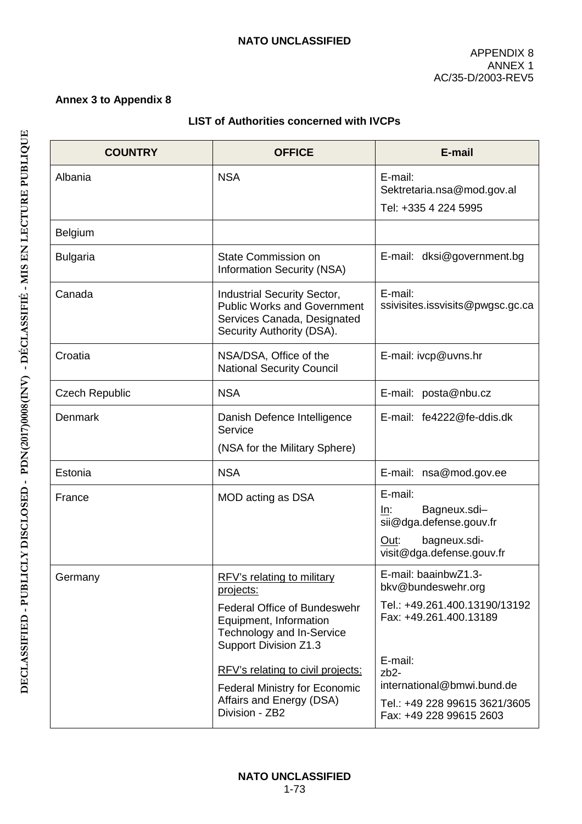### **Annex 3 to Appendix 8**

## **LIST of Authorities concerned with IVCPs**

| <b>COUNTRY</b>        | <b>OFFICE</b>                                                                                                                 | E-mail                                                                                                         |
|-----------------------|-------------------------------------------------------------------------------------------------------------------------------|----------------------------------------------------------------------------------------------------------------|
| Albania               | <b>NSA</b>                                                                                                                    | E-mail:<br>Sektretaria.nsa@mod.gov.al<br>Tel: +335 4 224 5995                                                  |
| <b>Belgium</b>        |                                                                                                                               |                                                                                                                |
| <b>Bulgaria</b>       | State Commission on<br>Information Security (NSA)                                                                             | E-mail: dksi@government.bg                                                                                     |
| Canada                | Industrial Security Sector,<br><b>Public Works and Government</b><br>Services Canada, Designated<br>Security Authority (DSA). | E-mail:<br>ssivisites.issvisits@pwgsc.gc.ca                                                                    |
| Croatia               | NSA/DSA, Office of the<br><b>National Security Council</b>                                                                    | E-mail: ivcp@uvns.hr                                                                                           |
| <b>Czech Republic</b> | <b>NSA</b>                                                                                                                    | E-mail: posta@nbu.cz                                                                                           |
| Denmark               | Danish Defence Intelligence<br>Service                                                                                        | E-mail: fe4222@fe-ddis.dk                                                                                      |
|                       | (NSA for the Military Sphere)                                                                                                 |                                                                                                                |
| Estonia               | <b>NSA</b>                                                                                                                    | E-mail: nsa@mod.gov.ee                                                                                         |
| France                | MOD acting as DSA                                                                                                             | E-mail:<br>Bagneux.sdi-<br>In:<br>sii@dga.defense.gouv.fr<br>bagneux.sdi-<br>Out:<br>visit@dga.defense.gouv.fr |
| Germany               | RFV's relating to military<br>projects:                                                                                       | E-mail: baainbwZ1.3-<br>bkv@bundeswehr.org                                                                     |
|                       | <b>Federal Office of Bundeswehr</b><br>Equipment, Information<br>Technology and In-Service<br>Support Division Z1.3           | Tel.: +49.261.400.13190/13192<br>Fax: +49.261.400.13189                                                        |
|                       | RFV's relating to civil projects:                                                                                             | E-mail:<br>$zb2-$                                                                                              |
|                       | <b>Federal Ministry for Economic</b>                                                                                          | international@bmwi.bund.de                                                                                     |
|                       | Affairs and Energy (DSA)<br>Division - ZB2                                                                                    | Tel.: +49 228 99615 3621/3605<br>Fax: +49 228 99615 2603                                                       |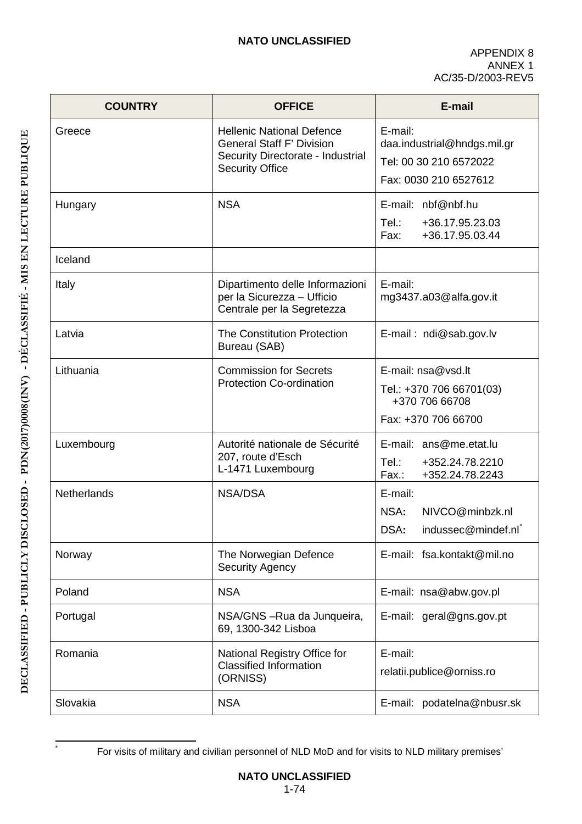| <b>COUNTRY</b> | <b>OFFICE</b>                                                                                                                       | E-mail                                                                                    |
|----------------|-------------------------------------------------------------------------------------------------------------------------------------|-------------------------------------------------------------------------------------------|
| Greece         | <b>Hellenic National Defence</b><br><b>General Staff F' Division</b><br>Security Directorate - Industrial<br><b>Security Office</b> | E-mail:<br>daa.industrial@hndgs.mil.gr<br>Tel: 00 30 210 6572022<br>Fax: 0030 210 6527612 |
| Hungary        | <b>NSA</b>                                                                                                                          | E-mail: nbf@nbf.hu<br>Tel.:<br>+36.17.95.23.03<br>+36.17.95.03.44<br>Fax:                 |
| Iceland        |                                                                                                                                     |                                                                                           |
| Italy          | Dipartimento delle Informazioni<br>per la Sicurezza - Ufficio<br>Centrale per la Segretezza                                         | E-mail:<br>mg3437.a03@alfa.gov.it                                                         |
| Latvia         | <b>The Constitution Protection</b><br>Bureau (SAB)                                                                                  | E-mail: ndi@sab.gov.lv                                                                    |
| Lithuania      | <b>Commission for Secrets</b><br><b>Protection Co-ordination</b>                                                                    | E-mail: nsa@vsd.lt<br>Tel.: +370 706 66701(03)<br>+370 706 66708<br>Fax: +370 706 66700   |
| Luxembourg     | Autorité nationale de Sécurité<br>207, route d'Esch<br>L-1471 Luxembourg                                                            | E-mail: ans@me.etat.lu<br>Tel:<br>+352.24.78.2210<br>+352.24.78.2243<br>Fax.:             |
| Netherlands    | <b>NSA/DSA</b>                                                                                                                      | E-mail:<br>NIVCO@minbzk.nl<br>NSA:<br>DSA:<br>indussec@mindef.nl                          |
| Norway         | The Norwegian Defence<br><b>Security Agency</b>                                                                                     | E-mail: fsa.kontakt@mil.no                                                                |
| Poland         | <b>NSA</b>                                                                                                                          | E-mail: nsa@abw.gov.pl                                                                    |
| Portugal       | NSA/GNS-Rua da Junqueira,<br>69, 1300-342 Lisboa                                                                                    | E-mail: geral@gns.gov.pt                                                                  |
| Romania        | National Registry Office for<br><b>Classified Information</b><br>(ORNISS)                                                           | E-mail:<br>relatii.publice@orniss.ro                                                      |
| Slovakia       | <b>NSA</b>                                                                                                                          | podatelna@nbusr.sk<br>E-mail:                                                             |

For visits of military and civilian personnel of NLD MoD and for visits to NLD military premises'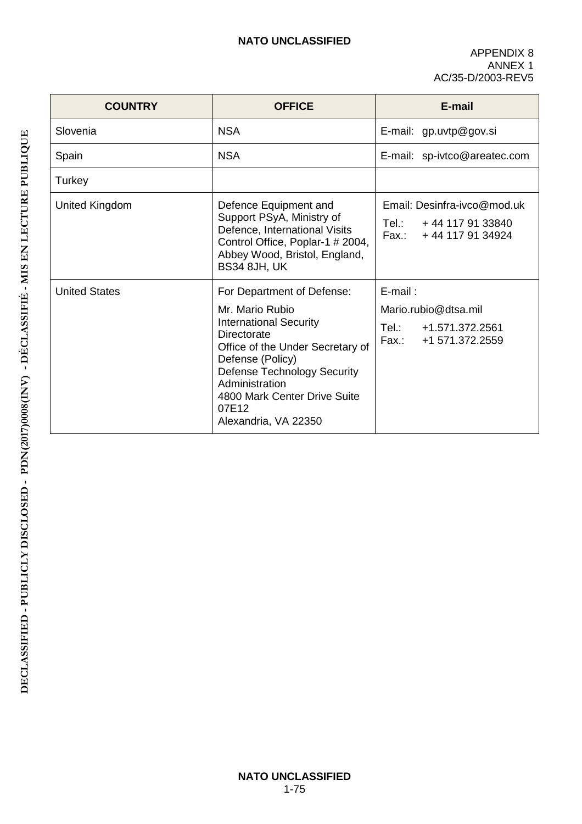| <b>COUNTRY</b>       | <b>OFFICE</b>                                                                                                                                                                                                                                                                  | E-mail                                                                                       |
|----------------------|--------------------------------------------------------------------------------------------------------------------------------------------------------------------------------------------------------------------------------------------------------------------------------|----------------------------------------------------------------------------------------------|
| Slovenia             | <b>NSA</b>                                                                                                                                                                                                                                                                     | E-mail: gp.uvtp@gov.si                                                                       |
| Spain                | <b>NSA</b>                                                                                                                                                                                                                                                                     | E-mail: sp-ivtco@areatec.com                                                                 |
| Turkey               |                                                                                                                                                                                                                                                                                |                                                                                              |
| United Kingdom       | Defence Equipment and<br>Support PSyA, Ministry of<br>Defence, International Visits<br>Control Office, Poplar-1 # 2004,<br>Abbey Wood, Bristol, England,<br><b>BS34 8JH, UK</b>                                                                                                | Email: Desinfra-ivco@mod.uk<br>Tel.:<br>+44 117 91 33840<br>Fax.: +44 117 91 34924           |
| <b>United States</b> | For Department of Defense:<br>Mr. Mario Rubio<br><b>International Security</b><br>Directorate<br>Office of the Under Secretary of<br>Defense (Policy)<br><b>Defense Technology Security</b><br>Administration<br>4800 Mark Center Drive Suite<br>07E12<br>Alexandria, VA 22350 | $E$ -mail:<br>Mario.rubio@dtsa.mil<br>Tel.: T<br>+1.571.372.2561<br>Fax.:<br>+1 571.372.2559 |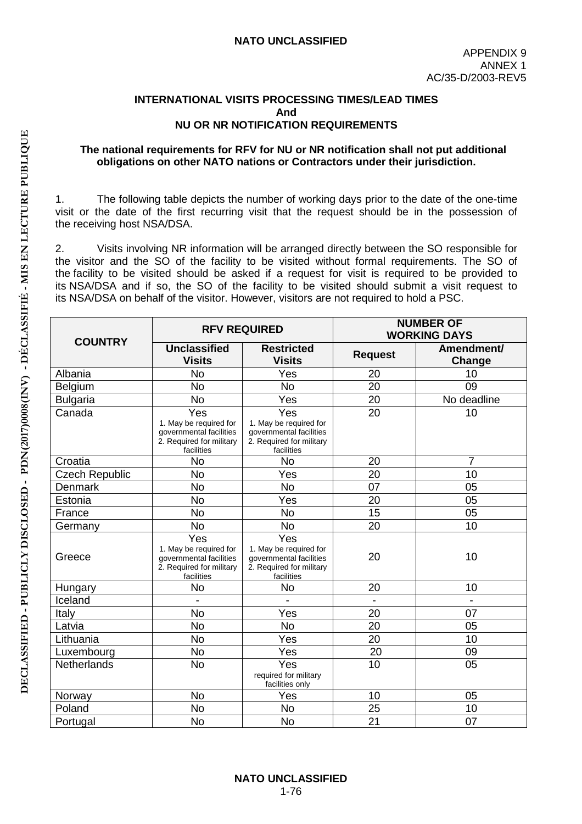### **INTERNATIONAL VISITS PROCESSING TIMES/LEAD TIMES And NU OR NR NOTIFICATION REQUIREMENTS**

#### **The national requirements for RFV for NU or NR notification shall not put additional obligations on other NATO nations or Contractors under their jurisdiction.**

1. The following table depicts the number of working days prior to the date of the one-time visit or the date of the first recurring visit that the request should be in the possession of the receiving host NSA/DSA.

2. Visits involving NR information will be arranged directly between the SO responsible for the visitor and the SO of the facility to be visited without formal requirements. The SO of the facility to be visited should be asked if a request for visit is required to be provided to its NSA/DSA and if so, the SO of the facility to be visited should submit a visit request to its NSA/DSA on behalf of the visitor. However, visitors are not required to hold a PSC.

| <b>COUNTRY</b>        | <b>RFV REQUIRED</b>                                                                                |                                                                                                    |                | <b>NUMBER OF</b><br><b>WORKING DAYS</b> |
|-----------------------|----------------------------------------------------------------------------------------------------|----------------------------------------------------------------------------------------------------|----------------|-----------------------------------------|
|                       | Unclassified<br><b>Visits</b>                                                                      | <b>Restricted</b><br><b>Visits</b>                                                                 | <b>Request</b> | Amendment/<br>Change                    |
| Albania               | <b>No</b>                                                                                          | Yes                                                                                                | 20             | 10                                      |
| Belgium               | <b>No</b>                                                                                          | <b>No</b>                                                                                          | 20             | 09                                      |
| <b>Bulgaria</b>       | <b>No</b>                                                                                          | Yes                                                                                                | 20             | No deadline                             |
| Canada                | Yes<br>1. May be required for<br>governmental facilities<br>2. Required for military<br>facilities | Yes<br>1. May be required for<br>governmental facilities<br>2. Required for military<br>facilities | 20             | 10                                      |
| Croatia               | <b>No</b>                                                                                          | <b>No</b>                                                                                          | 20             | $\overline{7}$                          |
| <b>Czech Republic</b> | <b>No</b>                                                                                          | Yes                                                                                                | 20             | 10                                      |
| <b>Denmark</b>        | <b>No</b>                                                                                          | <b>No</b>                                                                                          | 07             | 05                                      |
| Estonia               | <b>No</b>                                                                                          | Yes                                                                                                | 20             | 05                                      |
| France                | <b>No</b>                                                                                          | <b>No</b>                                                                                          | 15             | 05                                      |
| Germany               | <b>No</b>                                                                                          | <b>No</b>                                                                                          | 20             | 10                                      |
| Greece                | Yes<br>1. May be required for<br>governmental facilities<br>2. Required for military<br>facilities | Yes<br>1. May be required for<br>governmental facilities<br>2. Required for military<br>facilities | 20             | 10                                      |
| Hungary               | No                                                                                                 | No                                                                                                 | 20             | 10                                      |
| Iceland               |                                                                                                    |                                                                                                    |                |                                         |
| Italy                 | <b>No</b>                                                                                          | Yes                                                                                                | 20             | 07                                      |
| Latvia                | <b>No</b>                                                                                          | <b>No</b>                                                                                          | 20             | 05                                      |
| Lithuania             | <b>No</b>                                                                                          | Yes                                                                                                | 20             | 10                                      |
| Luxembourg            | <b>No</b>                                                                                          | Yes                                                                                                | 20             | 09                                      |
| Netherlands           | No                                                                                                 | Yes<br>required for military<br>facilities only                                                    | 10             | 05                                      |
| Norway                | <b>No</b>                                                                                          | Yes                                                                                                | 10             | 05                                      |
| Poland                | <b>No</b>                                                                                          | <b>No</b>                                                                                          | 25             | 10                                      |
| Portugal              | <b>No</b>                                                                                          | <b>No</b>                                                                                          | 21             | 07                                      |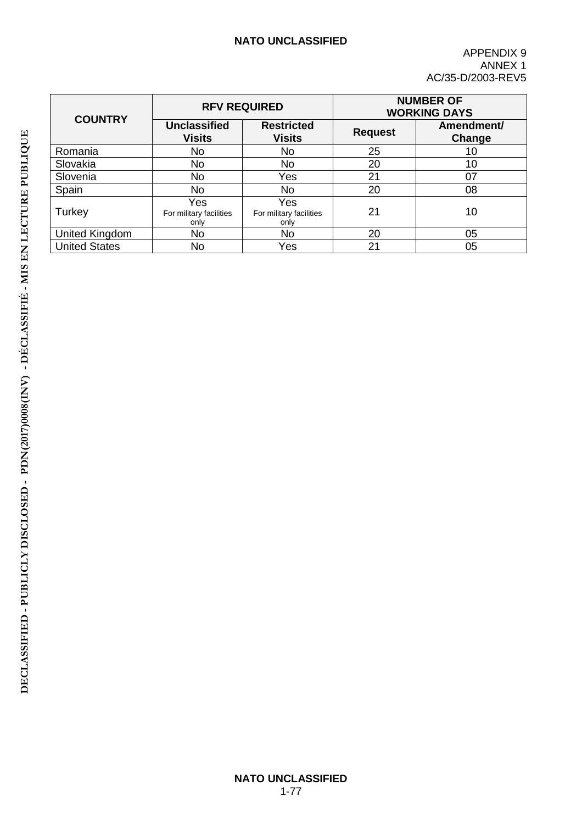| <b>COUNTRY</b>       |                                        | <b>RFV REQUIRED</b>                    |                | <b>NUMBER OF</b><br><b>WORKING DAYS</b> |
|----------------------|----------------------------------------|----------------------------------------|----------------|-----------------------------------------|
|                      | <b>Unclassified</b><br><b>Visits</b>   | <b>Restricted</b><br><b>Visits</b>     | <b>Request</b> | Amendment/<br>Change                    |
| Romania              | <b>No</b>                              | No                                     | 25             | 10                                      |
| Slovakia             | <b>No</b>                              | No                                     | 20             | 10                                      |
| Slovenia             | <b>No</b>                              | Yes                                    | 21             | 07                                      |
| Spain                | No                                     | No                                     | 20             | 08                                      |
| Turkey               | Yes<br>For military facilities<br>only | Yes<br>For military facilities<br>only | 21             | 10                                      |
| United Kingdom       | <b>No</b>                              | No                                     | 20             | 05                                      |
| <b>United States</b> | No                                     | Yes                                    | 21             | 05                                      |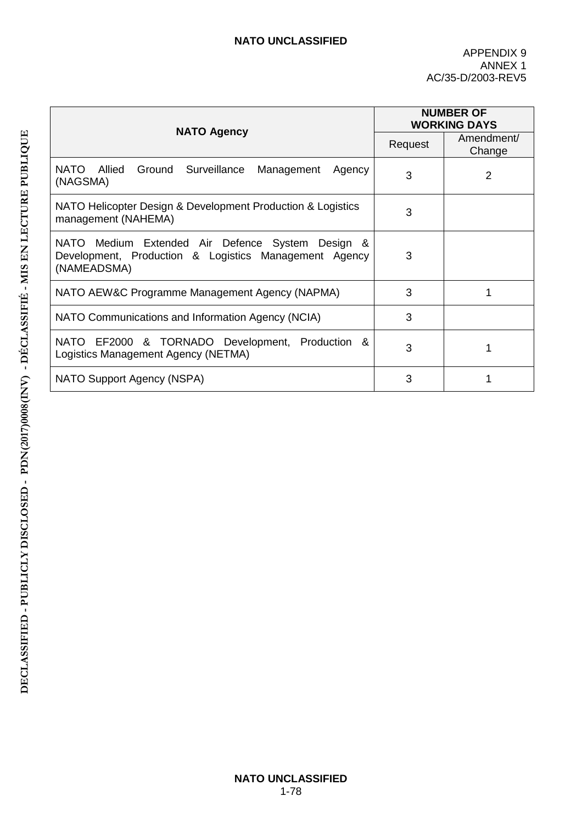|                                                                                                                          |         | <b>NUMBER OF</b><br><b>WORKING DAYS</b> |
|--------------------------------------------------------------------------------------------------------------------------|---------|-----------------------------------------|
| <b>NATO Agency</b>                                                                                                       | Request | Amendment/<br>Change                    |
| NATO<br>Allied<br>Ground Surveillance<br>Management<br>Agency<br>(NAGSMA)                                                | 3       | $\overline{2}$                          |
| NATO Helicopter Design & Development Production & Logistics<br>management (NAHEMA)                                       | 3       |                                         |
| NATO Medium Extended Air Defence System Design &<br>Development, Production & Logistics Management Agency<br>(NAMEADSMA) | 3       |                                         |
| NATO AEW&C Programme Management Agency (NAPMA)                                                                           | 3       |                                         |
| NATO Communications and Information Agency (NCIA)                                                                        | 3       |                                         |
| & TORNADO Development, Production &<br>NATO EF2000<br>Logistics Management Agency (NETMA)                                | 3       | 1                                       |
| NATO Support Agency (NSPA)                                                                                               | 3       |                                         |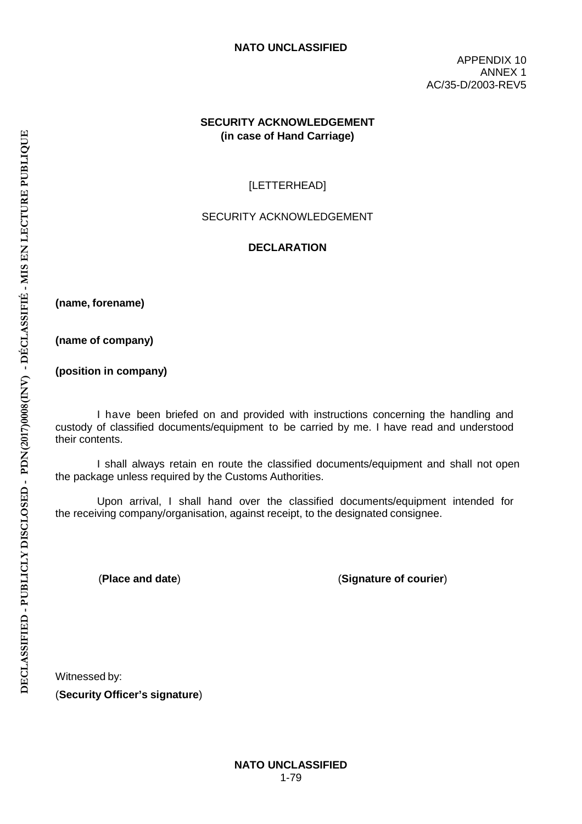APPENDIX 10 ANNEX 1 AC/35-D/2003-REV5

## **SECURITY ACKNOWLEDGEMENT (in case of Hand Carriage)**

## [LETTERHEAD]

#### SECURITY ACKNOWLEDGEMENT

#### **DECLARATION**

**(name, forename)**

**(name of company)** 

**(position in company)**

I have been briefed on and provided with instructions concerning the handling and custody of classified documents/equipment to be carried by me. I have read and understood their contents.

I shall always retain en route the classified documents/equipment and shall not open the package unless required by the Customs Authorities.

Upon arrival, I shall hand over the classified documents/equipment intended for the receiving company/organisation, against receipt, to the designated consignee.

(**Place and date**) (**Signature of courier**)

Witnessed by:

(**Security Officer's signature**)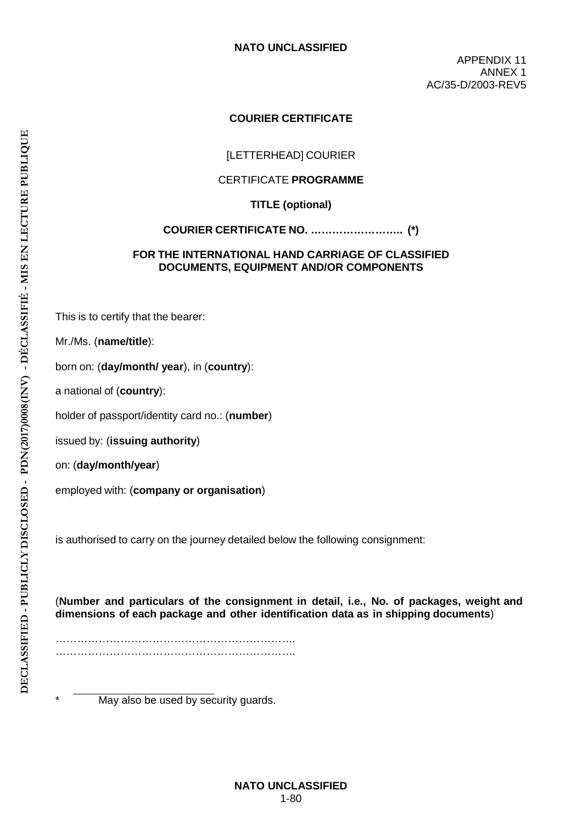APPENDIX 11 ANNEX 1 AC/35-D/2003-REV5

## **COURIER CERTIFICATE**

## [LETTERHEAD] COURIER

#### CERTIFICATE **PROGRAMME**

**TITLE (optional)**

#### **COURIER CERTIFICATE NO. …………………….. (\*)**

#### **FOR THE INTERNATIONAL HAND CARRIAGE OF CLASSIFIED DOCUMENTS, EQUIPMENT AND/OR COMPONENTS**

This is to certify that the bearer:

Mr./Ms. (**name/title**):

born on: (**day/month/ year**), in (**country**):

a national of (**country**):

holder of passport/identity card no.: (**number**)

issued by: (**issuing authority**)

on: (**day/month/year**)

employed with: (**company or organisation**)

is authorised to carry on the journey detailed below the following consignment:

(**Number and particulars of the consignment in detail, i.e., No. of packages, weight and dimensions of each package and other identification data as in shipping documents**)

…………………………………………………………. ………………………………………………………….

May also be used by security guards.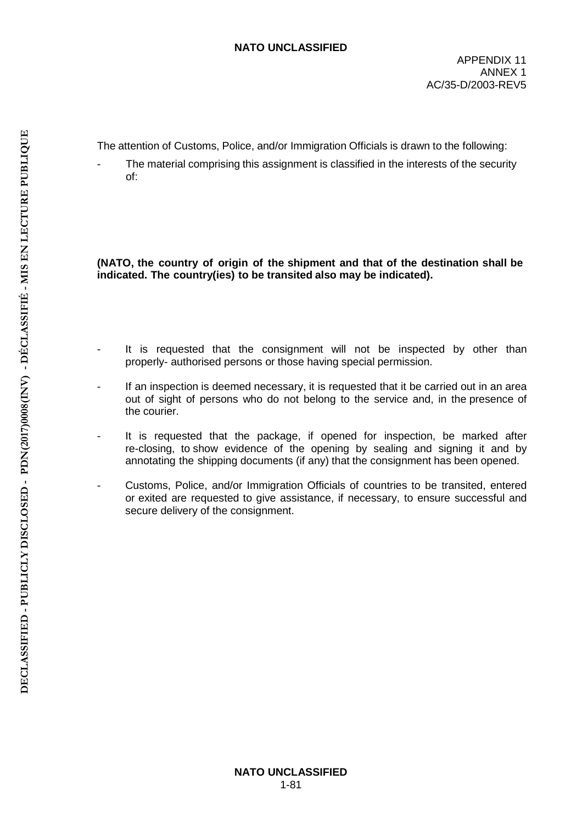The attention of Customs, Police, and/or Immigration Officials is drawn to the following:

The material comprising this assignment is classified in the interests of the security of:

**(NATO, the country of origin of the shipment and that of the destination shall be indicated. The country(ies) to be transited also may be indicated).**

- It is requested that the consignment will not be inspected by other than properly- authorised persons or those having special permission.
- If an inspection is deemed necessary, it is requested that it be carried out in an area out of sight of persons who do not belong to the service and, in the presence of the courier.
- It is requested that the package, if opened for inspection, be marked after re-closing, to show evidence of the opening by sealing and signing it and by annotating the shipping documents (if any) that the consignment has been opened.
- Customs, Police, and/or Immigration Officials of countries to be transited, entered or exited are requested to give assistance, if necessary, to ensure successful and secure delivery of the consignment.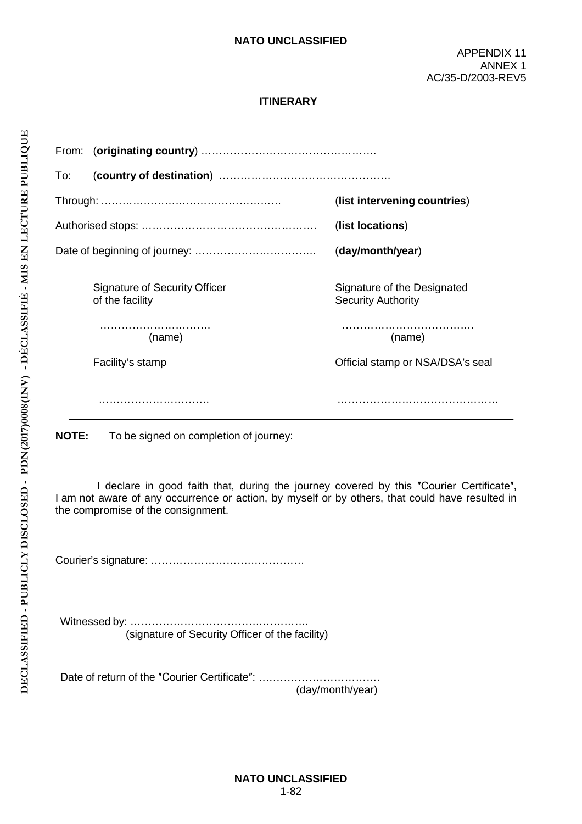## **ITINERARY**

| From: |                                                         |                                                          |
|-------|---------------------------------------------------------|----------------------------------------------------------|
| To:   |                                                         |                                                          |
|       |                                                         | (list intervening countries)                             |
|       |                                                         | (list locations)                                         |
|       |                                                         | (day/month/year)                                         |
|       | <b>Signature of Security Officer</b><br>of the facility | Signature of the Designated<br><b>Security Authority</b> |
|       | (name)                                                  | (name)                                                   |
|       | Facility's stamp                                        | Official stamp or NSA/DSA's seal                         |
|       |                                                         |                                                          |
| NOTE. | To be signed on completion of journals                  |                                                          |

**NOTE:** To be signed on completion of journey:

I declare in good faith that, during the journey covered by this ″Courier Certificate″, I am not aware of any occurrence or action, by myself or by others, that could have resulted in the compromise of the consignment.

Courier's signature: ……………………….……………

Witnessed by: ……………………………….…………. (signature of Security Officer of the facility)

Date of return of the "Courier Certificate": ...................................

(day/month/year)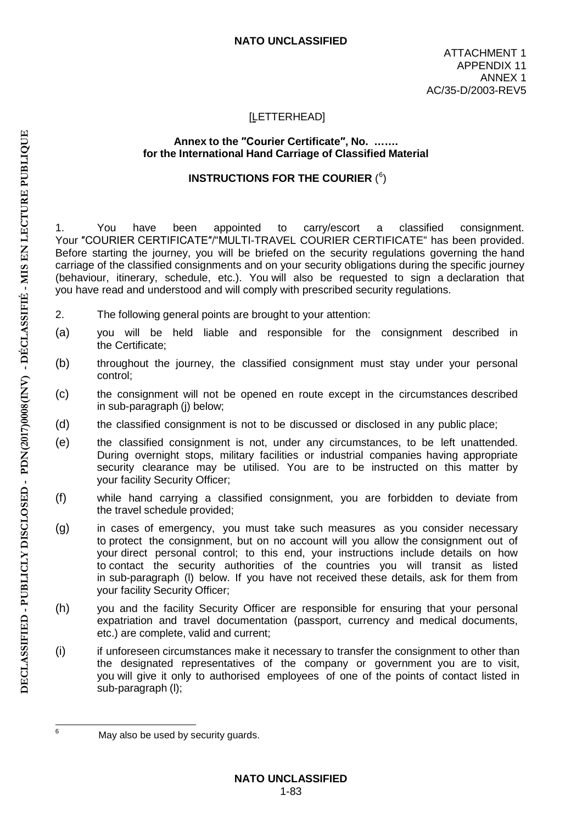## [LETTERHEAD]

#### **Annex to the ″Courier Certificate″, No. ……. for the International Hand Carriage of Classified Material**

# INSTRUCTIONS FOR THE COURIER  $(^6)$

1. You have been appointed to carry/escort a classified consignment. Your ″COURIER CERTIFICATE″/"MULTI-TRAVEL COURIER CERTIFICATE" has been provided. Before starting the journey, you will be briefed on the security regulations governing the hand carriage of the classified consignments and on your security obligations during the specific journey (behaviour, itinerary, schedule, etc.). You will also be requested to sign a declaration that you have read and understood and will comply with prescribed security regulations.

- 2. The following general points are brought to your attention:
- (a) you will be held liable and responsible for the consignment described in the Certificate;
- (b) throughout the journey, the classified consignment must stay under your personal control;
- (c) the consignment will not be opened en route except in the circumstances described in sub-paragraph (j) below;
- (d) the classified consignment is not to be discussed or disclosed in any public place;
- (e) the classified consignment is not, under any circumstances, to be left unattended. During overnight stops, military facilities or industrial companies having appropriate security clearance may be utilised. You are to be instructed on this matter by your facility Security Officer;
- (f) while hand carrying a classified consignment, you are forbidden to deviate from the travel schedule provided;
- (g) in cases of emergency, you must take such measures as you consider necessary to protect the consignment, but on no account will you allow the consignment out of your direct personal control; to this end, your instructions include details on how to contact the security authorities of the countries you will transit as listed in sub-paragraph (l) below. If you have not received these details, ask for them from your facility Security Officer;
- (h) you and the facility Security Officer are responsible for ensuring that your personal expatriation and travel documentation (passport, currency and medical documents, etc.) are complete, valid and current;
- (i) if unforeseen circumstances make it necessary to transfer the consignment to other than the designated representatives of the company or government you are to visit, you will give it only to authorised employees of one of the points of contact listed in sub-paragraph (l);

<sup>&</sup>lt;sup>6</sup> May also be used by security quards.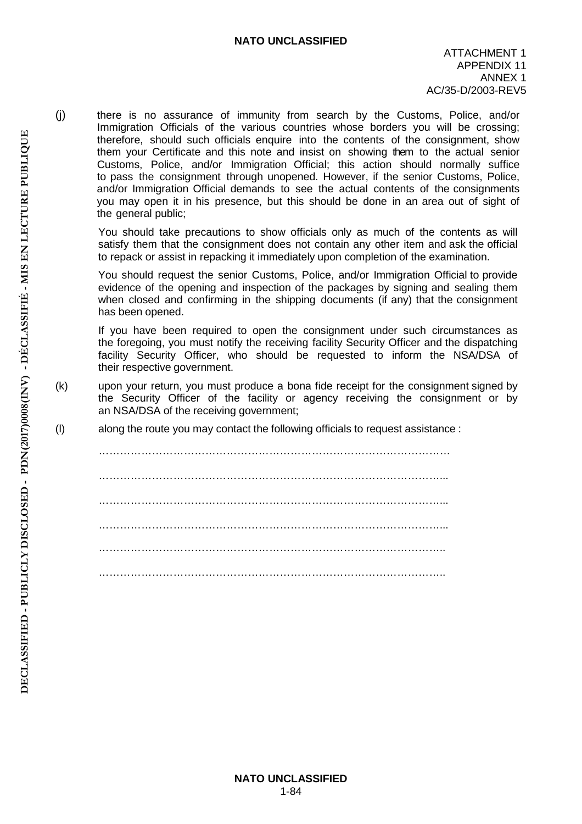(j) there is no assurance of immunity from search by the Customs, Police, and/or Immigration Officials of the various countries whose borders you will be crossing; therefore, should such officials enquire into the contents of the consignment, show them your Certificate and this note and insist on showing them to the actual senior Customs, Police, and/or Immigration Official; this action should normally suffice to pass the consignment through unopened. However, if the senior Customs, Police, and/or Immigration Official demands to see the actual contents of the consignments you may open it in his presence, but this should be done in an area out of sight of the general public;

You should take precautions to show officials only as much of the contents as will satisfy them that the consignment does not contain any other item and ask the official to repack or assist in repacking it immediately upon completion of the examination.

You should request the senior Customs, Police, and/or Immigration Official to provide evidence of the opening and inspection of the packages by signing and sealing them when closed and confirming in the shipping documents (if any) that the consignment has been opened.

If you have been required to open the consignment under such circumstances as the foregoing, you must notify the receiving facility Security Officer and the dispatching facility Security Officer, who should be requested to inform the NSA/DSA of their respective government.

- (k) upon your return, you must produce a bona fide receipt for the consignment signed by the Security Officer of the facility or agency receiving the consignment or by an NSA/DSA of the receiving government;
- (l) along the route you may contact the following officials to request assistance :

……………………………………………………………………………………... ……………………………………………………………………………………... …………………………………………………………………………………….. ……………………………………………………………………………………..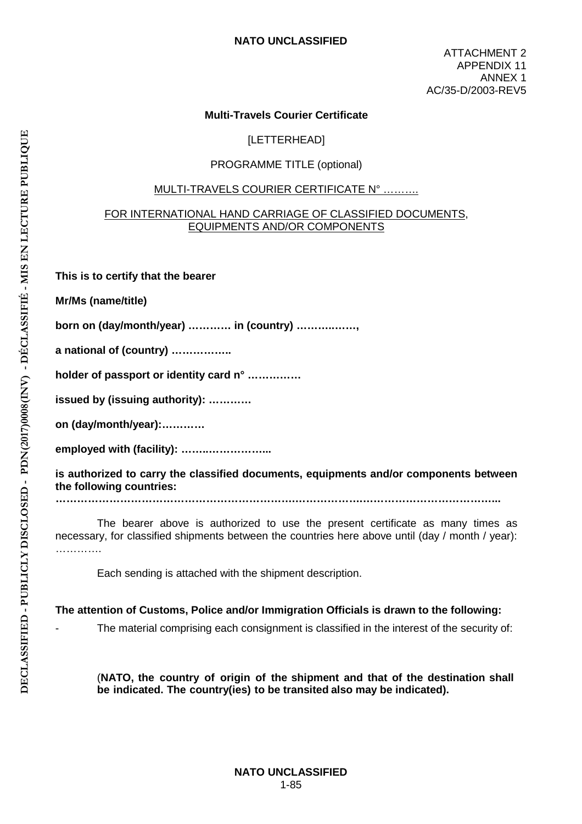ATTACHMENT 2 APPENDIX 11 ANNEX 1 AC/35-D/2003-REV5

## **Multi-Travels Courier Certificate**

[LETTERHEAD]

#### PROGRAMME TITLE (optional)

#### MULTI-TRAVELS COURIER CERTIFICATE N° ……….

#### FOR INTERNATIONAL HAND CARRIAGE OF CLASSIFIED DOCUMENTS, EQUIPMENTS AND/OR COMPONENTS

**This is to certify that the bearer** 

**Mr/Ms (name/title)** 

**born on (day/month/year) ………… in (country) ………..……,**

**a national of (country) ……………..** 

**holder of passport or identity card n° ……………** 

**issued by (issuing authority): …………** 

**on (day/month/year):…………** 

**employed with (facility): ……..……………...** 

**is authorized to carry the classified documents, equipments and/or components between the following countries:**

**………………………………………………………….……………….………………………………...** 

The bearer above is authorized to use the present certificate as many times as necessary, for classified shipments between the countries here above until (day / month / year): …………

Each sending is attached with the shipment description.

**The attention of Customs, Police and/or Immigration Officials is drawn to the following:** 

The material comprising each consignment is classified in the interest of the security of:

(**NATO, the country of origin of the shipment and that of the destination shall be indicated. The country(ies) to be transited also may be indicated).**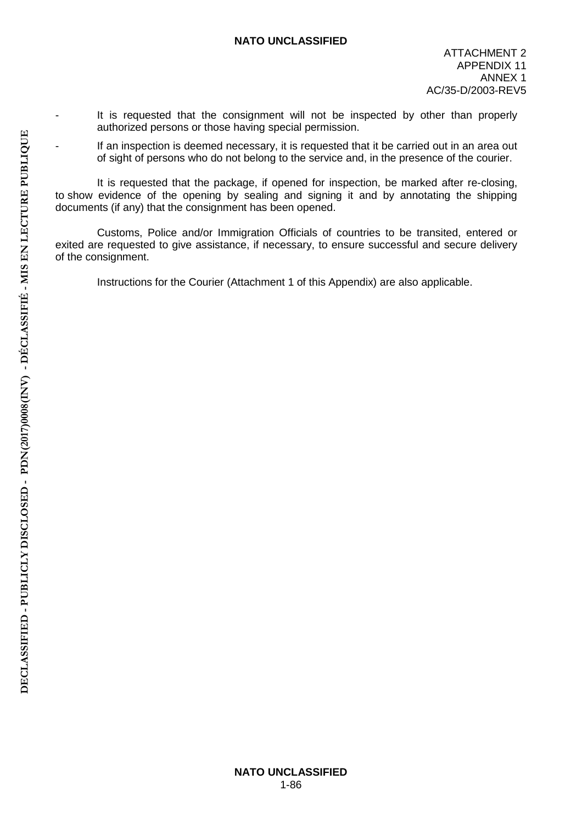- It is requested that the consignment will not be inspected by other than properly authorized persons or those having special permission.
- If an inspection is deemed necessary, it is requested that it be carried out in an area out of sight of persons who do not belong to the service and, in the presence of the courier.

It is requested that the package, if opened for inspection, be marked after re-closing, to show evidence of the opening by sealing and signing it and by annotating the shipping documents (if any) that the consignment has been opened.

Customs, Police and/or Immigration Officials of countries to be transited, entered or exited are requested to give assistance, if necessary, to ensure successful and secure delivery of the consignment.

Instructions for the Courier (Attachment 1 of this Appendix) are also applicable.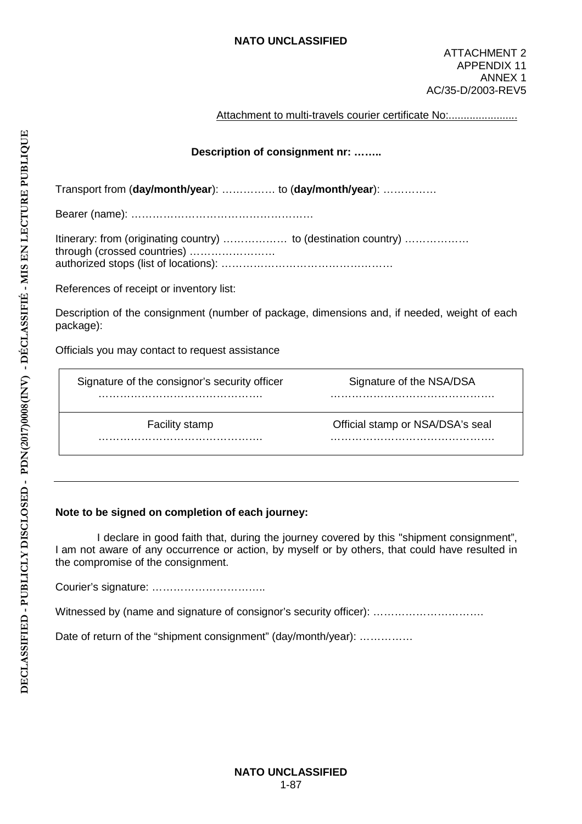#### Attachment to multi-travels courier certificate No:........................

## **Description of consignment nr: ……..**

Transport from (**day/month/year**): …………… to (**day/month/year**): ……………

Bearer (name): ……………………………………………

| Itinerary: from (originating country)  to (destination country) |  |
|-----------------------------------------------------------------|--|
|                                                                 |  |
|                                                                 |  |

References of receipt or inventory list:

Description of the consignment (number of package, dimensions and, if needed, weight of each package):

Officials you may contact to request assistance

| Signature of the consignor's security officer | Signature of the NSA/DSA         |
|-----------------------------------------------|----------------------------------|
|                                               |                                  |
| <b>Facility stamp</b>                         | Official stamp or NSA/DSA's seal |
|                                               |                                  |

### **Note to be signed on completion of each journey:**

I declare in good faith that, during the journey covered by this "shipment consignment", I am not aware of any occurrence or action, by myself or by others, that could have resulted in the compromise of the consignment.

Courier's signature: …………………………..

Witnessed by (name and signature of consignor's security officer): .................................

Date of return of the "shipment consignment" (day/month/year): ...............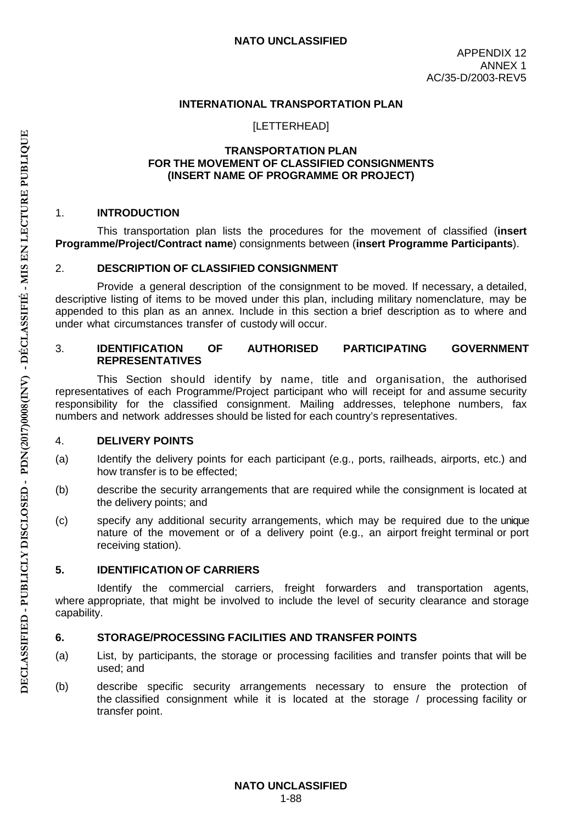### **INTERNATIONAL TRANSPORTATION PLAN**

[LETTERHEAD]

#### **TRANSPORTATION PLAN FOR THE MOVEMENT OF CLASSIFIED CONSIGNMENTS (INSERT NAME OF PROGRAMME OR PROJECT)**

#### 1. **INTRODUCTION**

This transportation plan lists the procedures for the movement of classified (**insert Programme/Project/Contract name**) consignments between (**insert Programme Participants**).

#### 2. **DESCRIPTION OF CLASSIFIED CONSIGNMENT**

Provide a general description of the consignment to be moved. If necessary, a detailed, descriptive listing of items to be moved under this plan, including military nomenclature, may be appended to this plan as an annex. Include in this section a brief description as to where and under what circumstances transfer of custody will occur.

#### 3. **IDENTIFICATION OF AUTHORISED PARTICIPATING GOVERNMENT REPRESENTATIVES**

This Section should identify by name, title and organisation, the authorised representatives of each Programme/Project participant who will receipt for and assume security responsibility for the classified consignment. Mailing addresses, telephone numbers, fax numbers and network addresses should be listed for each country's representatives.

### 4. **DELIVERY POINTS**

- (a) Identify the delivery points for each participant (e.g., ports, railheads, airports, etc.) and how transfer is to be effected;
- (b) describe the security arrangements that are required while the consignment is located at the delivery points; and
- (c) specify any additional security arrangements, which may be required due to the unique nature of the movement or of a delivery point (e.g., an airport freight terminal or port receiving station).

### **5. IDENTIFICATION OF CARRIERS**

Identify the commercial carriers, freight forwarders and transportation agents, where appropriate, that might be involved to include the level of security clearance and storage capability.

### **6. STORAGE/PROCESSING FACILITIES AND TRANSFER POINTS**

- (a) List, by participants, the storage or processing facilities and transfer points that will be used; and
- (b) describe specific security arrangements necessary to ensure the protection of the classified consignment while it is located at the storage / processing facility or transfer point.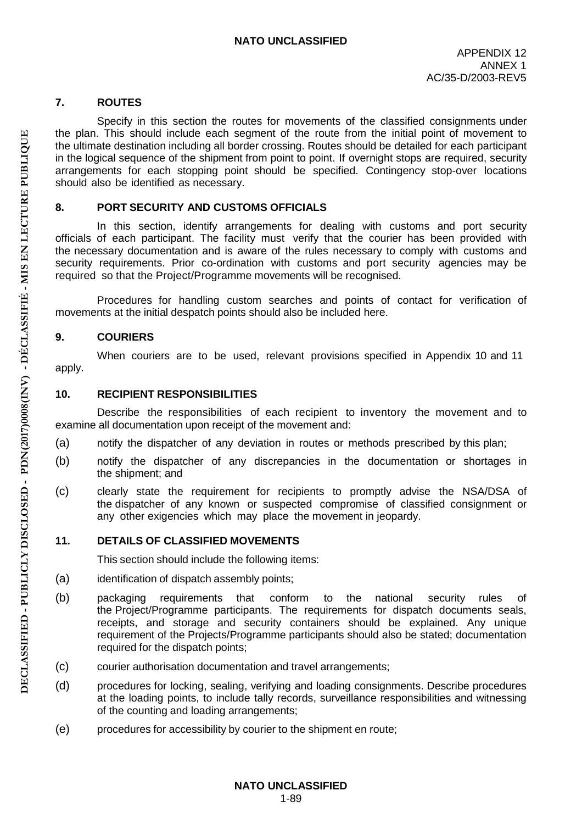## **7. ROUTES**

Specify in this section the routes for movements of the classified consignments under the plan. This should include each segment of the route from the initial point of movement to the ultimate destination including all border crossing. Routes should be detailed for each participant in the logical sequence of the shipment from point to point. If overnight stops are required, security arrangements for each stopping point should be specified. Contingency stop-over locations should also be identified as necessary.

## **8. PORT SECURITY AND CUSTOMS OFFICIALS**

In this section, identify arrangements for dealing with customs and port security officials of each participant. The facility must verify that the courier has been provided with the necessary documentation and is aware of the rules necessary to comply with customs and security requirements. Prior co-ordination with customs and port security agencies may be required so that the Project/Programme movements will be recognised.

Procedures for handling custom searches and points of contact for verification of movements at the initial despatch points should also be included here.

## **9. COURIERS**

When couriers are to be used, relevant provisions specified in Appendix 10 and 11 apply.

## **10. RECIPIENT RESPONSIBILITIES**

Describe the responsibilities of each recipient to inventory the movement and to examine all documentation upon receipt of the movement and:

- (a) notify the dispatcher of any deviation in routes or methods prescribed by this plan;
- (b) notify the dispatcher of any discrepancies in the documentation or shortages in the shipment; and
- (c) clearly state the requirement for recipients to promptly advise the NSA/DSA of the dispatcher of any known or suspected compromise of classified consignment or any other exigencies which may place the movement in jeopardy.

## **11. DETAILS OF CLASSIFIED MOVEMENTS**

This section should include the following items:

- (a) identification of dispatch assembly points;
- (b) packaging requirements that conform to the national security rules of the Project/Programme participants. The requirements for dispatch documents seals, receipts, and storage and security containers should be explained. Any unique requirement of the Projects/Programme participants should also be stated; documentation required for the dispatch points;
- (c) courier authorisation documentation and travel arrangements;
- (d) procedures for locking, sealing, verifying and loading consignments. Describe procedures at the loading points, to include tally records, surveillance responsibilities and witnessing of the counting and loading arrangements;
- (e) procedures for accessibility by courier to the shipment en route;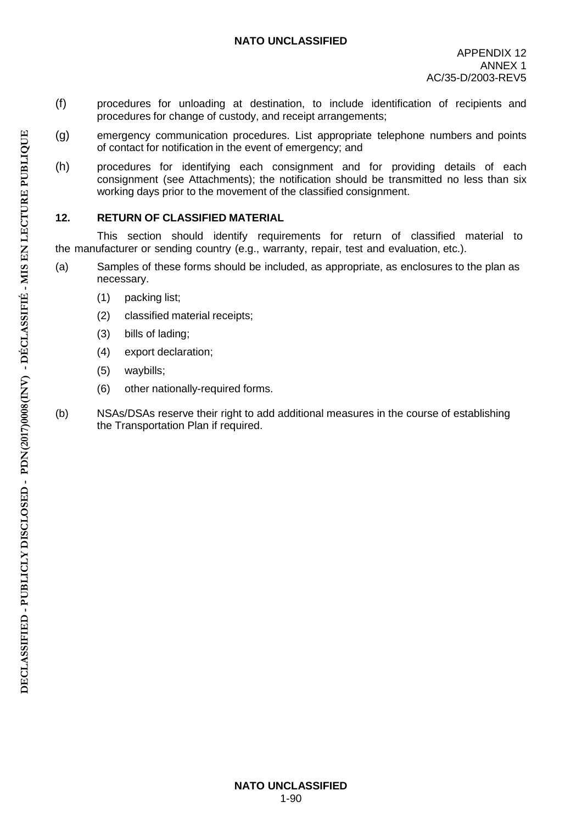- (f) procedures for unloading at destination, to include identification of recipients and procedures for change of custody, and receipt arrangements;
- (g) emergency communication procedures. List appropriate telephone numbers and points of contact for notification in the event of emergency; and
- (h) procedures for identifying each consignment and for providing details of each consignment (see Attachments); the notification should be transmitted no less than six working days prior to the movement of the classified consignment.

## **12. RETURN OF CLASSIFIED MATERIAL**

This section should identify requirements for return of classified material to the manufacturer or sending country (e.g., warranty, repair, test and evaluation, etc.).

- (a) Samples of these forms should be included, as appropriate, as enclosures to the plan as necessary.
	- (1) packing list;
	- (2) classified material receipts;
	- (3) bills of lading;
	- (4) export declaration;
	- (5) waybills;
	- (6) other nationally-required forms.
- (b) NSAs/DSAs reserve their right to add additional measures in the course of establishing the Transportation Plan if required.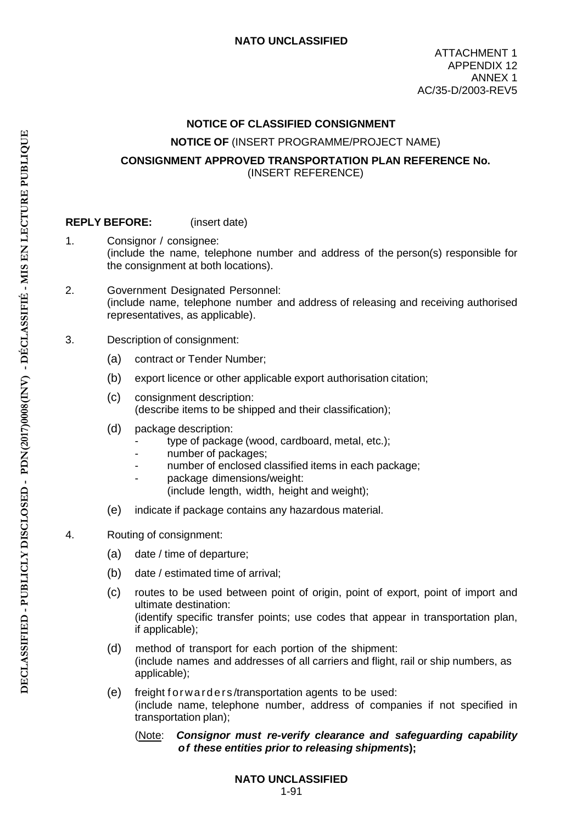### **NOTICE OF CLASSIFIED CONSIGNMENT**

#### **NOTICE OF** (INSERT PROGRAMME/PROJECT NAME)

## **CONSIGNMENT APPROVED TRANSPORTATION PLAN REFERENCE No.** (INSERT REFERENCE)

### **REPLY BEFORE:** (insert date)

- 1. Consignor / consignee: (include the name, telephone number and address of the person(s) responsible for the consignment at both locations).
- 2. Government Designated Personnel: (include name, telephone number and address of releasing and receiving authorised representatives, as applicable).
- 3. Description of consignment:
	- (a) contract or Tender Number;
	- (b) export licence or other applicable export authorisation citation;
	- (c) consignment description: (describe items to be shipped and their classification);
	- (d) package description:
		- type of package (wood, cardboard, metal, etc.);
		- number of packages;
		- number of enclosed classified items in each package;
			- package dimensions/weight:
			- (include length, width, height and weight);
	- (e) indicate if package contains any hazardous material.

### 4. Routing of consignment:

- (a) date / time of departure;
- (b) date / estimated time of arrival;
- (c) routes to be used between point of origin, point of export, point of import and ultimate destination: (identify specific transfer points; use codes that appear in transportation plan, if applicable);
- (d) method of transport for each portion of the shipment: (include names and addresses of all carriers and flight, rail or ship numbers, as applicable);
- (e) freight forwarders /transportation agents to be used: (include name, telephone number, address of companies if not specified in transportation plan);

#### (Note: *Consignor must re-verify clearance and safeguarding capability of these entities prior to releasing shipments***);**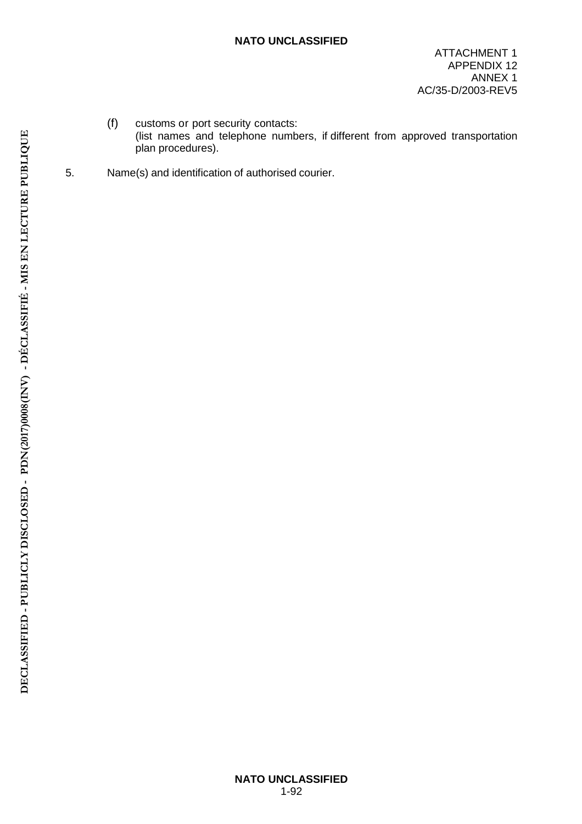- (f) customs or port security contacts: (list names and telephone numbers, if different from approved transportation plan procedures).
- 5. Name(s) and identification of authorised courier.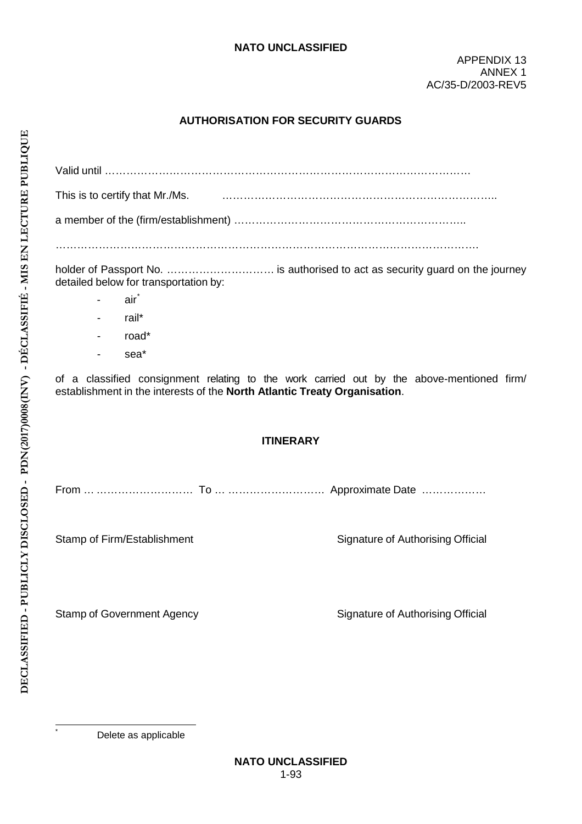# **AUTHORISATION FOR SECURITY GUARDS**

| Valid until ……………………………………………………………………………………………               |
|---------------------------------------------------------------|
| This is to certify that Mr./Ms.    …………………………………………………………………… |
|                                                               |
|                                                               |

holder of Passport No. ………………………… is authorised to act as security guard on the journey detailed below for transportation by:

- air\*
- rail\*
- road\*
- sea\*

of a classified consignment relating to the work carried out by the above-mentioned firm/ establishment in the interests of the **North Atlantic Treaty Organisation**.

### **ITINERARY**

From … ……………………… To … ……………………… Approximate Date ………………

Stamp of Firm/Establishment Signature of Authorising Official

Stamp of Government Agency Signature of Authorising Official

Delete as applicable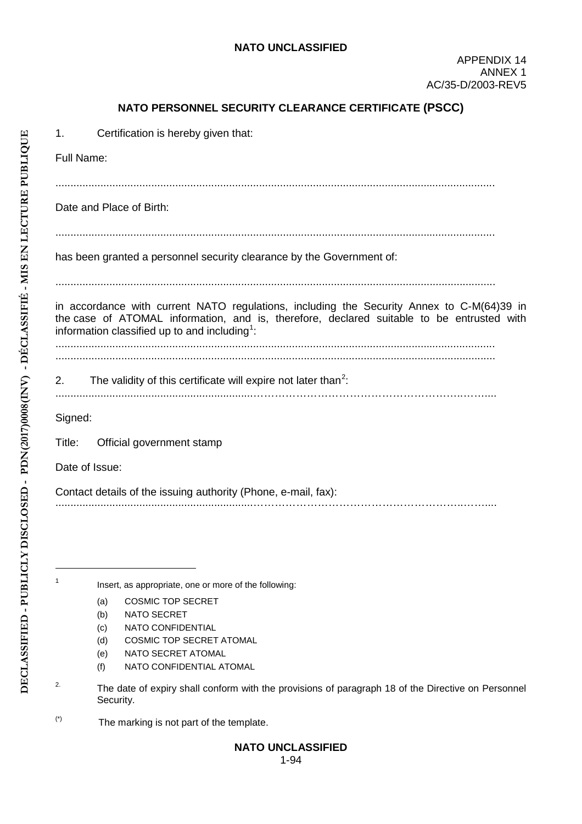## **NATO PERSONNEL SECURITY CLEARANCE CERTIFICATE (PSCC)**

1. Certification is hereby given that:

Full Name:

...................................................................................................................................................

Date and Place of Birth:

...................................................................................................................................................

has been granted a personnel security clearance by the Government of:

...................................................................................................................................................

in accordance with current NATO regulations, including the Security Annex to C-M(64)39 in the case of ATOMAL information, and is, therefore, declared suitable to be entrusted with information classified up to and including $^{\rm 1}$ :

................................................................................................................................................... ...................................................................................................................................................

- 2. The validity of this certificate will expire not later than<sup>2</sup>:
- ..................................................................…………………………………………………..……....

Signed:

Title: Official government stamp

Date of Issue:

Contact details of the issuing authority (Phone, e-mail, fax): ..................................................................…………………………………………………..……....

<sup>1</sup> Insert, as appropriate, one or more of the following:

- (a) COSMIC TOP SECRET
- (b) NATO SECRET
- (c) NATO CONFIDENTIAL
- (d) COSMIC TOP SECRET ATOMAL
- (e) NATO SECRET ATOMAL
- (f) NATO CONFIDENTIAL ATOMAL
- <sup>2.</sup> The date of expiry shall conform with the provisions of paragraph 18 of the Directive on Personnel Security.
- $(*)$  The marking is not part of the template.